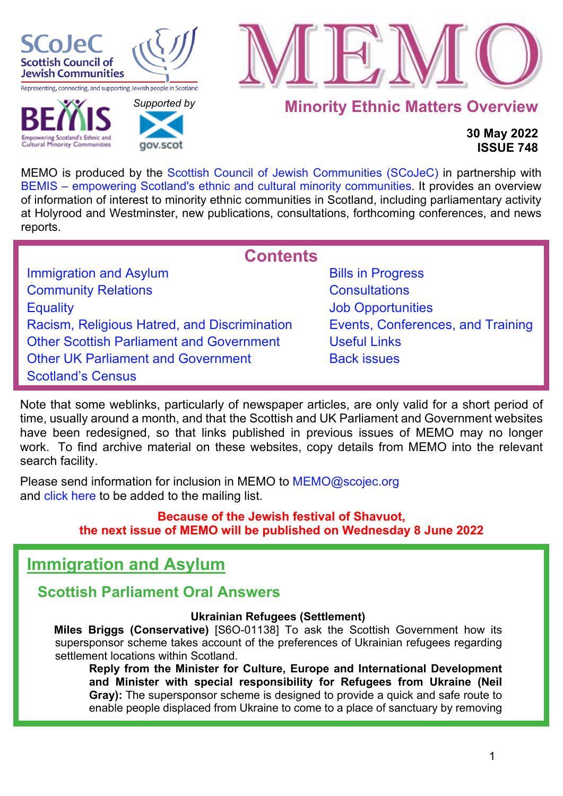

**Cultural Minority Communities** 



## **Minority Ethnic Matters Overview**

## **30 May 2022 ISSUE 748**

MEMO is produced by the [Scottish Council of Jewish Communities \(SCoJeC\)](https://www.scojec.org/index.html) in partnership with [BEMIS – empowering Scotland's ethnic and cultural minority communities.](https://bemis.org.uk/) It provides an overview of information of interest to minority ethnic communities in Scotland, including parliamentary activity at Holyrood and Westminster, new publications, consultations, forthcoming conferences, and news reports.

**Contents**

<span id="page-0-1"></span>

| <b>Immigration and Asylum</b>                   |
|-------------------------------------------------|
| <b>Community Relations</b>                      |
| <b>Equality</b>                                 |
| Racism, Religious Hatred, and Discrimination    |
| <b>Other Scottish Parliament and Government</b> |
| <b>Other UK Parliament and Government</b>       |
| <b>Scotland's Census</b>                        |
|                                                 |

 *[Supported b](http://www.gov.scot/)y* 

**COV SCO** 

**[Bills in Progress](#page-39-0) [Consultations](#page-39-1) [Job Opportunities](#page-39-2)** [Events, Conferences, and Training](#page-40-0) [Useful Links](#page-44-0) **[Back issues](https://www.scojec.org/memo/memo.html)** 

Note that some weblinks, particularly of newspaper articles, are only valid for a short period of time, usually around a month, and that the Scottish and UK Parliament and Government websites have been redesigned, so that links published in previous issues of MEMO may no longer work. To find archive material on these websites, copy details from MEMO into the relevant search facility.

Please send information for inclusion in MEMO to MEMO@scojec.org and [click here](https://www.scojec.org/memo/subscribe/subscribe.html) to be added to the mailing list.

## **Because of the Jewish festival of Shavuot, the next issue of MEMO will be published on Wednesday 8 June 2022**

# <span id="page-0-0"></span>**Immigration and Asylum**

## **Scottish Parliament Oral Answers**

### **Ukrainian Refugees (Settlement)**

**Miles Briggs (Conservative)** [S6O-01138] To ask the Scottish Government how its supersponsor scheme takes account of the preferences of Ukrainian refugees regarding settlement locations within Scotland.

**Reply from the Minister for Culture, Europe and International Development and Minister with special responsibility for Refugees from Ukraine (Neil Gray):** The supersponsor scheme is designed to provide a quick and safe route to enable people displaced from Ukraine to come to a place of sanctuary by removing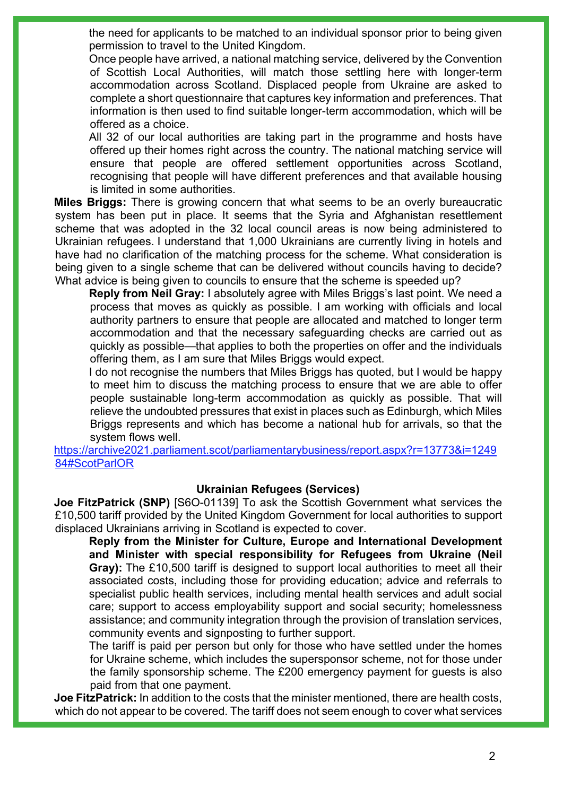the need for applicants to be matched to an individual sponsor prior to being given permission to travel to the United Kingdom.

Once people have arrived, a national matching service, delivered by the Convention of Scottish Local Authorities, will match those settling here with longer-term accommodation across Scotland. Displaced people from Ukraine are asked to complete a short questionnaire that captures key information and preferences. That information is then used to find suitable longer-term accommodation, which will be offered as a choice.

All 32 of our local authorities are taking part in the programme and hosts have offered up their homes right across the country. The national matching service will ensure that people are offered settlement opportunities across Scotland, recognising that people will have different preferences and that available housing is limited in some authorities.

**Miles Briggs:** There is growing concern that what seems to be an overly bureaucratic system has been put in place. It seems that the Syria and Afghanistan resettlement scheme that was adopted in the 32 local council areas is now being administered to Ukrainian refugees. I understand that 1,000 Ukrainians are currently living in hotels and have had no clarification of the matching process for the scheme. What consideration is being given to a single scheme that can be delivered without councils having to decide? What advice is being given to councils to ensure that the scheme is speeded up?

**Reply from Neil Gray:** I absolutely agree with Miles Briggs's last point. We need a process that moves as quickly as possible. I am working with officials and local authority partners to ensure that people are allocated and matched to longer term accommodation and that the necessary safeguarding checks are carried out as quickly as possible—that applies to both the properties on offer and the individuals offering them, as I am sure that Miles Briggs would expect.

I do not recognise the numbers that Miles Briggs has quoted, but I would be happy to meet him to discuss the matching process to ensure that we are able to offer people sustainable long-term accommodation as quickly as possible. That will relieve the undoubted pressures that exist in places such as Edinburgh, which Miles Briggs represents and which has become a national hub for arrivals, so that the system flows well.

[https://archive2021.parliament.scot/parliamentarybusiness/report.aspx?r=13773&i=1249](https://archive2021.parliament.scot/parliamentarybusiness/report.aspx?r=13773&i=124984#ScotParlOR) [84#ScotParlOR](https://archive2021.parliament.scot/parliamentarybusiness/report.aspx?r=13773&i=124984#ScotParlOR)

#### **Ukrainian Refugees (Services)**

**Joe FitzPatrick (SNP)** [S6O-01139] To ask the Scottish Government what services the £10,500 tariff provided by the United Kingdom Government for local authorities to support displaced Ukrainians arriving in Scotland is expected to cover.

**Reply from the Minister for Culture, Europe and International Development and Minister with special responsibility for Refugees from Ukraine (Neil Gray):** The £10,500 tariff is designed to support local authorities to meet all their associated costs, including those for providing education; advice and referrals to specialist public health services, including mental health services and adult social care; support to access employability support and social security; homelessness assistance; and community integration through the provision of translation services, community events and signposting to further support.

The tariff is paid per person but only for those who have settled under the homes for Ukraine scheme, which includes the supersponsor scheme, not for those under the family sponsorship scheme. The £200 emergency payment for guests is also paid from that one payment.

**Joe FitzPatrick:** In addition to the costs that the minister mentioned, there are health costs, which do not appear to be covered. The tariff does not seem enough to cover what services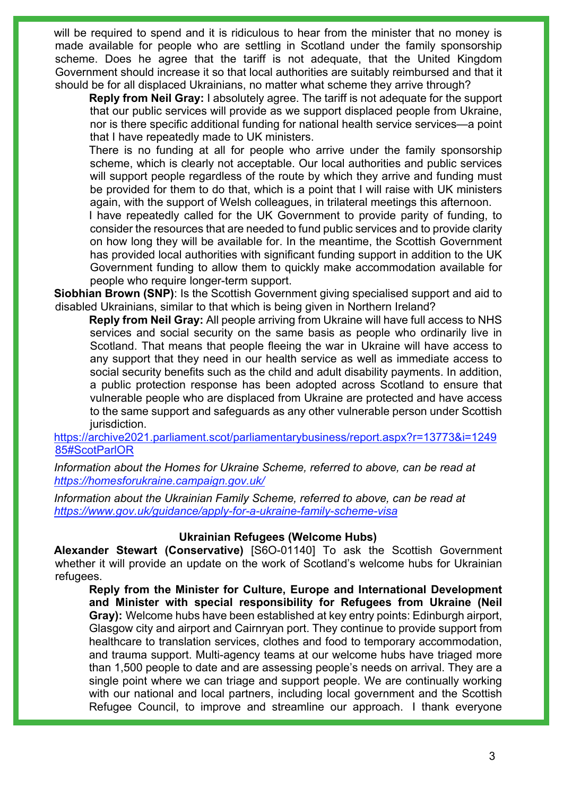will be required to spend and it is ridiculous to hear from the minister that no money is made available for people who are settling in Scotland under the family sponsorship scheme. Does he agree that the tariff is not adequate, that the United Kingdom Government should increase it so that local authorities are suitably reimbursed and that it should be for all displaced Ukrainians, no matter what scheme they arrive through?

**Reply from Neil Gray:** I absolutely agree. The tariff is not adequate for the support that our public services will provide as we support displaced people from Ukraine, nor is there specific additional funding for national health service services—a point that I have repeatedly made to UK ministers.

There is no funding at all for people who arrive under the family sponsorship scheme, which is clearly not acceptable. Our local authorities and public services will support people regardless of the route by which they arrive and funding must be provided for them to do that, which is a point that I will raise with UK ministers again, with the support of Welsh colleagues, in trilateral meetings this afternoon.

I have repeatedly called for the UK Government to provide parity of funding, to consider the resources that are needed to fund public services and to provide clarity on how long they will be available for. In the meantime, the Scottish Government has provided local authorities with significant funding support in addition to the UK Government funding to allow them to quickly make accommodation available for people who require longer-term support.

**Siobhian Brown (SNP)**: Is the Scottish Government giving specialised support and aid to disabled Ukrainians, similar to that which is being given in Northern Ireland?

**Reply from Neil Gray:** All people arriving from Ukraine will have full access to NHS services and social security on the same basis as people who ordinarily live in Scotland. That means that people fleeing the war in Ukraine will have access to any support that they need in our health service as well as immediate access to social security benefits such as the child and adult disability payments. In addition, a public protection response has been adopted across Scotland to ensure that vulnerable people who are displaced from Ukraine are protected and have access to the same support and safeguards as any other vulnerable person under Scottish jurisdiction.

#### [https://archive2021.parliament.scot/parliamentarybusiness/report.aspx?r=13773&i=1249](https://archive2021.parliament.scot/parliamentarybusiness/report.aspx?r=13773&i=124985#ScotParlOR) [85#ScotParlOR](https://archive2021.parliament.scot/parliamentarybusiness/report.aspx?r=13773&i=124985#ScotParlOR)

*Information about the Homes for Ukraine Scheme, referred to above, can be read at <https://homesforukraine.campaign.gov.uk/>*

*Information about the Ukrainian Family Scheme, referred to above, can be read at <https://www.gov.uk/guidance/apply-for-a-ukraine-family-scheme-visa>*

#### **Ukrainian Refugees (Welcome Hubs)**

**Alexander Stewart (Conservative)** [S6O-01140] To ask the Scottish Government whether it will provide an update on the work of Scotland's welcome hubs for Ukrainian refugees.

**Reply from the Minister for Culture, Europe and International Development and Minister with special responsibility for Refugees from Ukraine (Neil Gray):** Welcome hubs have been established at key entry points: Edinburgh airport, Glasgow city and airport and Cairnryan port. They continue to provide support from healthcare to translation services, clothes and food to temporary accommodation, and trauma support. Multi-agency teams at our welcome hubs have triaged more than 1,500 people to date and are assessing people's needs on arrival. They are a single point where we can triage and support people. We are continually working with our national and local partners, including local government and the Scottish Refugee Council, to improve and streamline our approach. I thank everyone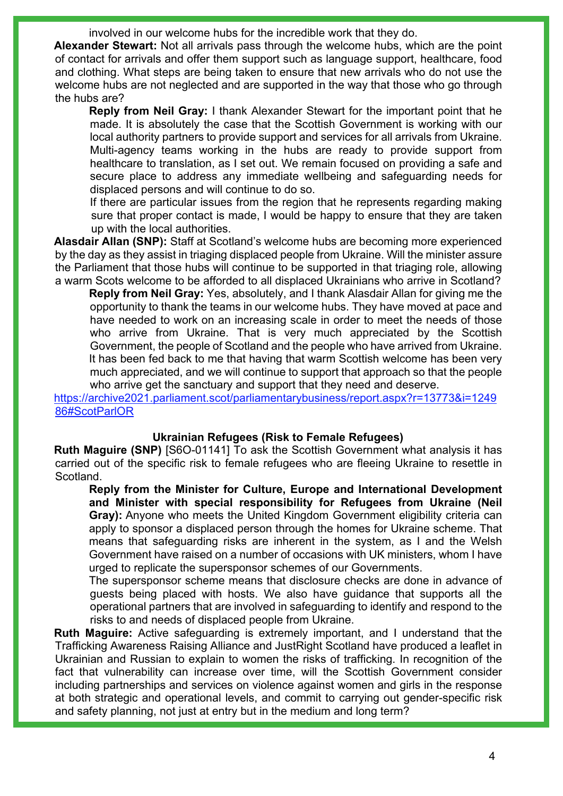involved in our welcome hubs for the incredible work that they do.

**Alexander Stewart:** Not all arrivals pass through the welcome hubs, which are the point of contact for arrivals and offer them support such as language support, healthcare, food and clothing. What steps are being taken to ensure that new arrivals who do not use the welcome hubs are not neglected and are supported in the way that those who go through the hubs are?

**Reply from Neil Gray:** I thank Alexander Stewart for the important point that he made. It is absolutely the case that the Scottish Government is working with our local authority partners to provide support and services for all arrivals from Ukraine. Multi-agency teams working in the hubs are ready to provide support from healthcare to translation, as I set out. We remain focused on providing a safe and secure place to address any immediate wellbeing and safeguarding needs for displaced persons and will continue to do so.

If there are particular issues from the region that he represents regarding making sure that proper contact is made, I would be happy to ensure that they are taken up with the local authorities.

**Alasdair Allan (SNP):** Staff at Scotland's welcome hubs are becoming more experienced by the day as they assist in triaging displaced people from Ukraine. Will the minister assure the Parliament that those hubs will continue to be supported in that triaging role, allowing a warm Scots welcome to be afforded to all displaced Ukrainians who arrive in Scotland?

**Reply from Neil Gray:** Yes, absolutely, and I thank Alasdair Allan for giving me the opportunity to thank the teams in our welcome hubs. They have moved at pace and have needed to work on an increasing scale in order to meet the needs of those who arrive from Ukraine. That is very much appreciated by the Scottish Government, the people of Scotland and the people who have arrived from Ukraine. It has been fed back to me that having that warm Scottish welcome has been very much appreciated, and we will continue to support that approach so that the people who arrive get the sanctuary and support that they need and deserve.

[https://archive2021.parliament.scot/parliamentarybusiness/report.aspx?r=13773&i=1249](https://archive2021.parliament.scot/parliamentarybusiness/report.aspx?r=13773&i=124986#ScotParlOR) [86#ScotParlOR](https://archive2021.parliament.scot/parliamentarybusiness/report.aspx?r=13773&i=124986#ScotParlOR)

#### **Ukrainian Refugees (Risk to Female Refugees)**

**Ruth Maguire (SNP)** [S6O-01141] To ask the Scottish Government what analysis it has carried out of the specific risk to female refugees who are fleeing Ukraine to resettle in Scotland.

**Reply from the Minister for Culture, Europe and International Development and Minister with special responsibility for Refugees from Ukraine (Neil Gray):** Anyone who meets the United Kingdom Government eligibility criteria can apply to sponsor a displaced person through the homes for Ukraine scheme. That means that safeguarding risks are inherent in the system, as I and the Welsh Government have raised on a number of occasions with UK ministers, whom I have urged to replicate the supersponsor schemes of our Governments.

The supersponsor scheme means that disclosure checks are done in advance of guests being placed with hosts. We also have guidance that supports all the operational partners that are involved in safeguarding to identify and respond to the risks to and needs of displaced people from Ukraine.

**Ruth Maguire:** Active safeguarding is extremely important, and I understand that the Trafficking Awareness Raising Alliance and JustRight Scotland have produced a leaflet in Ukrainian and Russian to explain to women the risks of trafficking. In recognition of the fact that vulnerability can increase over time, will the Scottish Government consider including partnerships and services on violence against women and girls in the response at both strategic and operational levels, and commit to carrying out gender-specific risk and safety planning, not just at entry but in the medium and long term?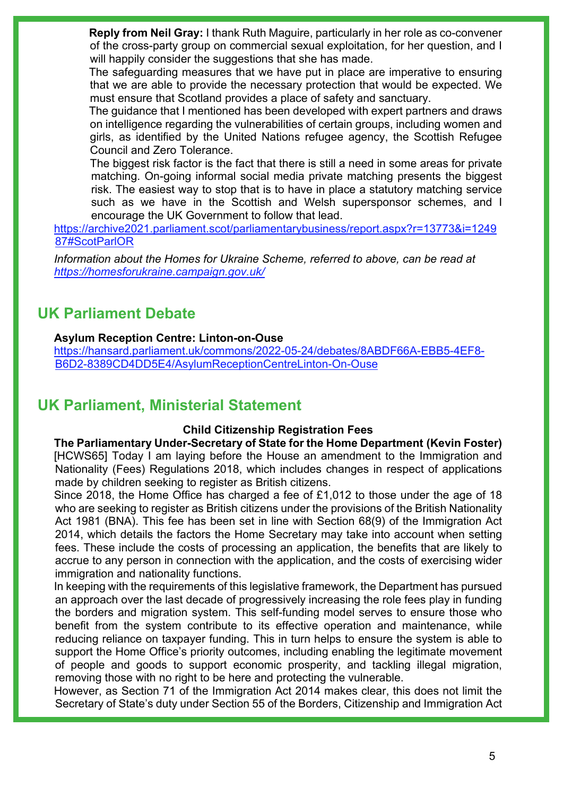**Reply from Neil Gray:** I thank Ruth Maguire, particularly in her role as co-convener of the cross-party group on commercial sexual exploitation, for her question, and I will happily consider the suggestions that she has made.

The safeguarding measures that we have put in place are imperative to ensuring that we are able to provide the necessary protection that would be expected. We must ensure that Scotland provides a place of safety and sanctuary.

The guidance that I mentioned has been developed with expert partners and draws on intelligence regarding the vulnerabilities of certain groups, including women and girls, as identified by the United Nations refugee agency, the Scottish Refugee Council and Zero Tolerance.

The biggest risk factor is the fact that there is still a need in some areas for private matching. On-going informal social media private matching presents the biggest risk. The easiest way to stop that is to have in place a statutory matching service such as we have in the Scottish and Welsh supersponsor schemes, and I encourage the UK Government to follow that lead.

[https://archive2021.parliament.scot/parliamentarybusiness/report.aspx?r=13773&i=1249](https://archive2021.parliament.scot/parliamentarybusiness/report.aspx?r=13773&i=124987#ScotParlOR) [87#ScotParlOR](https://archive2021.parliament.scot/parliamentarybusiness/report.aspx?r=13773&i=124987#ScotParlOR)

*Information about the Homes for Ukraine Scheme, referred to above, can be read at <https://homesforukraine.campaign.gov.uk/>*

## **UK Parliament Debate**

### **Asylum Reception Centre: Linton-on-Ouse**

[https://hansard.parliament.uk/commons/2022-05-24/debates/8ABDF66A-EBB5-4EF8-](https://hansard.parliament.uk/commons/2022-05-24/debates/8ABDF66A-EBB5-4EF8-B6D2-8389CD4DD5E4/AsylumReceptionCentreLinton-On-Ouse) [B6D2-8389CD4DD5E4/AsylumReceptionCentreLinton-On-Ouse](https://hansard.parliament.uk/commons/2022-05-24/debates/8ABDF66A-EBB5-4EF8-B6D2-8389CD4DD5E4/AsylumReceptionCentreLinton-On-Ouse)

## **UK Parliament, Ministerial Statement**

### **Child Citizenship Registration Fees**

**The Parliamentary Under-Secretary of State for the Home Department (Kevin Foster)** [HCWS65] Today I am laying before the House an amendment to the Immigration and Nationality (Fees) Regulations 2018, which includes changes in respect of applications made by children seeking to register as British citizens.

Since 2018, the Home Office has charged a fee of £1,012 to those under the age of 18 who are seeking to register as British citizens under the provisions of the British Nationality Act 1981 (BNA). This fee has been set in line with Section 68(9) of the Immigration Act 2014, which details the factors the Home Secretary may take into account when setting fees. These include the costs of processing an application, the benefits that are likely to accrue to any person in connection with the application, and the costs of exercising wider immigration and nationality functions.

In keeping with the requirements of this legislative framework, the Department has pursued an approach over the last decade of progressively increasing the role fees play in funding the borders and migration system. This self-funding model serves to ensure those who benefit from the system contribute to its effective operation and maintenance, while reducing reliance on taxpayer funding. This in turn helps to ensure the system is able to support the Home Office's priority outcomes, including enabling the legitimate movement of people and goods to support economic prosperity, and tackling illegal migration, removing those with no right to be here and protecting the vulnerable.

However, as Section 71 of the Immigration Act 2014 makes clear, this does not limit the Secretary of State's duty under Section 55 of the Borders, Citizenship and Immigration Act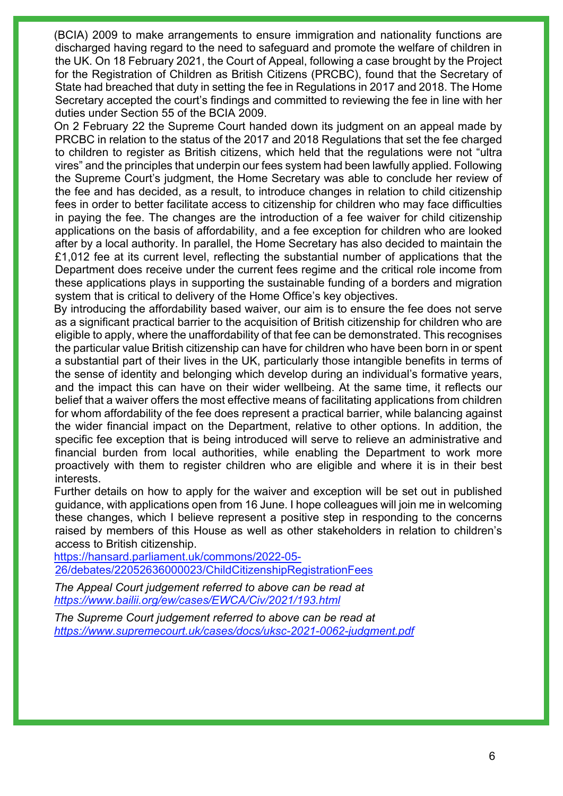(BCIA) 2009 to make arrangements to ensure immigration and nationality functions are discharged having regard to the need to safeguard and promote the welfare of children in the UK. On 18 February 2021, the Court of Appeal, following a case brought by the Project for the Registration of Children as British Citizens (PRCBC), found that the Secretary of State had breached that duty in setting the fee in Regulations in 2017 and 2018. The Home Secretary accepted the court's findings and committed to reviewing the fee in line with her duties under Section 55 of the BCIA 2009.

On 2 February 22 the Supreme Court handed down its judgment on an appeal made by PRCBC in relation to the status of the 2017 and 2018 Regulations that set the fee charged to children to register as British citizens, which held that the regulations were not "ultra vires" and the principles that underpin our fees system had been lawfully applied. Following the Supreme Court's judgment, the Home Secretary was able to conclude her review of the fee and has decided, as a result, to introduce changes in relation to child citizenship fees in order to better facilitate access to citizenship for children who may face difficulties in paying the fee. The changes are the introduction of a fee waiver for child citizenship applications on the basis of affordability, and a fee exception for children who are looked after by a local authority. In parallel, the Home Secretary has also decided to maintain the £1,012 fee at its current level, reflecting the substantial number of applications that the Department does receive under the current fees regime and the critical role income from these applications plays in supporting the sustainable funding of a borders and migration system that is critical to delivery of the Home Office's key objectives.

By introducing the affordability based waiver, our aim is to ensure the fee does not serve as a significant practical barrier to the acquisition of British citizenship for children who are eligible to apply, where the unaffordability of that fee can be demonstrated. This recognises the particular value British citizenship can have for children who have been born in or spent a substantial part of their lives in the UK, particularly those intangible benefits in terms of the sense of identity and belonging which develop during an individual's formative years, and the impact this can have on their wider wellbeing. At the same time, it reflects our belief that a waiver offers the most effective means of facilitating applications from children for whom affordability of the fee does represent a practical barrier, while balancing against the wider financial impact on the Department, relative to other options. In addition, the specific fee exception that is being introduced will serve to relieve an administrative and financial burden from local authorities, while enabling the Department to work more proactively with them to register children who are eligible and where it is in their best interests.

Further details on how to apply for the waiver and exception will be set out in published guidance, with applications open from 16 June. I hope colleagues will join me in welcoming these changes, which I believe represent a positive step in responding to the concerns raised by members of this House as well as other stakeholders in relation to children's access to British citizenship.

[https://hansard.parliament.uk/commons/2022-05-](https://hansard.parliament.uk/commons/2022-05-26/debates/22052636000023/ChildCitizenshipRegistrationFees) [26/debates/22052636000023/ChildCitizenshipRegistrationFees](https://hansard.parliament.uk/commons/2022-05-26/debates/22052636000023/ChildCitizenshipRegistrationFees) 

*The Appeal Court judgement referred to above can be read at <https://www.bailii.org/ew/cases/EWCA/Civ/2021/193.html>*

*The Supreme Court judgement referred to above can be read at <https://www.supremecourt.uk/cases/docs/uksc-2021-0062-judgment.pdf>*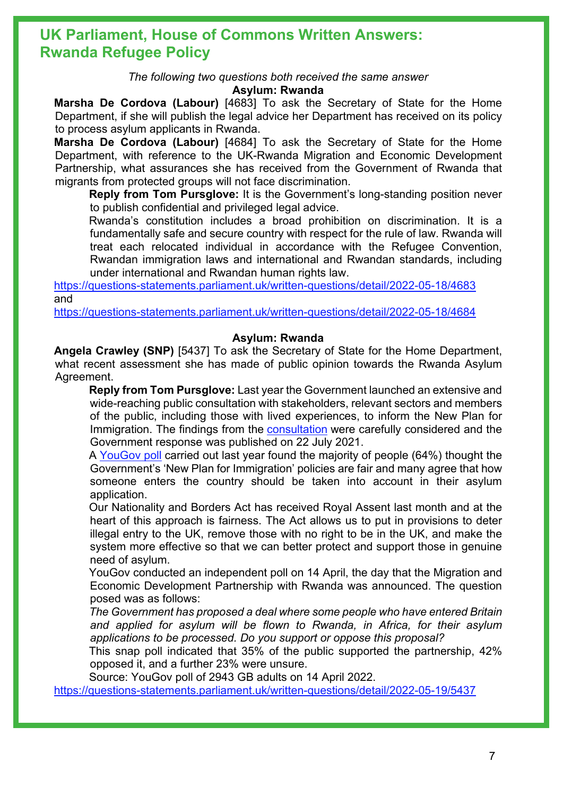## **UK Parliament, House of Commons Written Answers: Rwanda Refugee Policy**

*The following two questions both received the same answer*

#### **Asylum: Rwanda**

**Marsha De Cordova (Labour)** [4683] To ask the Secretary of State for the Home Department, if she will publish the legal advice her Department has received on its policy to process asylum applicants in Rwanda.

**Marsha De Cordova (Labour)** [4684] To ask the Secretary of State for the Home Department, with reference to the UK-Rwanda Migration and Economic Development Partnership, what assurances she has received from the Government of Rwanda that migrants from protected groups will not face discrimination.

**Reply from Tom Pursglove:** It is the Government's long-standing position never to publish confidential and privileged legal advice.

Rwanda's constitution includes a broad prohibition on discrimination. It is a fundamentally safe and secure country with respect for the rule of law. Rwanda will treat each relocated individual in accordance with the Refugee Convention, Rwandan immigration laws and international and Rwandan standards, including under international and Rwandan human rights law.

<https://questions-statements.parliament.uk/written-questions/detail/2022-05-18/4683> and

<https://questions-statements.parliament.uk/written-questions/detail/2022-05-18/4684>

#### **Asylum: Rwanda**

**Angela Crawley (SNP)** [5437] To ask the Secretary of State for the Home Department, what recent assessment she has made of public opinion towards the Rwanda Asylum Agreement.

**Reply from Tom Pursglove:** Last year the Government launched an extensive and wide-reaching public consultation with stakeholders, relevant sectors and members of the public, including those with lived experiences, to inform the New Plan for Immigration. The findings from the [consultation](https://gbr01.safelinks.protection.outlook.com/?url=https%3A%2F%2Fassets.publishing.service.gov.uk%2Fgovernment%2Fuploads%2Fsystem%2Fuploads%2Fattachment_data%2Ffile%2F1005042%2FCCS207_CCS0621755000-001_Consultation_Response_New_Plan_Immigration_Web_Accessible.pdf&data=05%7C01%7CLucy.Tuson%40homeoffice.gov.uk%7C5a81d931a4df41d0b83108da3a5e480e%7Cf24d93ecb2914192a08af182245945c2%7C0%7C0%7C637886473847064302%7CUnknown%7CTWFpbGZsb3d8eyJWIjoiMC4wLjAwMDAiLCJQIjoiV2luMzIiLCJBTiI6Ik1haWwiLCJXVCI6Mn0%3D%7C3000%7C%7C%7C&sdata=1EuHgMjXyCPJJz1xtcv6V8NR%2FSx%2BRnTx24C3%2BZSinWg%3D&reserved=0) were carefully considered and the Government response was published on 22 July 2021.

A [YouGov poll](https://gbr01.safelinks.protection.outlook.com/?url=https%3A%2F%2Fyougov.co.uk%2Ftopics%2Fpolitics%2Farticles-reports%2F2021%2F06%2F09%2Fbritons-tend-think-governments-new-plan-immigratio&data=05%7C01%7CLucy.Tuson%40homeoffice.gov.uk%7C5a81d931a4df41d0b83108da3a5e480e%7Cf24d93ecb2914192a08af182245945c2%7C0%7C0%7C637886473847064302%7CUnknown%7CTWFpbGZsb3d8eyJWIjoiMC4wLjAwMDAiLCJQIjoiV2luMzIiLCJBTiI6Ik1haWwiLCJXVCI6Mn0%3D%7C3000%7C%7C%7C&sdata=ToaNrjrLsOc5DUrAUAEO6VeMOklNLp%2F3IMhz%2F3VDuHw%3D&reserved=0) carried out last year found the majority of people (64%) thought the Government's 'New Plan for Immigration' policies are fair and many agree that how someone enters the country should be taken into account in their asylum application.

Our Nationality and Borders Act has received Royal Assent last month and at the heart of this approach is fairness. The Act allows us to put in provisions to deter illegal entry to the UK, remove those with no right to be in the UK, and make the system more effective so that we can better protect and support those in genuine need of asylum.

YouGov conducted an independent poll on 14 April, the day that the Migration and Economic Development Partnership with Rwanda was announced. The question posed was as follows:

*The Government has proposed a deal where some people who have entered Britain and applied for asylum will be flown to Rwanda, in Africa, for their asylum applications to be processed. Do you support or oppose this proposal?*

This snap poll indicated that 35% of the public supported the partnership, 42% opposed it, and a further 23% were unsure.

Source: YouGov poll of 2943 GB adults on 14 April 2022.

<https://questions-statements.parliament.uk/written-questions/detail/2022-05-19/5437>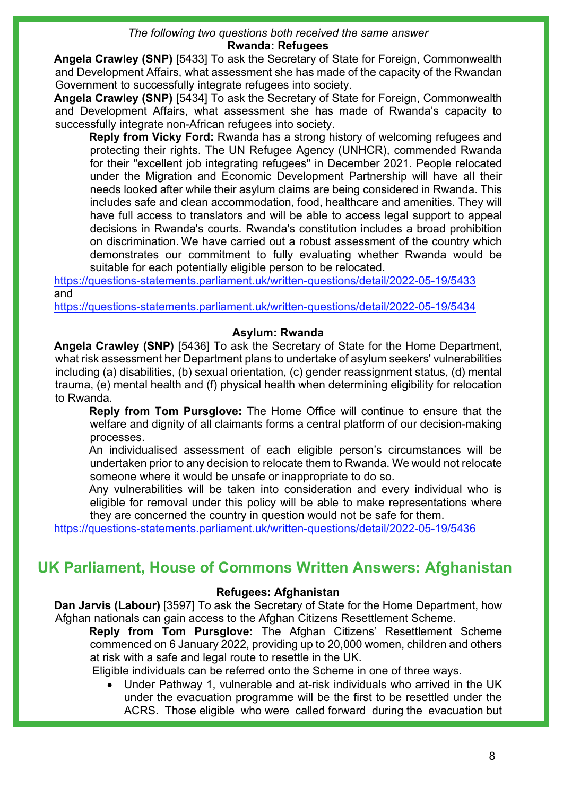#### *The following two questions both received the same answer* **Rwanda: Refugees**

**Angela Crawley (SNP)** [5433] To ask the Secretary of State for Foreign, Commonwealth and Development Affairs, what assessment she has made of the capacity of the Rwandan Government to successfully integrate refugees into society.

**Angela Crawley (SNP)** [5434] To ask the Secretary of State for Foreign, Commonwealth and Development Affairs, what assessment she has made of Rwanda's capacity to successfully integrate non-African refugees into society.

**Reply from Vicky Ford:** Rwanda has a strong history of welcoming refugees and protecting their rights. The UN Refugee Agency (UNHCR), commended Rwanda for their "excellent job integrating refugees" in December 2021. People relocated under the Migration and Economic Development Partnership will have all their needs looked after while their asylum claims are being considered in Rwanda. This includes safe and clean accommodation, food, healthcare and amenities. They will have full access to translators and will be able to access legal support to appeal decisions in Rwanda's courts. Rwanda's constitution includes a broad prohibition on discrimination. We have carried out a robust assessment of the country which demonstrates our commitment to fully evaluating whether Rwanda would be suitable for each potentially eligible person to be relocated.

<https://questions-statements.parliament.uk/written-questions/detail/2022-05-19/5433> and

<https://questions-statements.parliament.uk/written-questions/detail/2022-05-19/5434>

### **Asylum: Rwanda**

**Angela Crawley (SNP)** [5436] To ask the Secretary of State for the Home Department, what risk assessment her Department plans to undertake of asylum seekers' vulnerabilities including (a) disabilities, (b) sexual orientation, (c) gender reassignment status, (d) mental trauma, (e) mental health and (f) physical health when determining eligibility for relocation to Rwanda.

**Reply from Tom Pursglove:** The Home Office will continue to ensure that the welfare and dignity of all claimants forms a central platform of our decision-making processes.

An individualised assessment of each eligible person's circumstances will be undertaken prior to any decision to relocate them to Rwanda. We would not relocate someone where it would be unsafe or inappropriate to do so.

Any vulnerabilities will be taken into consideration and every individual who is eligible for removal under this policy will be able to make representations where they are concerned the country in question would not be safe for them.

<https://questions-statements.parliament.uk/written-questions/detail/2022-05-19/5436>

## **UK Parliament, House of Commons Written Answers: Afghanistan**

#### **Refugees: Afghanistan**

**Dan Jarvis (Labour)** [3597] To ask the Secretary of State for the Home Department, how Afghan nationals can gain access to the Afghan Citizens Resettlement Scheme.

**Reply from Tom Pursglove:** The Afghan Citizens' Resettlement Scheme commenced on 6 January 2022, providing up to 20,000 women, children and others at risk with a safe and legal route to resettle in the UK.

Eligible individuals can be referred onto the Scheme in one of three ways.

• Under Pathway 1, vulnerable and at-risk individuals who arrived in the UK under the evacuation programme will be the first to be resettled under the ACRS. Those eligible who were called forward during the evacuation but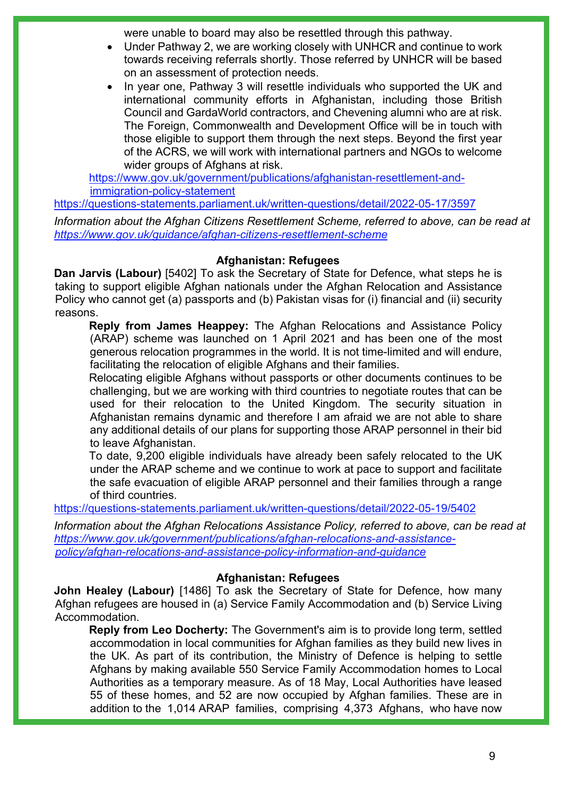were unable to board may also be resettled through this pathway.

- Under Pathway 2, we are working closely with UNHCR and continue to work towards receiving referrals shortly. Those referred by UNHCR will be based on an assessment of protection needs.
- In year one, Pathway 3 will resettle individuals who supported the UK and international community efforts in Afghanistan, including those British Council and GardaWorld contractors, and Chevening alumni who are at risk. The Foreign, Commonwealth and Development Office will be in touch with those eligible to support them through the next steps. Beyond the first year of the ACRS, we will work with international partners and NGOs to welcome wider groups of Afghans at risk.

[https://www.gov.uk/government/publications/afghanistan-resettlement-and](https://gbr01.safelinks.protection.outlook.com/?url=https%3A%2F%2Fwww.gov.uk%2Fgovernment%2Fpublications%2Fafghanistan-resettlement-and-immigration-policy-statement&data=05%7C01%7Cresettlementpolicy%40homeoffice.gov.uk%7C014583cf2eb9445046f208da38d84c0d%7Cf24d93ecb2914192a08af182245945c2%7C0%7C0%7C637884798873167457%7CUnknown%7CTWFpbGZsb3d8eyJWIjoiMC4wLjAwMDAiLCJQIjoiV2luMzIiLCJBTiI6Ik1haWwiLCJXVCI6Mn0%3D%7C3000%7C%7C%7C&sdata=lMX82VD1CC1R4yvnA56ETEWU448J%2BIPOJrMpvF%2FhGn8%3D&reserved=0)[immigration-policy-statement](https://gbr01.safelinks.protection.outlook.com/?url=https%3A%2F%2Fwww.gov.uk%2Fgovernment%2Fpublications%2Fafghanistan-resettlement-and-immigration-policy-statement&data=05%7C01%7Cresettlementpolicy%40homeoffice.gov.uk%7C014583cf2eb9445046f208da38d84c0d%7Cf24d93ecb2914192a08af182245945c2%7C0%7C0%7C637884798873167457%7CUnknown%7CTWFpbGZsb3d8eyJWIjoiMC4wLjAwMDAiLCJQIjoiV2luMzIiLCJBTiI6Ik1haWwiLCJXVCI6Mn0%3D%7C3000%7C%7C%7C&sdata=lMX82VD1CC1R4yvnA56ETEWU448J%2BIPOJrMpvF%2FhGn8%3D&reserved=0)

<https://questions-statements.parliament.uk/written-questions/detail/2022-05-17/3597>

*Information about the Afghan Citizens Resettlement Scheme, referred to above, can be read at <https://www.gov.uk/guidance/afghan-citizens-resettlement-scheme>*

### **Afghanistan: Refugees**

**Dan Jarvis (Labour)** [5402] To ask the Secretary of State for Defence, what steps he is taking to support eligible Afghan nationals under the Afghan Relocation and Assistance Policy who cannot get (a) passports and (b) Pakistan visas for (i) financial and (ii) security reasons.

**Reply from James Heappey:** The Afghan Relocations and Assistance Policy (ARAP) scheme was launched on 1 April 2021 and has been one of the most generous relocation programmes in the world. It is not time-limited and will endure, facilitating the relocation of eligible Afghans and their families.

Relocating eligible Afghans without passports or other documents continues to be challenging, but we are working with third countries to negotiate routes that can be used for their relocation to the United Kingdom. The security situation in Afghanistan remains dynamic and therefore I am afraid we are not able to share any additional details of our plans for supporting those ARAP personnel in their bid to leave Afghanistan.

To date, 9,200 eligible individuals have already been safely relocated to the UK under the ARAP scheme and we continue to work at pace to support and facilitate the safe evacuation of eligible ARAP personnel and their families through a range of third countries.

<https://questions-statements.parliament.uk/written-questions/detail/2022-05-19/5402>

*Information about the Afghan Relocations Assistance Policy, referred to above, can be read at [https://www.gov.uk/government/publications/afghan-relocations-and-assistance](https://www.gov.uk/government/publications/afghan-relocations-and-assistance-policy/afghan-relocations-and-assistance-policy-information-and-guidance)[policy/afghan-relocations-and-assistance-policy-information-and-guidance](https://www.gov.uk/government/publications/afghan-relocations-and-assistance-policy/afghan-relocations-and-assistance-policy-information-and-guidance)*

#### **Afghanistan: Refugees**

**John Healey (Labour)** [1486] To ask the Secretary of State for Defence, how many Afghan refugees are housed in (a) Service Family Accommodation and (b) Service Living Accommodation.

**Reply from Leo Docherty:** The Government's aim is to provide long term, settled accommodation in local communities for Afghan families as they build new lives in the UK. As part of its contribution, the Ministry of Defence is helping to settle Afghans by making available 550 Service Family Accommodation homes to Local Authorities as a temporary measure. As of 18 May, Local Authorities have leased 55 of these homes, and 52 are now occupied by Afghan families. These are in addition to the 1,014 ARAP families, comprising 4,373 Afghans, who have now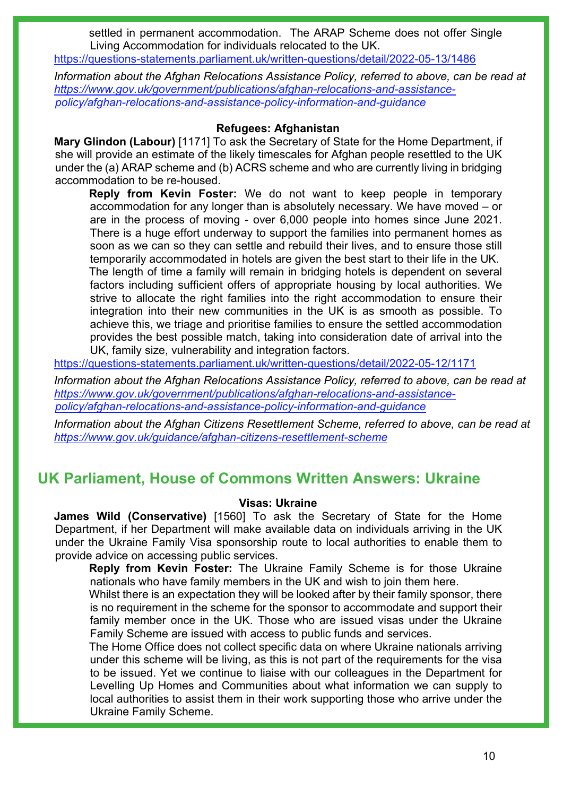settled in permanent accommodation. The ARAP Scheme does not offer Single Living Accommodation for individuals relocated to the UK.

<https://questions-statements.parliament.uk/written-questions/detail/2022-05-13/1486>

*Information about the Afghan Relocations Assistance Policy, referred to above, can be read at [https://www.gov.uk/government/publications/afghan-relocations-and-assistance](https://www.gov.uk/government/publications/afghan-relocations-and-assistance-policy/afghan-relocations-and-assistance-policy-information-and-guidance)[policy/afghan-relocations-and-assistance-policy-information-and-guidance](https://www.gov.uk/government/publications/afghan-relocations-and-assistance-policy/afghan-relocations-and-assistance-policy-information-and-guidance)*

#### **Refugees: Afghanistan**

**Mary Glindon (Labour)** [1171] To ask the Secretary of State for the Home Department, if she will provide an estimate of the likely timescales for Afghan people resettled to the UK under the (a) ARAP scheme and (b) ACRS scheme and who are currently living in bridging accommodation to be re-housed.

**Reply from Kevin Foster:** We do not want to keep people in temporary accommodation for any longer than is absolutely necessary. We have moved – or are in the process of moving - over 6,000 people into homes since June 2021. There is a huge effort underway to support the families into permanent homes as soon as we can so they can settle and rebuild their lives, and to ensure those still temporarily accommodated in hotels are given the best start to their life in the UK. The length of time a family will remain in bridging hotels is dependent on several factors including sufficient offers of appropriate housing by local authorities. We strive to allocate the right families into the right accommodation to ensure their integration into their new communities in the UK is as smooth as possible. To achieve this, we triage and prioritise families to ensure the settled accommodation provides the best possible match, taking into consideration date of arrival into the UK, family size, vulnerability and integration factors.

<https://questions-statements.parliament.uk/written-questions/detail/2022-05-12/1171>

*Information about the Afghan Relocations Assistance Policy, referred to above, can be read at [https://www.gov.uk/government/publications/afghan-relocations-and-assistance](https://www.gov.uk/government/publications/afghan-relocations-and-assistance-policy/afghan-relocations-and-assistance-policy-information-and-guidance)[policy/afghan-relocations-and-assistance-policy-information-and-guidance](https://www.gov.uk/government/publications/afghan-relocations-and-assistance-policy/afghan-relocations-and-assistance-policy-information-and-guidance)*

*Information about the Afghan Citizens Resettlement Scheme, referred to above, can be read at <https://www.gov.uk/guidance/afghan-citizens-resettlement-scheme>*

## **UK Parliament, House of Commons Written Answers: Ukraine**

#### **Visas: Ukraine**

**James Wild (Conservative)** [1560] To ask the Secretary of State for the Home Department, if her Department will make available data on individuals arriving in the UK under the Ukraine Family Visa sponsorship route to local authorities to enable them to provide advice on accessing public services.

**Reply from Kevin Foster:** The Ukraine Family Scheme is for those Ukraine nationals who have family members in the UK and wish to join them here.

Whilst there is an expectation they will be looked after by their family sponsor, there is no requirement in the scheme for the sponsor to accommodate and support their family member once in the UK. Those who are issued visas under the Ukraine Family Scheme are issued with access to public funds and services.

The Home Office does not collect specific data on where Ukraine nationals arriving under this scheme will be living, as this is not part of the requirements for the visa to be issued. Yet we continue to liaise with our colleagues in the Department for Levelling Up Homes and Communities about what information we can supply to local authorities to assist them in their work supporting those who arrive under the Ukraine Family Scheme.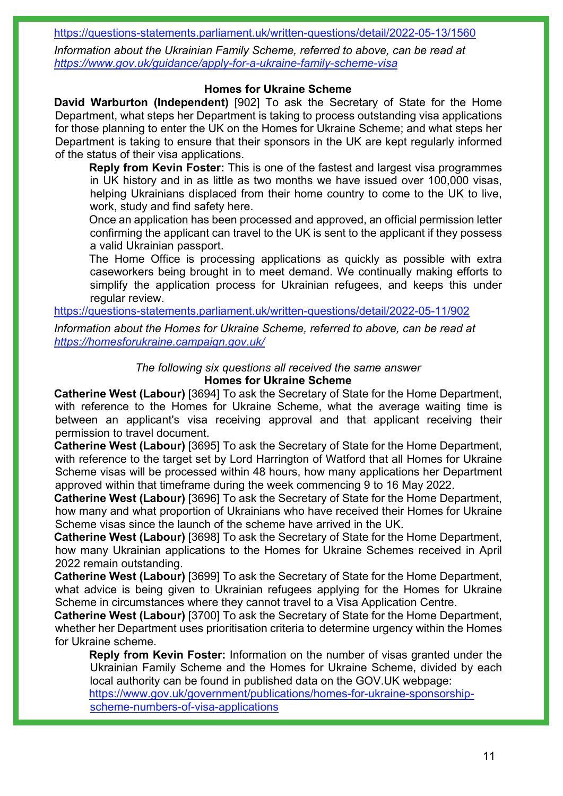<https://questions-statements.parliament.uk/written-questions/detail/2022-05-13/1560>

*Information about the Ukrainian Family Scheme, referred to above, can be read at <https://www.gov.uk/guidance/apply-for-a-ukraine-family-scheme-visa>*

### **Homes for Ukraine Scheme**

**David Warburton (Independent)** [902] To ask the Secretary of State for the Home Department, what steps her Department is taking to process outstanding visa applications for those planning to enter the UK on the Homes for Ukraine Scheme; and what steps her Department is taking to ensure that their sponsors in the UK are kept regularly informed of the status of their visa applications.

**Reply from Kevin Foster:** This is one of the fastest and largest visa programmes in UK history and in as little as two months we have issued over 100,000 visas, helping Ukrainians displaced from their home country to come to the UK to live, work, study and find safety here.

Once an application has been processed and approved, an official permission letter confirming the applicant can travel to the UK is sent to the applicant if they possess a valid Ukrainian passport.

The Home Office is processing applications as quickly as possible with extra caseworkers being brought in to meet demand. We continually making efforts to simplify the application process for Ukrainian refugees, and keeps this under regular review.

<https://questions-statements.parliament.uk/written-questions/detail/2022-05-11/902>

*Information about the Homes for Ukraine Scheme, referred to above, can be read at <https://homesforukraine.campaign.gov.uk/>*

#### *The following six questions all received the same answer* **Homes for Ukraine Scheme**

**Catherine West (Labour)** [3694] To ask the Secretary of State for the Home Department, with reference to the Homes for Ukraine Scheme, what the average waiting time is between an applicant's visa receiving approval and that applicant receiving their permission to travel document.

**Catherine West (Labour)** [3695] To ask the Secretary of State for the Home Department, with reference to the target set by Lord Harrington of Watford that all Homes for Ukraine Scheme visas will be processed within 48 hours, how many applications her Department approved within that timeframe during the week commencing 9 to 16 May 2022.

**Catherine West (Labour)** [3696] To ask the Secretary of State for the Home Department, how many and what proportion of Ukrainians who have received their Homes for Ukraine Scheme visas since the launch of the scheme have arrived in the UK.

**Catherine West (Labour)** [3698] To ask the Secretary of State for the Home Department, how many Ukrainian applications to the Homes for Ukraine Schemes received in April 2022 remain outstanding.

**Catherine West (Labour)** [3699] To ask the Secretary of State for the Home Department, what advice is being given to Ukrainian refugees applying for the Homes for Ukraine Scheme in circumstances where they cannot travel to a Visa Application Centre.

**Catherine West (Labour)** [3700] To ask the Secretary of State for the Home Department, whether her Department uses prioritisation criteria to determine urgency within the Homes for Ukraine scheme.

**Reply from Kevin Foster:** Information on the number of visas granted under the Ukrainian Family Scheme and the Homes for Ukraine Scheme, divided by each local authority can be found in published data on the GOV.UK webpage: [https://www.gov.uk/government/publications/homes-for-ukraine-sponsorship-](https://www.gov.uk/government/publications/homes-for-ukraine-sponsorship-scheme-numbers-of-visa-applications)

[scheme-numbers-of-visa-applications](https://www.gov.uk/government/publications/homes-for-ukraine-sponsorship-scheme-numbers-of-visa-applications)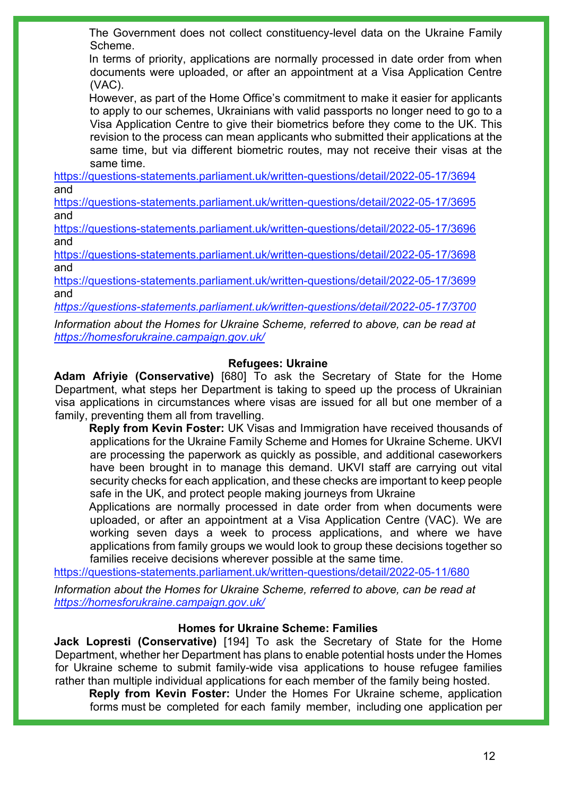The Government does not collect constituency-level data on the Ukraine Family Scheme.

In terms of priority, applications are normally processed in date order from when documents were uploaded, or after an appointment at a Visa Application Centre (VAC).

However, as part of the Home Office's commitment to make it easier for applicants to apply to our schemes. Ukrainians with valid passports no longer need to go to a Visa Application Centre to give their biometrics before they come to the UK. This revision to the process can mean applicants who submitted their applications at the same time, but via different biometric routes, may not receive their visas at the same time.

<https://questions-statements.parliament.uk/written-questions/detail/2022-05-17/3694> and

<https://questions-statements.parliament.uk/written-questions/detail/2022-05-17/3695> and

<https://questions-statements.parliament.uk/written-questions/detail/2022-05-17/3696> and

<https://questions-statements.parliament.uk/written-questions/detail/2022-05-17/3698> and

<https://questions-statements.parliament.uk/written-questions/detail/2022-05-17/3699> and

*<https://questions-statements.parliament.uk/written-questions/detail/2022-05-17/3700>*

*Information about the Homes for Ukraine Scheme, referred to above, can be read at <https://homesforukraine.campaign.gov.uk/>*

### **Refugees: Ukraine**

**Adam Afriyie (Conservative)** [680] To ask the Secretary of State for the Home Department, what steps her Department is taking to speed up the process of Ukrainian visa applications in circumstances where visas are issued for all but one member of a family, preventing them all from travelling.

**Reply from Kevin Foster:** UK Visas and Immigration have received thousands of applications for the Ukraine Family Scheme and Homes for Ukraine Scheme. UKVI are processing the paperwork as quickly as possible, and additional caseworkers have been brought in to manage this demand. UKVI staff are carrying out vital security checks for each application, and these checks are important to keep people safe in the UK, and protect people making journeys from Ukraine

Applications are normally processed in date order from when documents were uploaded, or after an appointment at a Visa Application Centre (VAC). We are working seven days a week to process applications, and where we have applications from family groups we would look to group these decisions together so families receive decisions wherever possible at the same time.

<https://questions-statements.parliament.uk/written-questions/detail/2022-05-11/680>

*Information about the Homes for Ukraine Scheme, referred to above, can be read at <https://homesforukraine.campaign.gov.uk/>*

### **Homes for Ukraine Scheme: Families**

**Jack Lopresti (Conservative)** [194] To ask the Secretary of State for the Home Department, whether her Department has plans to enable potential hosts under the Homes for Ukraine scheme to submit family-wide visa applications to house refugee families rather than multiple individual applications for each member of the family being hosted.

**Reply from Kevin Foster:** Under the Homes For Ukraine scheme, application forms must be completed for each family member, including one application per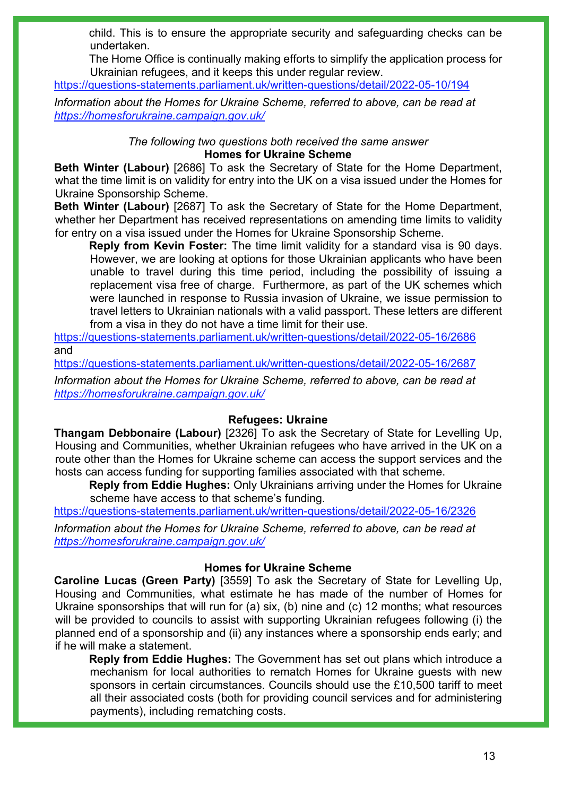child. This is to ensure the appropriate security and safeguarding checks can be undertaken.

The Home Office is continually making efforts to simplify the application process for Ukrainian refugees, and it keeps this under regular review.

<https://questions-statements.parliament.uk/written-questions/detail/2022-05-10/194>

*Information about the Homes for Ukraine Scheme, referred to above, can be read at <https://homesforukraine.campaign.gov.uk/>*

> *The following two questions both received the same answer* **Homes for Ukraine Scheme**

**Beth Winter (Labour)** [2686] To ask the Secretary of State for the Home Department, what the time limit is on validity for entry into the UK on a visa issued under the Homes for Ukraine Sponsorship Scheme.

**Beth Winter (Labour)** [2687] To ask the Secretary of State for the Home Department, whether her Department has received representations on amending time limits to validity for entry on a visa issued under the Homes for Ukraine Sponsorship Scheme.

**Reply from Kevin Foster:** The time limit validity for a standard visa is 90 days. However, we are looking at options for those Ukrainian applicants who have been unable to travel during this time period, including the possibility of issuing a replacement visa free of charge. Furthermore, as part of the UK schemes which were launched in response to Russia invasion of Ukraine, we issue permission to travel letters to Ukrainian nationals with a valid passport. These letters are different from a visa in they do not have a time limit for their use.

<https://questions-statements.parliament.uk/written-questions/detail/2022-05-16/2686> and

<https://questions-statements.parliament.uk/written-questions/detail/2022-05-16/2687>

*Information about the Homes for Ukraine Scheme, referred to above, can be read at <https://homesforukraine.campaign.gov.uk/>*

### **Refugees: Ukraine**

**Thangam Debbonaire (Labour)** [2326] To ask the Secretary of State for Levelling Up, Housing and Communities, whether Ukrainian refugees who have arrived in the UK on a route other than the Homes for Ukraine scheme can access the support services and the hosts can access funding for supporting families associated with that scheme.

**Reply from Eddie Hughes:** Only Ukrainians arriving under the Homes for Ukraine scheme have access to that scheme's funding.

<https://questions-statements.parliament.uk/written-questions/detail/2022-05-16/2326>

*Information about the Homes for Ukraine Scheme, referred to above, can be read at <https://homesforukraine.campaign.gov.uk/>*

### **Homes for Ukraine Scheme**

**Caroline Lucas (Green Party)** [3559] To ask the Secretary of State for Levelling Up, Housing and Communities, what estimate he has made of the number of Homes for Ukraine sponsorships that will run for (a) six, (b) nine and (c) 12 months; what resources will be provided to councils to assist with supporting Ukrainian refugees following (i) the planned end of a sponsorship and (ii) any instances where a sponsorship ends early; and if he will make a statement.

**Reply from Eddie Hughes:** The Government has set out plans which introduce a mechanism for local authorities to rematch Homes for Ukraine guests with new sponsors in certain circumstances. Councils should use the £10,500 tariff to meet all their associated costs (both for providing council services and for administering payments), including rematching costs.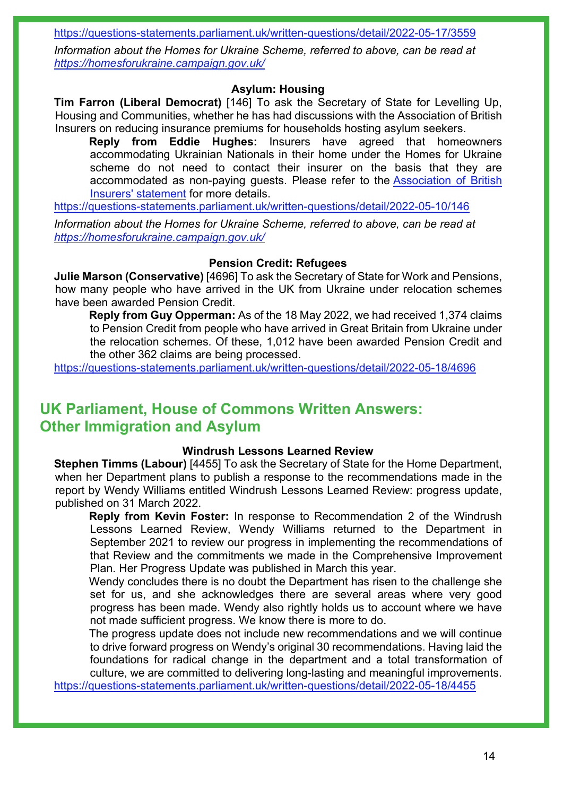<https://questions-statements.parliament.uk/written-questions/detail/2022-05-17/3559>

*Information about the Homes for Ukraine Scheme, referred to above, can be read at <https://homesforukraine.campaign.gov.uk/>*

#### **Asylum: Housing**

**Tim Farron (Liberal Democrat)** [146] To ask the Secretary of State for Levelling Up, Housing and Communities, whether he has had discussions with the Association of British Insurers on reducing insurance premiums for households hosting asylum seekers.

**Reply from Eddie Hughes:** Insurers have agreed that homeowners accommodating Ukrainian Nationals in their home under the Homes for Ukraine scheme do not need to contact their insurer on the basis that they are accommodated as non-paying guests. Please refer to the [Association of British](https://gbr01.safelinks.protection.outlook.com/?url=https%3A%2F%2Fwww.abi.org.uk%2Fproducts-and-issues%2Ftopics-and-issues%2Fukraine-crisis%2F&data=05%7C01%7CParliamentary%40levellingup.gov.uk%7Ced76a07fe3ed4a99da9e08da3da5306d%7Cbf3468109c7d43dea87224a2ef3995a8%7C0%7C0%7C637890076922860548%7CUnknown%7CTWFpbGZsb3d8eyJWIjoiMC4wLjAwMDAiLCJQIjoiV2luMzIiLCJBTiI6Ik1haWwiLCJXVCI6Mn0%3D%7C3000%7C%7C%7C&sdata=ZdP2QuCCV8xZ5icCEYZY4jpsQVJwImRMjMig5HsmUmc%3D&reserved=0)  [Insurers' statement](https://gbr01.safelinks.protection.outlook.com/?url=https%3A%2F%2Fwww.abi.org.uk%2Fproducts-and-issues%2Ftopics-and-issues%2Fukraine-crisis%2F&data=05%7C01%7CParliamentary%40levellingup.gov.uk%7Ced76a07fe3ed4a99da9e08da3da5306d%7Cbf3468109c7d43dea87224a2ef3995a8%7C0%7C0%7C637890076922860548%7CUnknown%7CTWFpbGZsb3d8eyJWIjoiMC4wLjAwMDAiLCJQIjoiV2luMzIiLCJBTiI6Ik1haWwiLCJXVCI6Mn0%3D%7C3000%7C%7C%7C&sdata=ZdP2QuCCV8xZ5icCEYZY4jpsQVJwImRMjMig5HsmUmc%3D&reserved=0) for more details.

<https://questions-statements.parliament.uk/written-questions/detail/2022-05-10/146>

*Information about the Homes for Ukraine Scheme, referred to above, can be read at <https://homesforukraine.campaign.gov.uk/>*

#### **Pension Credit: Refugees**

**Julie Marson (Conservative)** [4696] To ask the Secretary of State for Work and Pensions, how many people who have arrived in the UK from Ukraine under relocation schemes have been awarded Pension Credit.

**Reply from Guy Opperman:** As of the 18 May 2022, we had received 1,374 claims to Pension Credit from people who have arrived in Great Britain from Ukraine under the relocation schemes. Of these, 1,012 have been awarded Pension Credit and the other 362 claims are being processed.

<https://questions-statements.parliament.uk/written-questions/detail/2022-05-18/4696>

## **UK Parliament, House of Commons Written Answers: Other Immigration and Asylum**

#### **Windrush Lessons Learned Review**

**Stephen Timms (Labour)** [4455] To ask the Secretary of State for the Home Department, when her Department plans to publish a response to the recommendations made in the report by Wendy Williams entitled Windrush Lessons Learned Review: progress update, published on 31 March 2022.

**Reply from Kevin Foster:** In response to Recommendation 2 of the Windrush Lessons Learned Review, Wendy Williams returned to the Department in September 2021 to review our progress in implementing the recommendations of that Review and the commitments we made in the Comprehensive Improvement Plan. Her Progress Update was published in March this year.

Wendy concludes there is no doubt the Department has risen to the challenge she set for us, and she acknowledges there are several areas where very good progress has been made. Wendy also rightly holds us to account where we have not made sufficient progress. We know there is more to do.

The progress update does not include new recommendations and we will continue to drive forward progress on Wendy's original 30 recommendations. Having laid the foundations for radical change in the department and a total transformation of culture, we are committed to delivering long-lasting and meaningful improvements.

<https://questions-statements.parliament.uk/written-questions/detail/2022-05-18/4455>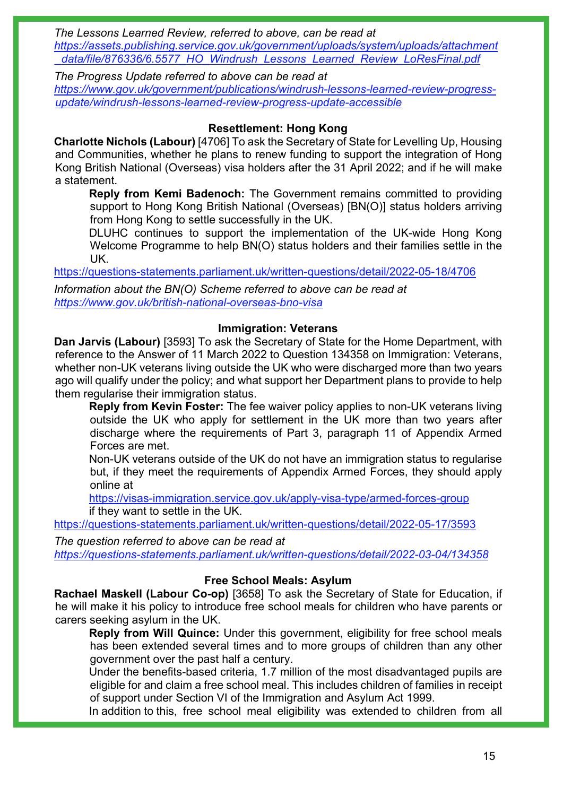*The Lessons Learned Review, referred to above, can be read at [https://assets.publishing.service.gov.uk/government/uploads/system/uploads/attachment](https://assets.publishing.service.gov.uk/government/uploads/system/uploads/attachment_data/file/876336/6.5577_HO_Windrush_Lessons_Learned_Review_LoResFinal.pdf) [\\_data/file/876336/6.5577\\_HO\\_Windrush\\_Lessons\\_Learned\\_Review\\_LoResFinal.pdf](https://assets.publishing.service.gov.uk/government/uploads/system/uploads/attachment_data/file/876336/6.5577_HO_Windrush_Lessons_Learned_Review_LoResFinal.pdf)* 

*The Progress Update referred to above can be read at [https://www.gov.uk/government/publications/windrush-lessons-learned-review-progress](https://www.gov.uk/government/publications/windrush-lessons-learned-review-progress-update/windrush-lessons-learned-review-progress-update-accessible)[update/windrush-lessons-learned-review-progress-update-accessible](https://www.gov.uk/government/publications/windrush-lessons-learned-review-progress-update/windrush-lessons-learned-review-progress-update-accessible)* 

### **Resettlement: Hong Kong**

**Charlotte Nichols (Labour)** [4706] To ask the Secretary of State for Levelling Up, Housing and Communities, whether he plans to renew funding to support the integration of Hong Kong British National (Overseas) visa holders after the 31 April 2022; and if he will make a statement.

**Reply from Kemi Badenoch:** The Government remains committed to providing support to Hong Kong British National (Overseas) [BN(O)] status holders arriving from Hong Kong to settle successfully in the UK.

DLUHC continues to support the implementation of the UK-wide Hong Kong Welcome Programme to help BN(O) status holders and their families settle in the UK.

<https://questions-statements.parliament.uk/written-questions/detail/2022-05-18/4706>

*Information about the BN(O) Scheme referred to above can be read at <https://www.gov.uk/british-national-overseas-bno-visa>*

### **Immigration: Veterans**

**Dan Jarvis (Labour)** [3593] To ask the Secretary of State for the Home Department, with reference to the Answer of 11 March 2022 to Question 134358 on Immigration: Veterans, whether non-UK veterans living outside the UK who were discharged more than two years ago will qualify under the policy; and what support her Department plans to provide to help them regularise their immigration status.

**Reply from Kevin Foster:** The fee waiver policy applies to non-UK veterans living outside the UK who apply for settlement in the UK more than two years after discharge where the requirements of Part 3, paragraph 11 of Appendix Armed Forces are met.

Non-UK veterans outside of the UK do not have an immigration status to regularise but, if they meet the requirements of Appendix Armed Forces, they should apply online at

<https://visas-immigration.service.gov.uk/apply-visa-type/armed-forces-group> if they want to settle in the UK.

<https://questions-statements.parliament.uk/written-questions/detail/2022-05-17/3593>

*The question referred to above can be read at <https://questions-statements.parliament.uk/written-questions/detail/2022-03-04/134358>*

### **Free School Meals: Asylum**

**Rachael Maskell (Labour Co-op)** [3658] To ask the Secretary of State for Education, if he will make it his policy to introduce free school meals for children who have parents or carers seeking asylum in the UK.

**Reply from Will Quince:** Under this government, eligibility for free school meals has been extended several times and to more groups of children than any other government over the past half a century.

Under the benefits-based criteria, 1.7 million of the most disadvantaged pupils are eligible for and claim a free school meal. This includes children of families in receipt of support under Section VI of the Immigration and Asylum Act 1999.

In addition to this, free school meal eligibility was extended to children from all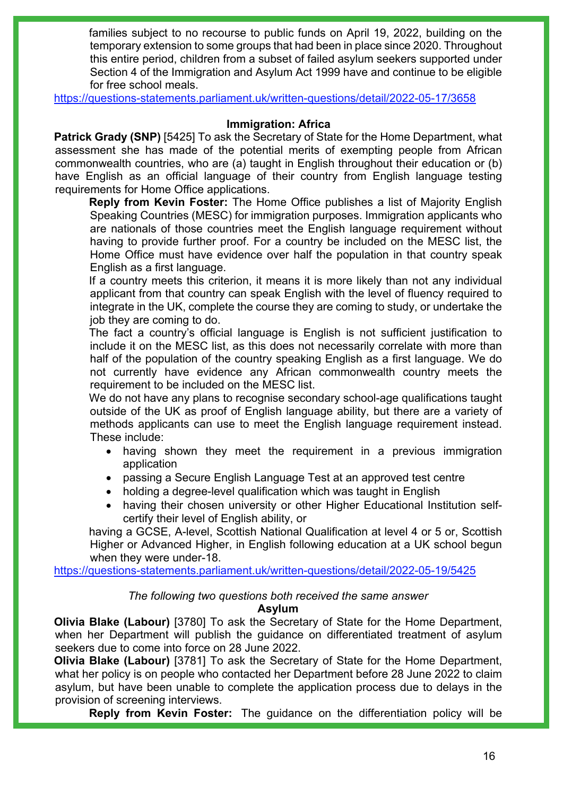families subject to no recourse to public funds on April 19, 2022, building on the temporary extension to some groups that had been in place since 2020. Throughout this entire period, children from a subset of failed asylum seekers supported under Section 4 of the Immigration and Asylum Act 1999 have and continue to be eligible for free school meals.

<https://questions-statements.parliament.uk/written-questions/detail/2022-05-17/3658>

### **Immigration: Africa**

**Patrick Grady (SNP)** [5425] To ask the Secretary of State for the Home Department, what assessment she has made of the potential merits of exempting people from African commonwealth countries, who are (a) taught in English throughout their education or (b) have English as an official language of their country from English language testing requirements for Home Office applications.

**Reply from Kevin Foster:** The Home Office publishes a list of Majority English Speaking Countries (MESC) for immigration purposes. Immigration applicants who are nationals of those countries meet the English language requirement without having to provide further proof. For a country be included on the MESC list, the Home Office must have evidence over half the population in that country speak English as a first language.

If a country meets this criterion, it means it is more likely than not any individual applicant from that country can speak English with the level of fluency required to integrate in the UK, complete the course they are coming to study, or undertake the job they are coming to do.

The fact a country's official language is English is not sufficient justification to include it on the MESC list, as this does not necessarily correlate with more than half of the population of the country speaking English as a first language. We do not currently have evidence any African commonwealth country meets the requirement to be included on the MESC list.

We do not have any plans to recognise secondary school-age qualifications taught outside of the UK as proof of English language ability, but there are a variety of methods applicants can use to meet the English language requirement instead. These include:

- having shown they meet the requirement in a previous immigration application
- passing a Secure English Language Test at an approved test centre
- holding a degree-level qualification which was taught in English
- having their chosen university or other Higher Educational Institution selfcertify their level of English ability, or

having a GCSE, A-level, Scottish National Qualification at level 4 or 5 or, Scottish Higher or Advanced Higher, in English following education at a UK school begun when they were under-18.

<https://questions-statements.parliament.uk/written-questions/detail/2022-05-19/5425>

#### *The following two questions both received the same answer*

#### **Asylum**

**Olivia Blake (Labour)** [3780] To ask the Secretary of State for the Home Department, when her Department will publish the guidance on differentiated treatment of asylum seekers due to come into force on 28 June 2022.

**Olivia Blake (Labour)** [3781] To ask the Secretary of State for the Home Department, what her policy is on people who contacted her Department before 28 June 2022 to claim asylum, but have been unable to complete the application process due to delays in the provision of screening interviews.

**Reply from Kevin Foster:** The guidance on the differentiation policy will be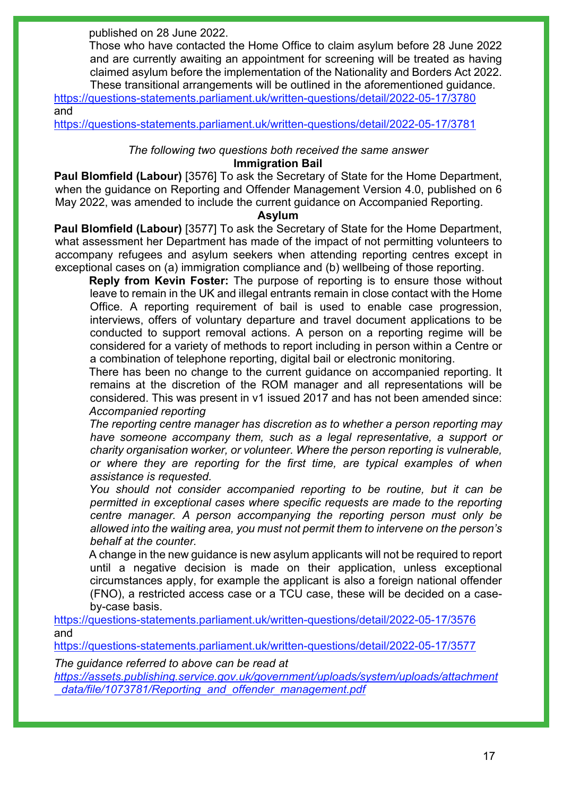published on 28 June 2022.

Those who have contacted the Home Office to claim asylum before 28 June 2022 and are currently awaiting an appointment for screening will be treated as having claimed asylum before the implementation of the Nationality and Borders Act 2022. These transitional arrangements will be outlined in the aforementioned guidance.

<https://questions-statements.parliament.uk/written-questions/detail/2022-05-17/3780> and

<https://questions-statements.parliament.uk/written-questions/detail/2022-05-17/3781>

### *The following two questions both received the same answer*

#### **Immigration Bail**

**Paul Blomfield (Labour)** [3576] To ask the Secretary of State for the Home Department, when the guidance on Reporting and Offender Management Version 4.0, published on 6 May 2022, was amended to include the current guidance on Accompanied Reporting.

#### **Asylum**

**Paul Blomfield (Labour)** [3577] To ask the Secretary of State for the Home Department, what assessment her Department has made of the impact of not permitting volunteers to accompany refugees and asylum seekers when attending reporting centres except in exceptional cases on (a) immigration compliance and (b) wellbeing of those reporting.

**Reply from Kevin Foster:** The purpose of reporting is to ensure those without leave to remain in the UK and illegal entrants remain in close contact with the Home Office. A reporting requirement of bail is used to enable case progression, interviews, offers of voluntary departure and travel document applications to be conducted to support removal actions. A person on a reporting regime will be considered for a variety of methods to report including in person within a Centre or a combination of telephone reporting, digital bail or electronic monitoring.

There has been no change to the current guidance on accompanied reporting. It remains at the discretion of the ROM manager and all representations will be considered. This was present in v1 issued 2017 and has not been amended since: *Accompanied reporting*

*The reporting centre manager has discretion as to whether a person reporting may have someone accompany them, such as a legal representative, a support or charity organisation worker, or volunteer. Where the person reporting is vulnerable, or where they are reporting for the first time, are typical examples of when assistance is requested.*

*You should not consider accompanied reporting to be routine, but it can be permitted in exceptional cases where specific requests are made to the reporting centre manager. A person accompanying the reporting person must only be allowed into the waiting area, you must not permit them to intervene on the person's behalf at the counter.*

A change in the new guidance is new asylum applicants will not be required to report until a negative decision is made on their application, unless exceptional circumstances apply, for example the applicant is also a foreign national offender (FNO), a restricted access case or a TCU case, these will be decided on a caseby-case basis.

<https://questions-statements.parliament.uk/written-questions/detail/2022-05-17/3576> and

<https://questions-statements.parliament.uk/written-questions/detail/2022-05-17/3577>

*The guidance referred to above can be read at*

*[https://assets.publishing.service.gov.uk/government/uploads/system/uploads/attachment](https://assets.publishing.service.gov.uk/government/uploads/system/uploads/attachment_data/file/1073781/Reporting_and_offender_management.pdf) [\\_data/file/1073781/Reporting\\_and\\_offender\\_management.pdf](https://assets.publishing.service.gov.uk/government/uploads/system/uploads/attachment_data/file/1073781/Reporting_and_offender_management.pdf)*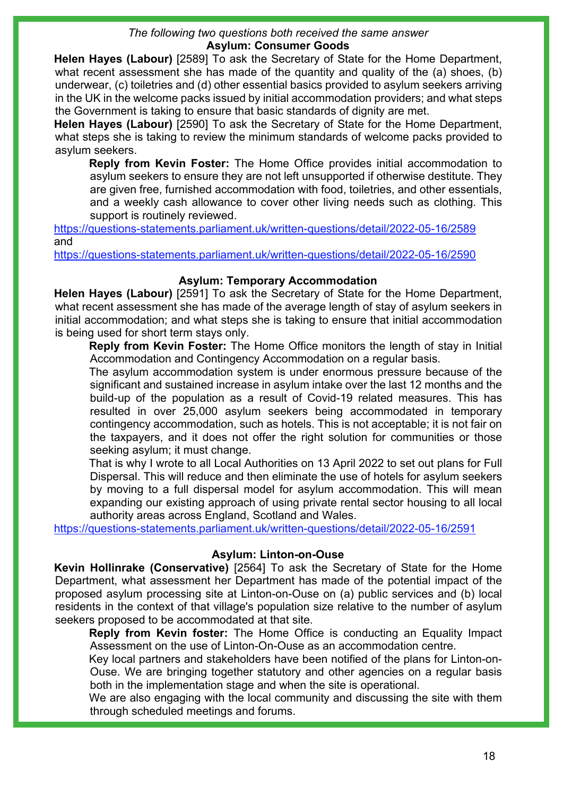#### *The following two questions both received the same answer* **Asylum: Consumer Goods**

**Helen Hayes (Labour)** [2589] To ask the Secretary of State for the Home Department, what recent assessment she has made of the quantity and quality of the (a) shoes, (b) underwear, (c) toiletries and (d) other essential basics provided to asylum seekers arriving in the UK in the welcome packs issued by initial accommodation providers; and what steps the Government is taking to ensure that basic standards of dignity are met.

**Helen Hayes (Labour)** [2590] To ask the Secretary of State for the Home Department, what steps she is taking to review the minimum standards of welcome packs provided to asylum seekers.

**Reply from Kevin Foster:** The Home Office provides initial accommodation to asylum seekers to ensure they are not left unsupported if otherwise destitute. They are given free, furnished accommodation with food, toiletries, and other essentials, and a weekly cash allowance to cover other living needs such as clothing. This support is routinely reviewed.

<https://questions-statements.parliament.uk/written-questions/detail/2022-05-16/2589> and

<https://questions-statements.parliament.uk/written-questions/detail/2022-05-16/2590>

#### **Asylum: Temporary Accommodation**

**Helen Hayes (Labour)** [2591] To ask the Secretary of State for the Home Department, what recent assessment she has made of the average length of stay of asylum seekers in initial accommodation; and what steps she is taking to ensure that initial accommodation is being used for short term stays only.

**Reply from Kevin Foster:** The Home Office monitors the length of stay in Initial Accommodation and Contingency Accommodation on a regular basis.

The asylum accommodation system is under enormous pressure because of the significant and sustained increase in asylum intake over the last 12 months and the build-up of the population as a result of Covid-19 related measures. This has resulted in over 25,000 asylum seekers being accommodated in temporary contingency accommodation, such as hotels. This is not acceptable; it is not fair on the taxpayers, and it does not offer the right solution for communities or those seeking asylum; it must change.

That is why I wrote to all Local Authorities on 13 April 2022 to set out plans for Full Dispersal. This will reduce and then eliminate the use of hotels for asylum seekers by moving to a full dispersal model for asylum accommodation. This will mean expanding our existing approach of using private rental sector housing to all local authority areas across England, Scotland and Wales.

<https://questions-statements.parliament.uk/written-questions/detail/2022-05-16/2591>

#### **Asylum: Linton-on-Ouse**

**Kevin Hollinrake (Conservative)** [2564] To ask the Secretary of State for the Home Department, what assessment her Department has made of the potential impact of the proposed asylum processing site at Linton-on-Ouse on (a) public services and (b) local residents in the context of that village's population size relative to the number of asylum seekers proposed to be accommodated at that site.

**Reply from Kevin foster:** The Home Office is conducting an Equality Impact Assessment on the use of Linton-On-Ouse as an accommodation centre.

Key local partners and stakeholders have been notified of the plans for Linton-on-Ouse. We are bringing together statutory and other agencies on a regular basis both in the implementation stage and when the site is operational.

We are also engaging with the local community and discussing the site with them through scheduled meetings and forums.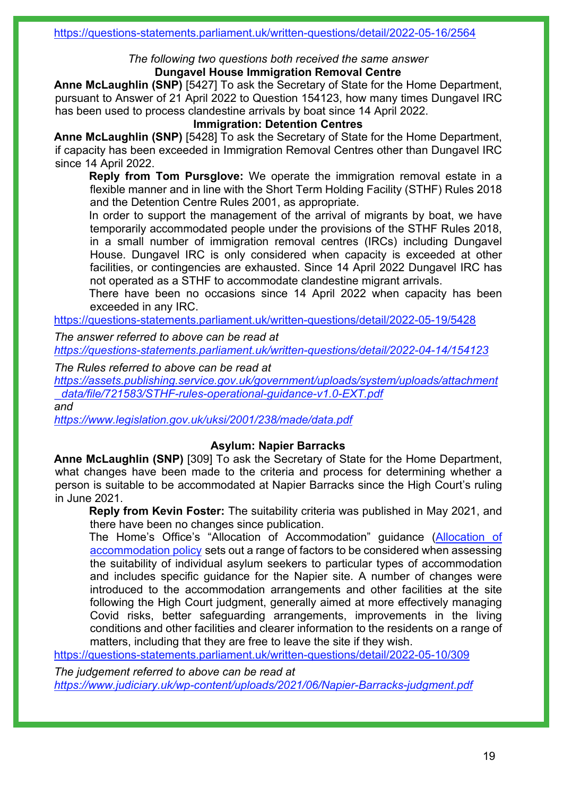#### *The following two questions both received the same answer* **Dungavel House Immigration Removal Centre**

**Anne McLaughlin (SNP)** [5427] To ask the Secretary of State for the Home Department, pursuant to Answer of 21 April 2022 to Question 154123, how many times Dungavel IRC has been used to process clandestine arrivals by boat since 14 April 2022.

### **Immigration: Detention Centres**

**Anne McLaughlin (SNP)** [5428] To ask the Secretary of State for the Home Department, if capacity has been exceeded in Immigration Removal Centres other than Dungavel IRC since 14 April 2022.

**Reply from Tom Pursglove:** We operate the immigration removal estate in a flexible manner and in line with the Short Term Holding Facility (STHF) Rules 2018 and the Detention Centre Rules 2001, as appropriate.

In order to support the management of the arrival of migrants by boat, we have temporarily accommodated people under the provisions of the STHF Rules 2018, in a small number of immigration removal centres (IRCs) including Dungavel House. Dungavel IRC is only considered when capacity is exceeded at other facilities, or contingencies are exhausted. Since 14 April 2022 Dungavel IRC has not operated as a STHF to accommodate clandestine migrant arrivals.

There have been no occasions since 14 April 2022 when capacity has been exceeded in any IRC.

<https://questions-statements.parliament.uk/written-questions/detail/2022-05-19/5428>

*The answer referred to above can be read at*

*<https://questions-statements.parliament.uk/written-questions/detail/2022-04-14/154123>*

*The Rules referred to above can be read at*

*[https://assets.publishing.service.gov.uk/government/uploads/system/uploads/attachment](https://assets.publishing.service.gov.uk/government/uploads/system/uploads/attachment_data/file/721583/STHF-rules-operational-guidance-v1.0-EXT.pdf) [\\_data/file/721583/STHF-rules-operational-guidance-v1.0-EXT.pdf](https://assets.publishing.service.gov.uk/government/uploads/system/uploads/attachment_data/file/721583/STHF-rules-operational-guidance-v1.0-EXT.pdf)*

*and*

*<https://www.legislation.gov.uk/uksi/2001/238/made/data.pdf>*

#### **Asylum: Napier Barracks**

**Anne McLaughlin (SNP)** [309] To ask the Secretary of State for the Home Department, what changes have been made to the criteria and process for determining whether a person is suitable to be accommodated at Napier Barracks since the High Court's ruling in June 2021.

**Reply from Kevin Foster:** The suitability criteria was published in May 2021, and there have been no changes since publication.

The Home's Office's "Allocation of Accommodation" guidance [\(Allocation of](https://gbr01.safelinks.protection.outlook.com/?url=https%3A%2F%2Fassets.publishing.service.gov.uk%2Fgovernment%2Fuploads%2Fsystem%2Fuploads%2Fattachment_data%2Ffile%2F990240%2Fallocation-of-accommodation-v6.0-gov-uk.pdf%23%3A%7E%3Atext%3DThe%2520overriding%2520principle%2520when%2520allocating%2520accommodation%2520is%2520that%2Cwhere%2520the%2520Home%2520Office%2520has%2520a%2520ready%2520supply.&data=05%7C01%7CDavid.Harding%40homeoffice.gov.uk%7C58c2f0968d9f4c1659c608da38b1cc7a%7Cf24d93ecb2914192a08af182245945c2%7C0%7C0%7C637884633524506859%7CUnknown%7CTWFpbGZsb3d8eyJWIjoiMC4wLjAwMDAiLCJQIjoiV2luMzIiLCJBTiI6Ik1haWwiLCJXVCI6Mn0%3D%7C3000%7C%7C%7C&sdata=afIg%2Bi%2B9oKcx312pU4pQ5h3uxv%2FHJf3YPnWYq4Cd8NA%3D&reserved=0)  [accommodation policy](https://gbr01.safelinks.protection.outlook.com/?url=https%3A%2F%2Fassets.publishing.service.gov.uk%2Fgovernment%2Fuploads%2Fsystem%2Fuploads%2Fattachment_data%2Ffile%2F990240%2Fallocation-of-accommodation-v6.0-gov-uk.pdf%23%3A%7E%3Atext%3DThe%2520overriding%2520principle%2520when%2520allocating%2520accommodation%2520is%2520that%2Cwhere%2520the%2520Home%2520Office%2520has%2520a%2520ready%2520supply.&data=05%7C01%7CDavid.Harding%40homeoffice.gov.uk%7C58c2f0968d9f4c1659c608da38b1cc7a%7Cf24d93ecb2914192a08af182245945c2%7C0%7C0%7C637884633524506859%7CUnknown%7CTWFpbGZsb3d8eyJWIjoiMC4wLjAwMDAiLCJQIjoiV2luMzIiLCJBTiI6Ik1haWwiLCJXVCI6Mn0%3D%7C3000%7C%7C%7C&sdata=afIg%2Bi%2B9oKcx312pU4pQ5h3uxv%2FHJf3YPnWYq4Cd8NA%3D&reserved=0) sets out a range of factors to be considered when assessing the suitability of individual asylum seekers to particular types of accommodation and includes specific guidance for the Napier site. A number of changes were introduced to the accommodation arrangements and other facilities at the site following the High Court judgment, generally aimed at more effectively managing Covid risks, better safeguarding arrangements, improvements in the living conditions and other facilities and clearer information to the residents on a range of matters, including that they are free to leave the site if they wish.

<https://questions-statements.parliament.uk/written-questions/detail/2022-05-10/309>

*The judgement referred to above can be read at <https://www.judiciary.uk/wp-content/uploads/2021/06/Napier-Barracks-judgment.pdf>*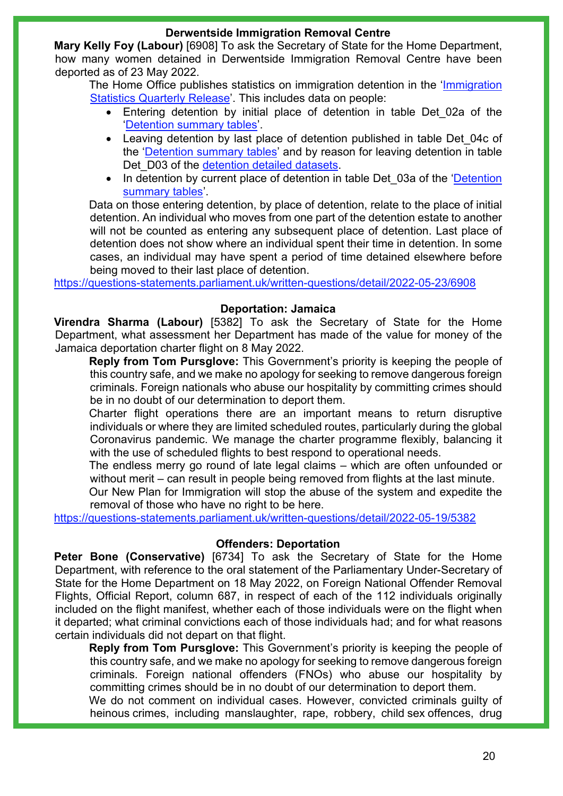#### **Derwentside Immigration Removal Centre**

**Mary Kelly Foy (Labour)** [6908] To ask the Secretary of State for the Home Department, how many women detained in Derwentside Immigration Removal Centre have been deported as of 23 May 2022.

The Home Office publishes statistics on immigration detention in the 'Immigration [Statistics Quarterly Release'.](https://gbr01.safelinks.protection.outlook.com/?url=https%3A%2F%2Fwww.gov.uk%2Fgovernment%2Fcollections%2Fimmigration-statistics-quarterly-release&data=05%7C01%7CAlison.Murrell%40homeoffice.gov.uk%7Ceff6e51a35964e567fd808da3d82d30d%7Cf24d93ecb2914192a08af182245945c2%7C0%7C0%7C637889929332817829%7CUnknown%7CTWFpbGZsb3d8eyJWIjoiMC4wLjAwMDAiLCJQIjoiV2luMzIiLCJBTiI6Ik1haWwiLCJXVCI6Mn0%3D%7C3000%7C%7C%7C&sdata=Rowi6t5mQMvMfc5fpFo3DAtaZseTElCBfueDKYK70hI%3D&reserved=0) This includes data on people:

- Entering detention by initial place of detention in table Det\_02a of the ['Detention summary tables'.](https://gbr01.safelinks.protection.outlook.com/?url=https%3A%2F%2Fassets.publishing.service.gov.uk%2Fgovernment%2Fuploads%2Fsystem%2Fuploads%2Fattachment_data%2Ffile%2F1054673%2Fdetention-summary-dec-2021-tables.ods&data=05%7C01%7CAlison.Murrell%40homeoffice.gov.uk%7Ceff6e51a35964e567fd808da3d82d30d%7Cf24d93ecb2914192a08af182245945c2%7C0%7C0%7C637889929332817829%7CUnknown%7CTWFpbGZsb3d8eyJWIjoiMC4wLjAwMDAiLCJQIjoiV2luMzIiLCJBTiI6Ik1haWwiLCJXVCI6Mn0%3D%7C3000%7C%7C%7C&sdata=Y%2BA4GEQaVMIsbCtYgIn74d2eIHgXKOicFJaMD2uAJoY%3D&reserved=0)
- Leaving detention by last place of detention published in table Det 04c of the ['Detention summary tables'](https://gbr01.safelinks.protection.outlook.com/?url=https%3A%2F%2Fassets.publishing.service.gov.uk%2Fgovernment%2Fuploads%2Fsystem%2Fuploads%2Fattachment_data%2Ffile%2F1054673%2Fdetention-summary-dec-2021-tables.ods&data=05%7C01%7CAlison.Murrell%40homeoffice.gov.uk%7Ceff6e51a35964e567fd808da3d82d30d%7Cf24d93ecb2914192a08af182245945c2%7C0%7C0%7C637889929332817829%7CUnknown%7CTWFpbGZsb3d8eyJWIjoiMC4wLjAwMDAiLCJQIjoiV2luMzIiLCJBTiI6Ik1haWwiLCJXVCI6Mn0%3D%7C3000%7C%7C%7C&sdata=Y%2BA4GEQaVMIsbCtYgIn74d2eIHgXKOicFJaMD2uAJoY%3D&reserved=0) and by reason for leaving detention in table Det D03 of the [detention detailed datasets.](https://gbr01.safelinks.protection.outlook.com/?url=https%3A%2F%2Fwww.gov.uk%2Fgovernment%2Fstatistical-data-sets%2Freturns-and-detention-datasets%23immigration-detention&data=05%7C01%7CAlison.Murrell%40homeoffice.gov.uk%7Ceff6e51a35964e567fd808da3d82d30d%7Cf24d93ecb2914192a08af182245945c2%7C0%7C0%7C637889929332817829%7CUnknown%7CTWFpbGZsb3d8eyJWIjoiMC4wLjAwMDAiLCJQIjoiV2luMzIiLCJBTiI6Ik1haWwiLCJXVCI6Mn0%3D%7C3000%7C%7C%7C&sdata=40IQFZhc1132W71ZU33xnVu%2FWQ%2B23hUUsfYm7%2BFeGpE%3D&reserved=0)
- In detention by current place of detention in table Det 03a of the 'Detention [summary tables'](https://gbr01.safelinks.protection.outlook.com/?url=https%3A%2F%2Fassets.publishing.service.gov.uk%2Fgovernment%2Fuploads%2Fsystem%2Fuploads%2Fattachment_data%2Ffile%2F1054673%2Fdetention-summary-dec-2021-tables.ods&data=05%7C01%7CAlison.Murrell%40homeoffice.gov.uk%7Ceff6e51a35964e567fd808da3d82d30d%7Cf24d93ecb2914192a08af182245945c2%7C0%7C0%7C637889929332817829%7CUnknown%7CTWFpbGZsb3d8eyJWIjoiMC4wLjAwMDAiLCJQIjoiV2luMzIiLCJBTiI6Ik1haWwiLCJXVCI6Mn0%3D%7C3000%7C%7C%7C&sdata=Y%2BA4GEQaVMIsbCtYgIn74d2eIHgXKOicFJaMD2uAJoY%3D&reserved=0).

Data on those entering detention, by place of detention, relate to the place of initial detention. An individual who moves from one part of the detention estate to another will not be counted as entering any subsequent place of detention. Last place of detention does not show where an individual spent their time in detention. In some cases, an individual may have spent a period of time detained elsewhere before being moved to their last place of detention.

<https://questions-statements.parliament.uk/written-questions/detail/2022-05-23/6908>

### **Deportation: Jamaica**

**Virendra Sharma (Labour)** [5382] To ask the Secretary of State for the Home Department, what assessment her Department has made of the value for money of the Jamaica deportation charter flight on 8 May 2022.

**Reply from Tom Pursglove:** This Government's priority is keeping the people of this country safe, and we make no apology for seeking to remove dangerous foreign criminals. Foreign nationals who abuse our hospitality by committing crimes should be in no doubt of our determination to deport them.

Charter flight operations there are an important means to return disruptive individuals or where they are limited scheduled routes, particularly during the global Coronavirus pandemic. We manage the charter programme flexibly, balancing it with the use of scheduled flights to best respond to operational needs.

The endless merry go round of late legal claims – which are often unfounded or without merit – can result in people being removed from flights at the last minute.

Our New Plan for Immigration will stop the abuse of the system and expedite the removal of those who have no right to be here.

<https://questions-statements.parliament.uk/written-questions/detail/2022-05-19/5382>

#### **Offenders: Deportation**

**Peter Bone (Conservative)** [6734] To ask the Secretary of State for the Home Department, with reference to the oral statement of the Parliamentary Under-Secretary of State for the Home Department on 18 May 2022, on Foreign National Offender Removal Flights, Official Report, column 687, in respect of each of the 112 individuals originally included on the flight manifest, whether each of those individuals were on the flight when it departed; what criminal convictions each of those individuals had; and for what reasons certain individuals did not depart on that flight.

**Reply from Tom Pursglove:** This Government's priority is keeping the people of this country safe, and we make no apology for seeking to remove dangerous foreign criminals. Foreign national offenders (FNOs) who abuse our hospitality by committing crimes should be in no doubt of our determination to deport them.

We do not comment on individual cases. However, convicted criminals guilty of heinous crimes, including manslaughter, rape, robbery, child sex offences, drug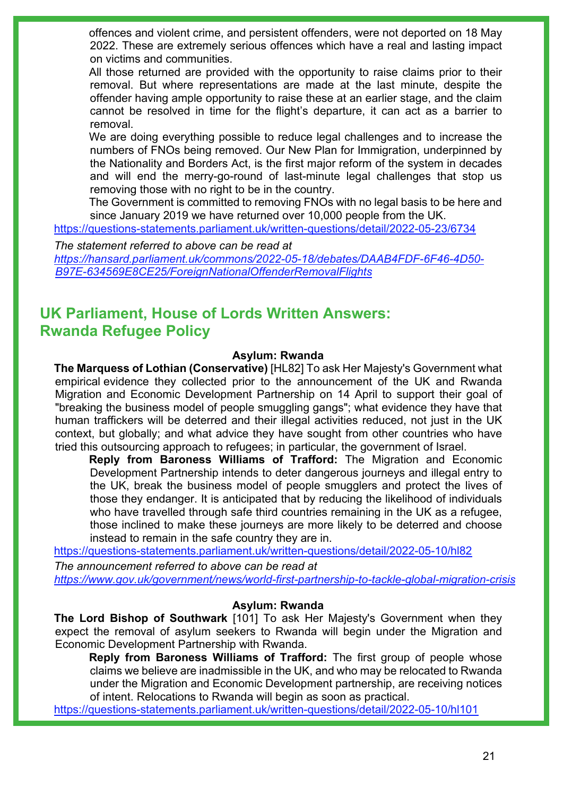offences and violent crime, and persistent offenders, were not deported on 18 May 2022. These are extremely serious offences which have a real and lasting impact on victims and communities.

All those returned are provided with the opportunity to raise claims prior to their removal. But where representations are made at the last minute, despite the offender having ample opportunity to raise these at an earlier stage, and the claim cannot be resolved in time for the flight's departure, it can act as a barrier to removal.

We are doing everything possible to reduce legal challenges and to increase the numbers of FNOs being removed. Our New Plan for Immigration, underpinned by the Nationality and Borders Act, is the first major reform of the system in decades and will end the merry-go-round of last-minute legal challenges that stop us removing those with no right to be in the country.

The Government is committed to removing FNOs with no legal basis to be here and since January 2019 we have returned over 10,000 people from the UK.

<https://questions-statements.parliament.uk/written-questions/detail/2022-05-23/6734>

*The statement referred to above can be read at [https://hansard.parliament.uk/commons/2022-05-18/debates/DAAB4FDF-6F46-4D50-](https://hansard.parliament.uk/commons/2022-05-18/debates/DAAB4FDF-6F46-4D50-B97E-634569E8CE25/ForeignNationalOffenderRemovalFlights) [B97E-634569E8CE25/ForeignNationalOffenderRemovalFlights](https://hansard.parliament.uk/commons/2022-05-18/debates/DAAB4FDF-6F46-4D50-B97E-634569E8CE25/ForeignNationalOffenderRemovalFlights)* 

## **UK Parliament, House of Lords Written Answers: Rwanda Refugee Policy**

#### **Asylum: Rwanda**

**The Marquess of Lothian (Conservative)** [HL82] To ask Her Majesty's Government what empirical evidence they collected prior to the announcement of the UK and Rwanda Migration and Economic Development Partnership on 14 April to support their goal of "breaking the business model of people smuggling gangs"; what evidence they have that human traffickers will be deterred and their illegal activities reduced, not just in the UK context, but globally; and what advice they have sought from other countries who have tried this outsourcing approach to refugees; in particular, the government of Israel.

**Reply from Baroness Williams of Trafford:** The Migration and Economic Development Partnership intends to deter dangerous journeys and illegal entry to the UK, break the business model of people smugglers and protect the lives of those they endanger. It is anticipated that by reducing the likelihood of individuals who have travelled through safe third countries remaining in the UK as a refugee, those inclined to make these journeys are more likely to be deterred and choose instead to remain in the safe country they are in.

<https://questions-statements.parliament.uk/written-questions/detail/2022-05-10/hl82>

*The announcement referred to above can be read at <https://www.gov.uk/government/news/world-first-partnership-to-tackle-global-migration-crisis>*

#### **Asylum: Rwanda**

**The Lord Bishop of Southwark** [101] To ask Her Majesty's Government when they expect the removal of asylum seekers to Rwanda will begin under the Migration and Economic Development Partnership with Rwanda.

**Reply from Baroness Williams of Trafford:** The first group of people whose claims we believe are inadmissible in the UK, and who may be relocated to Rwanda under the Migration and Economic Development partnership, are receiving notices of intent. Relocations to Rwanda will begin as soon as practical.

<https://questions-statements.parliament.uk/written-questions/detail/2022-05-10/hl101>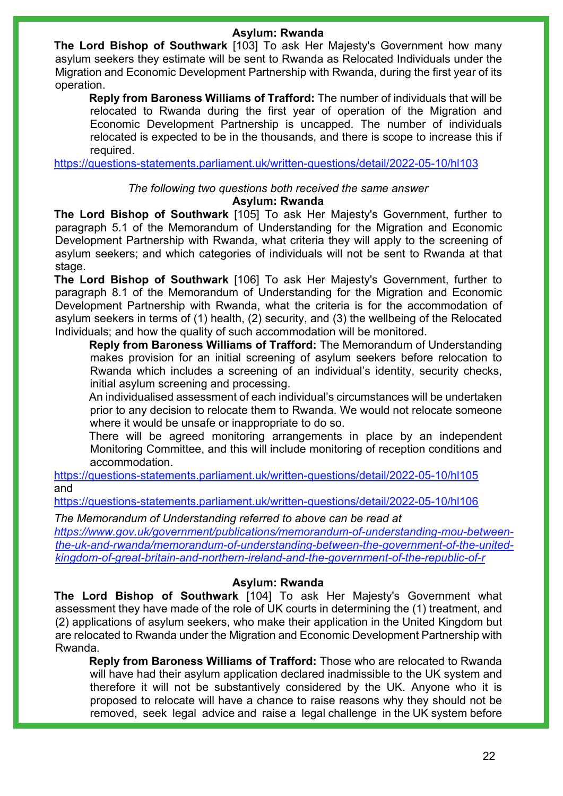### **Asylum: Rwanda**

**The Lord Bishop of Southwark** [103] To ask Her Majesty's Government how many asylum seekers they estimate will be sent to Rwanda as Relocated Individuals under the Migration and Economic Development Partnership with Rwanda, during the first year of its operation.

**Reply from Baroness Williams of Trafford:** The number of individuals that will be relocated to Rwanda during the first year of operation of the Migration and Economic Development Partnership is uncapped. The number of individuals relocated is expected to be in the thousands, and there is scope to increase this if required.

<https://questions-statements.parliament.uk/written-questions/detail/2022-05-10/hl103>

#### *The following two questions both received the same answer*

#### **Asylum: Rwanda**

**The Lord Bishop of Southwark** [105] To ask Her Majesty's Government, further to paragraph 5.1 of the Memorandum of Understanding for the Migration and Economic Development Partnership with Rwanda, what criteria they will apply to the screening of asylum seekers; and which categories of individuals will not be sent to Rwanda at that stage.

**The Lord Bishop of Southwark** [106] To ask Her Majesty's Government, further to paragraph 8.1 of the Memorandum of Understanding for the Migration and Economic Development Partnership with Rwanda, what the criteria is for the accommodation of asylum seekers in terms of (1) health, (2) security, and (3) the wellbeing of the Relocated Individuals; and how the quality of such accommodation will be monitored.

**Reply from Baroness Williams of Trafford:** The Memorandum of Understanding makes provision for an initial screening of asylum seekers before relocation to Rwanda which includes a screening of an individual's identity, security checks, initial asylum screening and processing.

An individualised assessment of each individual's circumstances will be undertaken prior to any decision to relocate them to Rwanda. We would not relocate someone where it would be unsafe or inappropriate to do so.

There will be agreed monitoring arrangements in place by an independent Monitoring Committee, and this will include monitoring of reception conditions and accommodation.

<https://questions-statements.parliament.uk/written-questions/detail/2022-05-10/hl105> and

<https://questions-statements.parliament.uk/written-questions/detail/2022-05-10/hl106>

*The Memorandum of Understanding referred to above can be read at [https://www.gov.uk/government/publications/memorandum-of-understanding-mou-between](https://www.gov.uk/government/publications/memorandum-of-understanding-mou-between-the-uk-and-rwanda/memorandum-of-understanding-between-the-government-of-the-united-kingdom-of-great-britain-and-northern-ireland-and-the-government-of-the-republic-of-r)[the-uk-and-rwanda/memorandum-of-understanding-between-the-government-of-the-united](https://www.gov.uk/government/publications/memorandum-of-understanding-mou-between-the-uk-and-rwanda/memorandum-of-understanding-between-the-government-of-the-united-kingdom-of-great-britain-and-northern-ireland-and-the-government-of-the-republic-of-r)[kingdom-of-great-britain-and-northern-ireland-and-the-government-of-the-republic-of-r](https://www.gov.uk/government/publications/memorandum-of-understanding-mou-between-the-uk-and-rwanda/memorandum-of-understanding-between-the-government-of-the-united-kingdom-of-great-britain-and-northern-ireland-and-the-government-of-the-republic-of-r)*

#### **Asylum: Rwanda**

**The Lord Bishop of Southwark** [104] To ask Her Majesty's Government what assessment they have made of the role of UK courts in determining the (1) treatment, and (2) applications of asylum seekers, who make their application in the United Kingdom but are relocated to Rwanda under the Migration and Economic Development Partnership with Rwanda.

**Reply from Baroness Williams of Trafford:** Those who are relocated to Rwanda will have had their asylum application declared inadmissible to the UK system and therefore it will not be substantively considered by the UK. Anyone who it is proposed to relocate will have a chance to raise reasons why they should not be removed, seek legal advice and raise a legal challenge in the UK system before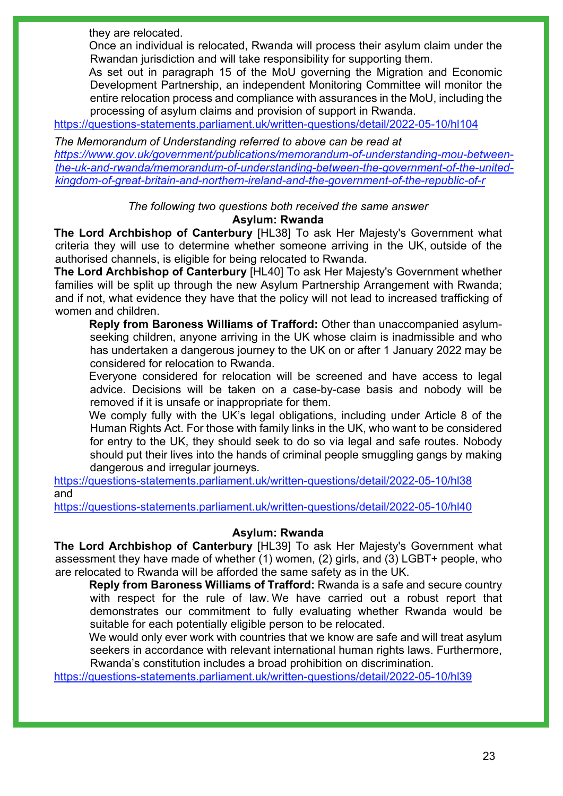they are relocated.

Once an individual is relocated, Rwanda will process their asylum claim under the Rwandan jurisdiction and will take responsibility for supporting them.

As set out in paragraph 15 of the MoU governing the Migration and Economic Development Partnership, an independent Monitoring Committee will monitor the entire relocation process and compliance with assurances in the MoU, including the processing of asylum claims and provision of support in Rwanda.

<https://questions-statements.parliament.uk/written-questions/detail/2022-05-10/hl104>

*The Memorandum of Understanding referred to above can be read at [https://www.gov.uk/government/publications/memorandum-of-understanding-mou-between](https://www.gov.uk/government/publications/memorandum-of-understanding-mou-between-the-uk-and-rwanda/memorandum-of-understanding-between-the-government-of-the-united-kingdom-of-great-britain-and-northern-ireland-and-the-government-of-the-republic-of-r)[the-uk-and-rwanda/memorandum-of-understanding-between-the-government-of-the-united](https://www.gov.uk/government/publications/memorandum-of-understanding-mou-between-the-uk-and-rwanda/memorandum-of-understanding-between-the-government-of-the-united-kingdom-of-great-britain-and-northern-ireland-and-the-government-of-the-republic-of-r)[kingdom-of-great-britain-and-northern-ireland-and-the-government-of-the-republic-of-r](https://www.gov.uk/government/publications/memorandum-of-understanding-mou-between-the-uk-and-rwanda/memorandum-of-understanding-between-the-government-of-the-united-kingdom-of-great-britain-and-northern-ireland-and-the-government-of-the-republic-of-r)*

> *The following two questions both received the same answer* **Asylum: Rwanda**

**The Lord Archbishop of Canterbury** [HL38] To ask Her Majesty's Government what criteria they will use to determine whether someone arriving in the UK, outside of the authorised channels, is eligible for being relocated to Rwanda.

**The Lord Archbishop of Canterbury** [HL40] To ask Her Majesty's Government whether families will be split up through the new Asylum Partnership Arrangement with Rwanda; and if not, what evidence they have that the policy will not lead to increased trafficking of women and children.

**Reply from Baroness Williams of Trafford:** Other than unaccompanied asylumseeking children, anyone arriving in the UK whose claim is inadmissible and who has undertaken a dangerous journey to the UK on or after 1 January 2022 may be considered for relocation to Rwanda.

Everyone considered for relocation will be screened and have access to legal advice. Decisions will be taken on a case-by-case basis and nobody will be removed if it is unsafe or inappropriate for them.

We comply fully with the UK's legal obligations, including under Article 8 of the Human Rights Act. For those with family links in the UK, who want to be considered for entry to the UK, they should seek to do so via legal and safe routes. Nobody should put their lives into the hands of criminal people smuggling gangs by making dangerous and irregular journeys.

<https://questions-statements.parliament.uk/written-questions/detail/2022-05-10/hl38> and

<https://questions-statements.parliament.uk/written-questions/detail/2022-05-10/hl40>

#### **Asylum: Rwanda**

**The Lord Archbishop of Canterbury** [HL39] To ask Her Majesty's Government what assessment they have made of whether (1) women, (2) girls, and (3) LGBT+ people, who are relocated to Rwanda will be afforded the same safety as in the UK.

**Reply from Baroness Williams of Trafford:** Rwanda is a safe and secure country with respect for the rule of law. We have carried out a robust report that demonstrates our commitment to fully evaluating whether Rwanda would be suitable for each potentially eligible person to be relocated.

We would only ever work with countries that we know are safe and will treat asylum seekers in accordance with relevant international human rights laws. Furthermore, Rwanda's constitution includes a broad prohibition on discrimination.

<https://questions-statements.parliament.uk/written-questions/detail/2022-05-10/hl39>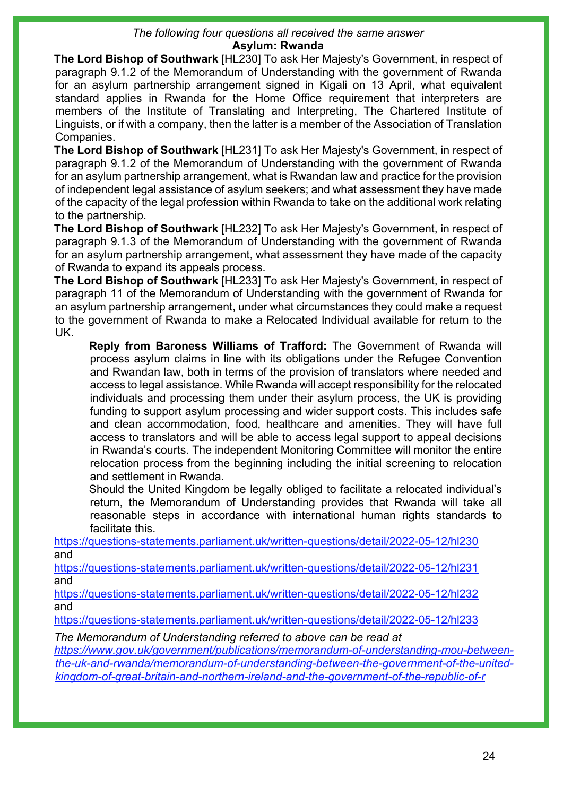#### *The following four questions all received the same answer* **Asylum: Rwanda**

**The Lord Bishop of Southwark** [HL230] To ask Her Majesty's Government, in respect of paragraph 9.1.2 of the Memorandum of Understanding with the government of Rwanda for an asylum partnership arrangement signed in Kigali on 13 April, what equivalent standard applies in Rwanda for the Home Office requirement that interpreters are members of the Institute of Translating and Interpreting, The Chartered Institute of Linguists, or if with a company, then the latter is a member of the Association of Translation Companies.

**The Lord Bishop of Southwark** [HL231] To ask Her Majesty's Government, in respect of paragraph 9.1.2 of the Memorandum of Understanding with the government of Rwanda for an asylum partnership arrangement, what is Rwandan law and practice for the provision of independent legal assistance of asylum seekers; and what assessment they have made of the capacity of the legal profession within Rwanda to take on the additional work relating to the partnership.

**The Lord Bishop of Southwark** [HL232] To ask Her Majesty's Government, in respect of paragraph 9.1.3 of the Memorandum of Understanding with the government of Rwanda for an asylum partnership arrangement, what assessment they have made of the capacity of Rwanda to expand its appeals process.

**The Lord Bishop of Southwark** [HL233] To ask Her Majesty's Government, in respect of paragraph 11 of the Memorandum of Understanding with the government of Rwanda for an asylum partnership arrangement, under what circumstances they could make a request to the government of Rwanda to make a Relocated Individual available for return to the UK.

**Reply from Baroness Williams of Trafford:** The Government of Rwanda will process asylum claims in line with its obligations under the Refugee Convention and Rwandan law, both in terms of the provision of translators where needed and access to legal assistance. While Rwanda will accept responsibility for the relocated individuals and processing them under their asylum process, the UK is providing funding to support asylum processing and wider support costs. This includes safe and clean accommodation, food, healthcare and amenities. They will have full access to translators and will be able to access legal support to appeal decisions in Rwanda's courts. The independent Monitoring Committee will monitor the entire relocation process from the beginning including the initial screening to relocation and settlement in Rwanda.

Should the United Kingdom be legally obliged to facilitate a relocated individual's return, the Memorandum of Understanding provides that Rwanda will take all reasonable steps in accordance with international human rights standards to facilitate this.

<https://questions-statements.parliament.uk/written-questions/detail/2022-05-12/hl230> and

<https://questions-statements.parliament.uk/written-questions/detail/2022-05-12/hl231> and

<https://questions-statements.parliament.uk/written-questions/detail/2022-05-12/hl232> and

<https://questions-statements.parliament.uk/written-questions/detail/2022-05-12/hl233>

*The Memorandum of Understanding referred to above can be read at*

*[https://www.gov.uk/government/publications/memorandum-of-understanding-mou-between](https://www.gov.uk/government/publications/memorandum-of-understanding-mou-between-the-uk-and-rwanda/memorandum-of-understanding-between-the-government-of-the-united-kingdom-of-great-britain-and-northern-ireland-and-the-government-of-the-republic-of-r)[the-uk-and-rwanda/memorandum-of-understanding-between-the-government-of-the-united](https://www.gov.uk/government/publications/memorandum-of-understanding-mou-between-the-uk-and-rwanda/memorandum-of-understanding-between-the-government-of-the-united-kingdom-of-great-britain-and-northern-ireland-and-the-government-of-the-republic-of-r)[kingdom-of-great-britain-and-northern-ireland-and-the-government-of-the-republic-of-r](https://www.gov.uk/government/publications/memorandum-of-understanding-mou-between-the-uk-and-rwanda/memorandum-of-understanding-between-the-government-of-the-united-kingdom-of-great-britain-and-northern-ireland-and-the-government-of-the-republic-of-r)*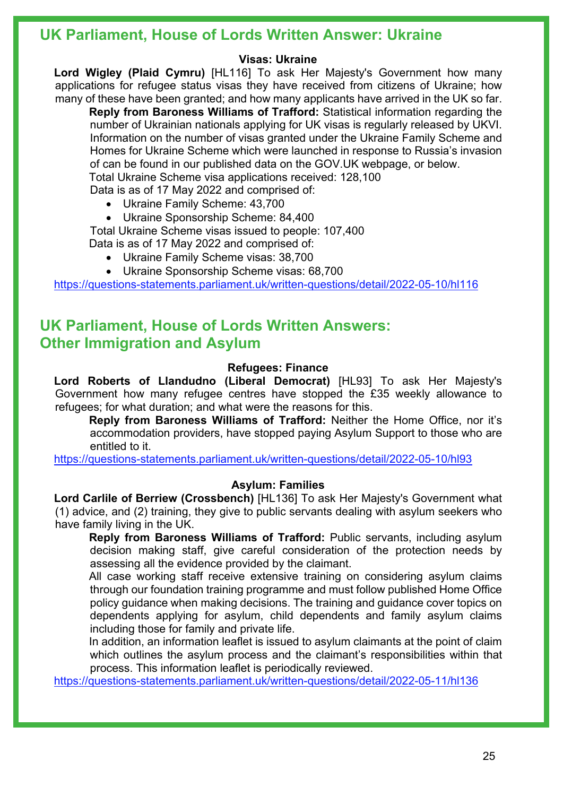## **UK Parliament, House of Lords Written Answer: Ukraine**

#### **Visas: Ukraine**

**Lord Wigley (Plaid Cymru)** [HL116] To ask Her Majesty's Government how many applications for refugee status visas they have received from citizens of Ukraine; how many of these have been granted; and how many applicants have arrived in the UK so far.

**Reply from Baroness Williams of Trafford:** Statistical information regarding the number of Ukrainian nationals applying for UK visas is regularly released by UKVI. Information on the number of visas granted under the Ukraine Family Scheme and Homes for Ukraine Scheme which were launched in response to Russia's invasion of can be found in our published data on the GOV.UK webpage, or below. Total Ukraine Scheme visa applications received: 128,100

Data is as of 17 May 2022 and comprised of:

- Ukraine Family Scheme: 43,700
- Ukraine Sponsorship Scheme: 84,400

Total Ukraine Scheme visas issued to people: 107,400 Data is as of 17 May 2022 and comprised of:

- Ukraine Family Scheme visas: 38,700
- Ukraine Sponsorship Scheme visas: 68,700

<https://questions-statements.parliament.uk/written-questions/detail/2022-05-10/hl116>

## **UK Parliament, House of Lords Written Answers: Other Immigration and Asylum**

#### **Refugees: Finance**

**Lord Roberts of Llandudno (Liberal Democrat)** [HL93] To ask Her Majesty's Government how many refugee centres have stopped the £35 weekly allowance to refugees; for what duration; and what were the reasons for this.

**Reply from Baroness Williams of Trafford:** Neither the Home Office, nor it's accommodation providers, have stopped paying Asylum Support to those who are entitled to it.

<https://questions-statements.parliament.uk/written-questions/detail/2022-05-10/hl93>

#### **Asylum: Families**

**Lord Carlile of Berriew (Crossbench)** [HL136] To ask Her Majesty's Government what (1) advice, and (2) training, they give to public servants dealing with asylum seekers who have family living in the UK.

**Reply from Baroness Williams of Trafford:** Public servants, including asylum decision making staff, give careful consideration of the protection needs by assessing all the evidence provided by the claimant.

All case working staff receive extensive training on considering asylum claims through our foundation training programme and must follow published Home Office policy guidance when making decisions. The training and guidance cover topics on dependents applying for asylum, child dependents and family asylum claims including those for family and private life.

In addition, an information leaflet is issued to asylum claimants at the point of claim which outlines the asylum process and the claimant's responsibilities within that process. This information leaflet is periodically reviewed.

<https://questions-statements.parliament.uk/written-questions/detail/2022-05-11/hl136>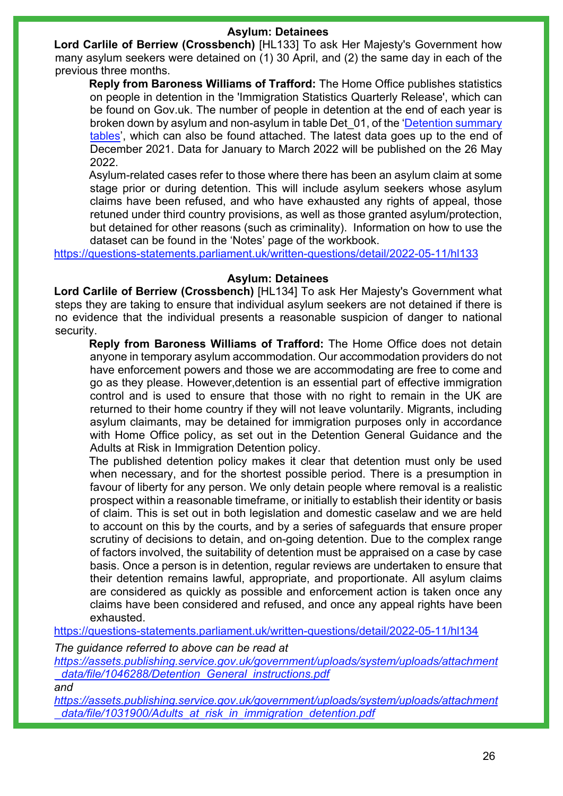#### **Asylum: Detainees**

**Lord Carlile of Berriew (Crossbench)** [HL133] To ask Her Majesty's Government how many asylum seekers were detained on (1) 30 April, and (2) the same day in each of the previous three months.

**Reply from Baroness Williams of Trafford:** The Home Office publishes statistics on people in detention in the 'Immigration Statistics Quarterly Release', which can be found on Gov.uk. The number of people in detention at the end of each year is broken down by asylum and non-asylum in table Det\_01, of the ['Detention summary](https://assets.publishing.service.gov.uk/government/uploads/system/uploads/attachment_data/file/1054673/detention-summary-dec-2021-tables.ods)  [tables',](https://assets.publishing.service.gov.uk/government/uploads/system/uploads/attachment_data/file/1054673/detention-summary-dec-2021-tables.ods) which can also be found attached. The latest data goes up to the end of December 2021. Data for January to March 2022 will be published on the 26 May 2022.

Asylum-related cases refer to those where there has been an asylum claim at some stage prior or during detention. This will include asylum seekers whose asylum claims have been refused, and who have exhausted any rights of appeal, those retuned under third country provisions, as well as those granted asylum/protection, but detained for other reasons (such as criminality). Information on how to use the dataset can be found in the 'Notes' page of the workbook.

<https://questions-statements.parliament.uk/written-questions/detail/2022-05-11/hl133>

#### **Asylum: Detainees**

**Lord Carlile of Berriew (Crossbench)** [HL134] To ask Her Majesty's Government what steps they are taking to ensure that individual asylum seekers are not detained if there is no evidence that the individual presents a reasonable suspicion of danger to national security.

**Reply from Baroness Williams of Trafford:** The Home Office does not detain anyone in temporary asylum accommodation. Our accommodation providers do not have enforcement powers and those we are accommodating are free to come and go as they please. However,detention is an essential part of effective immigration control and is used to ensure that those with no right to remain in the UK are returned to their home country if they will not leave voluntarily. Migrants, including asylum claimants, may be detained for immigration purposes only in accordance with Home Office policy, as set out in the Detention General Guidance and the Adults at Risk in Immigration Detention policy.

The published detention policy makes it clear that detention must only be used when necessary, and for the shortest possible period. There is a presumption in favour of liberty for any person. We only detain people where removal is a realistic prospect within a reasonable timeframe, or initially to establish their identity or basis of claim. This is set out in both legislation and domestic caselaw and we are held to account on this by the courts, and by a series of safeguards that ensure proper scrutiny of decisions to detain, and on-going detention. Due to the complex range of factors involved, the suitability of detention must be appraised on a case by case basis. Once a person is in detention, regular reviews are undertaken to ensure that their detention remains lawful, appropriate, and proportionate. All asylum claims are considered as quickly as possible and enforcement action is taken once any claims have been considered and refused, and once any appeal rights have been exhausted.

<https://questions-statements.parliament.uk/written-questions/detail/2022-05-11/hl134>

*The guidance referred to above can be read at*

*[https://assets.publishing.service.gov.uk/government/uploads/system/uploads/attachment](https://assets.publishing.service.gov.uk/government/uploads/system/uploads/attachment_data/file/1046288/Detention_General_instructions.pdf) [\\_data/file/1046288/Detention\\_General\\_instructions.pdf](https://assets.publishing.service.gov.uk/government/uploads/system/uploads/attachment_data/file/1046288/Detention_General_instructions.pdf)*

*and*

*[https://assets.publishing.service.gov.uk/government/uploads/system/uploads/attachment](https://assets.publishing.service.gov.uk/government/uploads/system/uploads/attachment_data/file/1031900/Adults_at_risk_in_immigration_detention.pdf) [\\_data/file/1031900/Adults\\_at\\_risk\\_in\\_immigration\\_detention.pdf](https://assets.publishing.service.gov.uk/government/uploads/system/uploads/attachment_data/file/1031900/Adults_at_risk_in_immigration_detention.pdf)*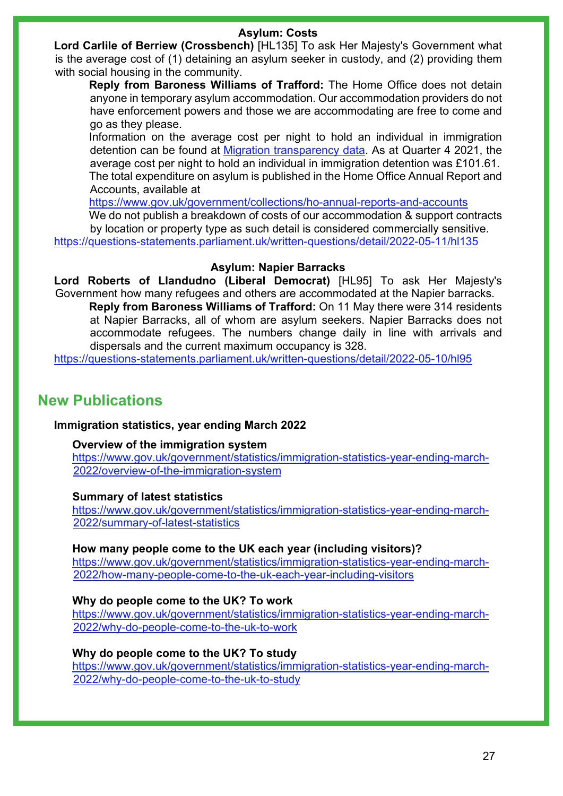## **Asylum: Costs**

**Lord Carlile of Berriew (Crossbench)** [HL135] To ask Her Majesty's Government what is the average cost of (1) detaining an asylum seeker in custody, and (2) providing them with social housing in the community.

**Reply from Baroness Williams of Trafford:** The Home Office does not detain anyone in temporary asylum accommodation. Our accommodation providers do not have enforcement powers and those we are accommodating are free to come and go as they please.

Information on the average cost per night to hold an individual in immigration detention can be found at [Migration transparency data.](https://gbr01.safelinks.protection.outlook.com/?url=https%3A%2F%2Fwww.gov.uk%2Fgovernment%2Fcollections%2Fmigration-transparency-data&data=05%7C01%7CPeter.Kilsby2%40homeoffice.gov.uk%7Cc2b97ecc100147cdc4db08da34d8668d%7Cf24d93ecb2914192a08af182245945c2%7C0%7C0%7C637880401279531189%7CUnknown%7CTWFpbGZsb3d8eyJWIjoiMC4wLjAwMDAiLCJQIjoiV2luMzIiLCJBTiI6Ik1haWwiLCJXVCI6Mn0%3D%7C3000%7C%7C%7C&sdata=ZqRca9hj5g4pOuqSwEp98%2F%2FPMbSKnFtQtPNeSaE4YXk%3D&reserved=0) As at Quarter 4 2021, the average cost per night to hold an individual in immigration detention was £101.61. The total expenditure on asylum is published in the Home Office Annual Report and Accounts, available at

<https://www.gov.uk/government/collections/ho-annual-reports-and-accounts>

We do not publish a breakdown of costs of our accommodation & support contracts by location or property type as such detail is considered commercially sensitive. <https://questions-statements.parliament.uk/written-questions/detail/2022-05-11/hl135>

### **Asylum: Napier Barracks**

**Lord Roberts of Llandudno (Liberal Democrat)** [HL95] To ask Her Majesty's Government how many refugees and others are accommodated at the Napier barracks. **Reply from Baroness Williams of Trafford:** On 11 May there were 314 residents at Napier Barracks, all of whom are asylum seekers. Napier Barracks does not accommodate refugees. The numbers change daily in line with arrivals and

dispersals and the current maximum occupancy is 328. <https://questions-statements.parliament.uk/written-questions/detail/2022-05-10/hl95>

## **New Publications**

#### **Immigration statistics, year ending March 2022**

#### **Overview of the immigration system**

[https://www.gov.uk/government/statistics/immigration-statistics-year-ending-march-](https://www.gov.uk/government/statistics/immigration-statistics-year-ending-march-2022/overview-of-the-immigration-system)[2022/overview-of-the-immigration-system](https://www.gov.uk/government/statistics/immigration-statistics-year-ending-march-2022/overview-of-the-immigration-system) 

#### **Summary of latest statistics**

[https://www.gov.uk/government/statistics/immigration-statistics-year-ending-march-](https://www.gov.uk/government/statistics/immigration-statistics-year-ending-march-2022/summary-of-latest-statistics)[2022/summary-of-latest-statistics](https://www.gov.uk/government/statistics/immigration-statistics-year-ending-march-2022/summary-of-latest-statistics)

#### **How many people come to the UK each year (including visitors)?**

[https://www.gov.uk/government/statistics/immigration-statistics-year-ending-march-](https://www.gov.uk/government/statistics/immigration-statistics-year-ending-march-2022/how-many-people-come-to-the-uk-each-year-including-visitors)[2022/how-many-people-come-to-the-uk-each-year-including-visitors](https://www.gov.uk/government/statistics/immigration-statistics-year-ending-march-2022/how-many-people-come-to-the-uk-each-year-including-visitors) 

#### **Why do people come to the UK? To work**

[https://www.gov.uk/government/statistics/immigration-statistics-year-ending-march-](https://www.gov.uk/government/statistics/immigration-statistics-year-ending-march-2022/why-do-people-come-to-the-uk-to-work)[2022/why-do-people-come-to-the-uk-to-work](https://www.gov.uk/government/statistics/immigration-statistics-year-ending-march-2022/why-do-people-come-to-the-uk-to-work)

#### **Why do people come to the UK? To study**

[https://www.gov.uk/government/statistics/immigration-statistics-year-ending-march-](https://www.gov.uk/government/statistics/immigration-statistics-year-ending-march-2022/why-do-people-come-to-the-uk-to-study)[2022/why-do-people-come-to-the-uk-to-study](https://www.gov.uk/government/statistics/immigration-statistics-year-ending-march-2022/why-do-people-come-to-the-uk-to-study)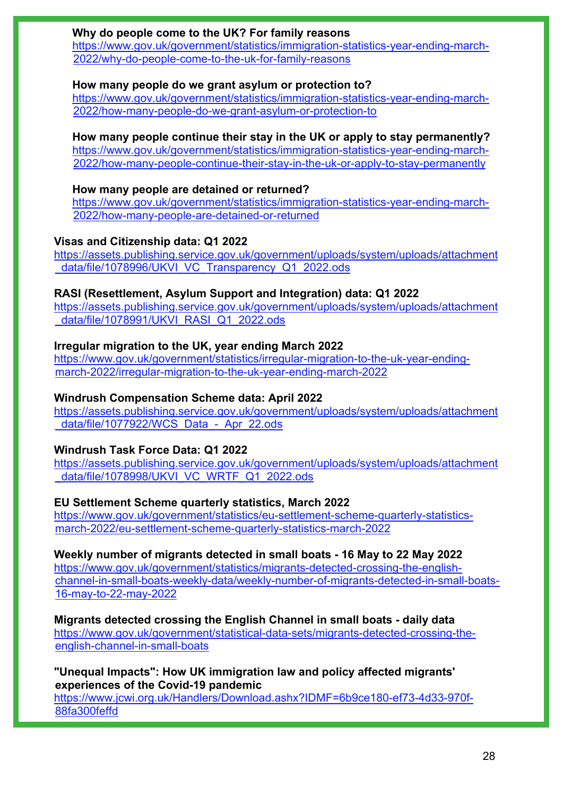#### **Why do people come to the UK? For family reasons**

[https://www.gov.uk/government/statistics/immigration-statistics-year-ending-march-](https://www.gov.uk/government/statistics/immigration-statistics-year-ending-march-2022/why-do-people-come-to-the-uk-for-family-reasons)[2022/why-do-people-come-to-the-uk-for-family-reasons](https://www.gov.uk/government/statistics/immigration-statistics-year-ending-march-2022/why-do-people-come-to-the-uk-for-family-reasons)

#### **How many people do we grant asylum or protection to?**

[https://www.gov.uk/government/statistics/immigration-statistics-year-ending-march-](https://www.gov.uk/government/statistics/immigration-statistics-year-ending-march-2022/how-many-people-do-we-grant-asylum-or-protection-to)[2022/how-many-people-do-we-grant-asylum-or-protection-to](https://www.gov.uk/government/statistics/immigration-statistics-year-ending-march-2022/how-many-people-do-we-grant-asylum-or-protection-to)

#### **How many people continue their stay in the UK or apply to stay permanently?**

[https://www.gov.uk/government/statistics/immigration-statistics-year-ending-march-](https://www.gov.uk/government/statistics/immigration-statistics-year-ending-march-2022/how-many-people-continue-their-stay-in-the-uk-or-apply-to-stay-permanently)[2022/how-many-people-continue-their-stay-in-the-uk-or-apply-to-stay-permanently](https://www.gov.uk/government/statistics/immigration-statistics-year-ending-march-2022/how-many-people-continue-their-stay-in-the-uk-or-apply-to-stay-permanently)

#### **How many people are detained or returned?**

[https://www.gov.uk/government/statistics/immigration-statistics-year-ending-march-](https://www.gov.uk/government/statistics/immigration-statistics-year-ending-march-2022/how-many-people-are-detained-or-returned)[2022/how-many-people-are-detained-or-returned](https://www.gov.uk/government/statistics/immigration-statistics-year-ending-march-2022/how-many-people-are-detained-or-returned) 

#### **Visas and Citizenship data: Q1 2022**

[https://assets.publishing.service.gov.uk/government/uploads/system/uploads/attachment](https://assets.publishing.service.gov.uk/government/uploads/system/uploads/attachment_data/file/1078996/UKVI_VC_Transparency_Q1_2022.ods) data/file/1078996/UKVI\_VC\_Transparency\_Q1\_2022.ods

#### **RASI (Resettlement, Asylum Support and Integration) data: Q1 2022**

[https://assets.publishing.service.gov.uk/government/uploads/system/uploads/attachment](https://assets.publishing.service.gov.uk/government/uploads/system/uploads/attachment_data/file/1078991/UKVI_RASI_Q1_2022.ods) [\\_data/file/1078991/UKVI\\_RASI\\_Q1\\_2022.ods](https://assets.publishing.service.gov.uk/government/uploads/system/uploads/attachment_data/file/1078991/UKVI_RASI_Q1_2022.ods) 

### **Irregular migration to the UK, year ending March 2022**

[https://www.gov.uk/government/statistics/irregular-migration-to-the-uk-year-ending](https://www.gov.uk/government/statistics/irregular-migration-to-the-uk-year-ending-march-2022/irregular-migration-to-the-uk-year-ending-march-2022)[march-2022/irregular-migration-to-the-uk-year-ending-march-2022](https://www.gov.uk/government/statistics/irregular-migration-to-the-uk-year-ending-march-2022/irregular-migration-to-the-uk-year-ending-march-2022) 

#### **Windrush Compensation Scheme data: April 2022**

[https://assets.publishing.service.gov.uk/government/uploads/system/uploads/attachment](https://assets.publishing.service.gov.uk/government/uploads/system/uploads/attachment_data/file/1077922/WCS_Data_-_Apr_22.ods) data/file/1077922/WCS\_Data - Apr\_22.ods

#### **Windrush Task Force Data: Q1 2022**

[https://assets.publishing.service.gov.uk/government/uploads/system/uploads/attachment](https://assets.publishing.service.gov.uk/government/uploads/system/uploads/attachment_data/file/1078998/UKVI_VC_WRTF_Q1_2022.ods) [\\_data/file/1078998/UKVI\\_VC\\_WRTF\\_Q1\\_2022.ods](https://assets.publishing.service.gov.uk/government/uploads/system/uploads/attachment_data/file/1078998/UKVI_VC_WRTF_Q1_2022.ods) 

#### **EU Settlement Scheme quarterly statistics, March 2022**

[https://www.gov.uk/government/statistics/eu-settlement-scheme-quarterly-statistics](https://www.gov.uk/government/statistics/eu-settlement-scheme-quarterly-statistics-march-2022/eu-settlement-scheme-quarterly-statistics-march-2022)[march-2022/eu-settlement-scheme-quarterly-statistics-march-2022](https://www.gov.uk/government/statistics/eu-settlement-scheme-quarterly-statistics-march-2022/eu-settlement-scheme-quarterly-statistics-march-2022) 

#### **Weekly number of migrants detected in small boats - 16 May to 22 May 2022**

[https://www.gov.uk/government/statistics/migrants-detected-crossing-the-english](https://www.gov.uk/government/statistics/migrants-detected-crossing-the-english-channel-in-small-boats-weekly-data/weekly-number-of-migrants-detected-in-small-boats-16-may-to-22-may-2022)[channel-in-small-boats-weekly-data/weekly-number-of-migrants-detected-in-small-boats-](https://www.gov.uk/government/statistics/migrants-detected-crossing-the-english-channel-in-small-boats-weekly-data/weekly-number-of-migrants-detected-in-small-boats-16-may-to-22-may-2022)[16-may-to-22-may-2022](https://www.gov.uk/government/statistics/migrants-detected-crossing-the-english-channel-in-small-boats-weekly-data/weekly-number-of-migrants-detected-in-small-boats-16-may-to-22-may-2022)

**Migrants detected crossing the English Channel in small boats - daily data**

[https://www.gov.uk/government/statistical-data-sets/migrants-detected-crossing-the](https://www.gov.uk/government/statistical-data-sets/migrants-detected-crossing-the-english-channel-in-small-boats)[english-channel-in-small-boats](https://www.gov.uk/government/statistical-data-sets/migrants-detected-crossing-the-english-channel-in-small-boats) 

#### **"Unequal Impacts": How UK immigration law and policy affected migrants' experiences of the Covid-19 pandemic**

[https://www.jcwi.org.uk/Handlers/Download.ashx?IDMF=6b9ce180-ef73-4d33-970f-](https://www.jcwi.org.uk/Handlers/Download.ashx?IDMF=6b9ce180-ef73-4d33-970f-88fa300feffd)[88fa300feffd](https://www.jcwi.org.uk/Handlers/Download.ashx?IDMF=6b9ce180-ef73-4d33-970f-88fa300feffd)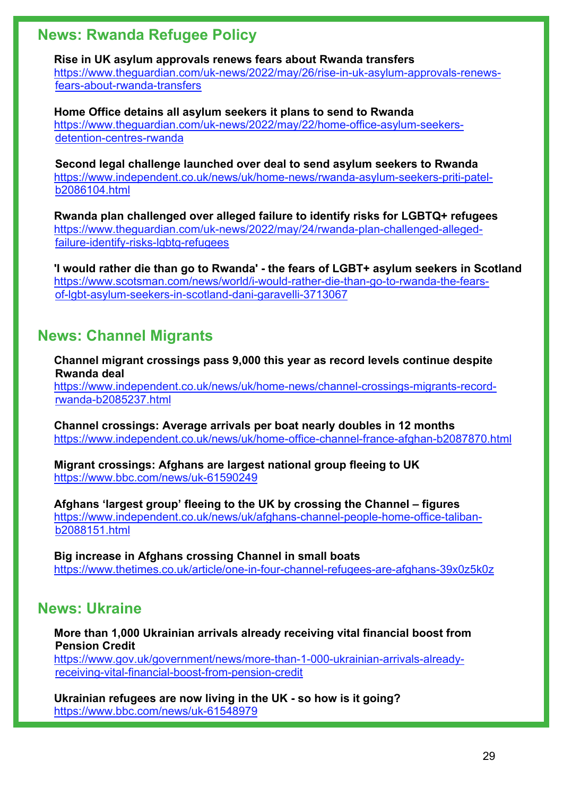## **News: Rwanda Refugee Policy**

**Rise in UK asylum approvals renews fears about Rwanda transfers**  [https://www.theguardian.com/uk-news/2022/may/26/rise-in-uk-asylum-approvals-renews](https://www.theguardian.com/uk-news/2022/may/26/rise-in-uk-asylum-approvals-renews-fears-about-rwanda-transfers)[fears-about-rwanda-transfers](https://www.theguardian.com/uk-news/2022/may/26/rise-in-uk-asylum-approvals-renews-fears-about-rwanda-transfers)

**Home Office detains all asylum seekers it plans to send to Rwanda**  [https://www.theguardian.com/uk-news/2022/may/22/home-office-asylum-seekers](https://www.theguardian.com/uk-news/2022/may/22/home-office-asylum-seekers-detention-centres-rwanda)[detention-centres-rwanda](https://www.theguardian.com/uk-news/2022/may/22/home-office-asylum-seekers-detention-centres-rwanda)

**Second legal challenge launched over deal to send asylum seekers to Rwanda**  [https://www.independent.co.uk/news/uk/home-news/rwanda-asylum-seekers-priti-patel](https://www.independent.co.uk/news/uk/home-news/rwanda-asylum-seekers-priti-patel-b2086104.html)[b2086104.html](https://www.independent.co.uk/news/uk/home-news/rwanda-asylum-seekers-priti-patel-b2086104.html)

**Rwanda plan challenged over alleged failure to identify risks for LGBTQ+ refugees**  [https://www.theguardian.com/uk-news/2022/may/24/rwanda-plan-challenged-alleged](https://www.theguardian.com/uk-news/2022/may/24/rwanda-plan-challenged-alleged-failure-identify-risks-lgbtq-refugees)[failure-identify-risks-lgbtq-refugees](https://www.theguardian.com/uk-news/2022/may/24/rwanda-plan-challenged-alleged-failure-identify-risks-lgbtq-refugees)

**'I would rather die than go to Rwanda' - the fears of LGBT+ asylum seekers in Scotland** [https://www.scotsman.com/news/world/i-would-rather-die-than-go-to-rwanda-the-fears](https://www.scotsman.com/news/world/i-would-rather-die-than-go-to-rwanda-the-fears-of-lgbt-asylum-seekers-in-scotland-dani-garavelli-3713067)[of-lgbt-asylum-seekers-in-scotland-dani-garavelli-3713067](https://www.scotsman.com/news/world/i-would-rather-die-than-go-to-rwanda-the-fears-of-lgbt-asylum-seekers-in-scotland-dani-garavelli-3713067)

## **News: Channel Migrants**

**Channel migrant crossings pass 9,000 this year as record levels continue despite Rwanda deal** 

[https://www.independent.co.uk/news/uk/home-news/channel-crossings-migrants-record](https://www.independent.co.uk/news/uk/home-news/channel-crossings-migrants-record-rwanda-b2085237.html)[rwanda-b2085237.html](https://www.independent.co.uk/news/uk/home-news/channel-crossings-migrants-record-rwanda-b2085237.html)

**Channel crossings: Average arrivals per boat nearly doubles in 12 months**  <https://www.independent.co.uk/news/uk/home-office-channel-france-afghan-b2087870.html>

**Migrant crossings: Afghans are largest national group fleeing to UK** <https://www.bbc.com/news/uk-61590249>

**Afghans 'largest group' fleeing to the UK by crossing the Channel – figures**  [https://www.independent.co.uk/news/uk/afghans-channel-people-home-office-taliban](https://www.independent.co.uk/news/uk/afghans-channel-people-home-office-taliban-b2088151.html)[b2088151.html](https://www.independent.co.uk/news/uk/afghans-channel-people-home-office-taliban-b2088151.html)

**Big increase in Afghans crossing Channel in small boats**  <https://www.thetimes.co.uk/article/one-in-four-channel-refugees-are-afghans-39x0z5k0z>

## **News: Ukraine**

**More than 1,000 Ukrainian arrivals already receiving vital financial boost from Pension Credit**

[https://www.gov.uk/government/news/more-than-1-000-ukrainian-arrivals-already](https://www.gov.uk/government/news/more-than-1-000-ukrainian-arrivals-already-receiving-vital-financial-boost-from-pension-credit)[receiving-vital-financial-boost-from-pension-credit](https://www.gov.uk/government/news/more-than-1-000-ukrainian-arrivals-already-receiving-vital-financial-boost-from-pension-credit) 

**Ukrainian refugees are now living in the UK - so how is it going?** <https://www.bbc.com/news/uk-61548979>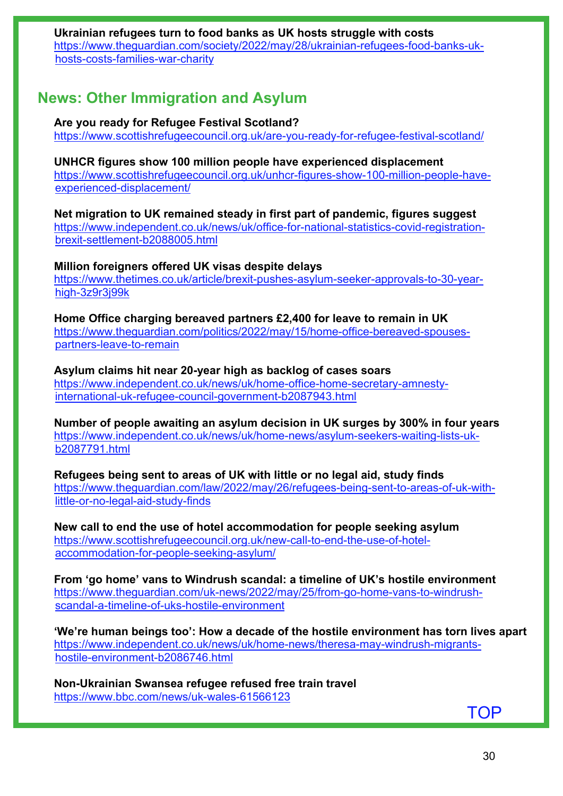## **Ukrainian refugees turn to food banks as UK hosts struggle with costs**  [https://www.theguardian.com/society/2022/may/28/ukrainian-refugees-food-banks-uk-](https://www.theguardian.com/society/2022/may/28/ukrainian-refugees-food-banks-uk-hosts-costs-families-war-charity)

[hosts-costs-families-war-charity](https://www.theguardian.com/society/2022/may/28/ukrainian-refugees-food-banks-uk-hosts-costs-families-war-charity)

# **News: Other Immigration and Asylum**

#### **Are you ready for Refugee Festival Scotland?**

<https://www.scottishrefugeecouncil.org.uk/are-you-ready-for-refugee-festival-scotland/>

#### **UNHCR figures show 100 million people have experienced displacement**

[https://www.scottishrefugeecouncil.org.uk/unhcr-figures-show-100-million-people-have](https://www.scottishrefugeecouncil.org.uk/unhcr-figures-show-100-million-people-have-experienced-displacement/)[experienced-displacement/](https://www.scottishrefugeecouncil.org.uk/unhcr-figures-show-100-million-people-have-experienced-displacement/)

**Net migration to UK remained steady in first part of pandemic, figures suggest**  [https://www.independent.co.uk/news/uk/office-for-national-statistics-covid-registration](https://www.independent.co.uk/news/uk/office-for-national-statistics-covid-registration-brexit-settlement-b2088005.html)[brexit-settlement-b2088005.html](https://www.independent.co.uk/news/uk/office-for-national-statistics-covid-registration-brexit-settlement-b2088005.html)

#### **Million foreigners offered UK visas despite delays**

[https://www.thetimes.co.uk/article/brexit-pushes-asylum-seeker-approvals-to-30-year](https://www.thetimes.co.uk/article/brexit-pushes-asylum-seeker-approvals-to-30-year-high-3z9r3j99k)[high-3z9r3j99k](https://www.thetimes.co.uk/article/brexit-pushes-asylum-seeker-approvals-to-30-year-high-3z9r3j99k)

**Home Office charging bereaved partners £2,400 for leave to remain in UK** [https://www.theguardian.com/politics/2022/may/15/home-office-bereaved-spouses](https://www.theguardian.com/politics/2022/may/15/home-office-bereaved-spouses-partners-leave-to-remain)[partners-leave-to-remain](https://www.theguardian.com/politics/2022/may/15/home-office-bereaved-spouses-partners-leave-to-remain)

#### **Asylum claims hit near 20-year high as backlog of cases soars**  [https://www.independent.co.uk/news/uk/home-office-home-secretary-amnesty](https://www.independent.co.uk/news/uk/home-office-home-secretary-amnesty-international-uk-refugee-council-government-b2087943.html)[international-uk-refugee-council-government-b2087943.html](https://www.independent.co.uk/news/uk/home-office-home-secretary-amnesty-international-uk-refugee-council-government-b2087943.html)

**Number of people awaiting an asylum decision in UK surges by 300% in four years**  [https://www.independent.co.uk/news/uk/home-news/asylum-seekers-waiting-lists-uk](https://www.independent.co.uk/news/uk/home-news/asylum-seekers-waiting-lists-uk-b2087791.html)[b2087791.html](https://www.independent.co.uk/news/uk/home-news/asylum-seekers-waiting-lists-uk-b2087791.html)

**Refugees being sent to areas of UK with little or no legal aid, study finds**  [https://www.theguardian.com/law/2022/may/26/refugees-being-sent-to-areas-of-uk-with](https://www.theguardian.com/law/2022/may/26/refugees-being-sent-to-areas-of-uk-with-little-or-no-legal-aid-study-finds)[little-or-no-legal-aid-study-finds](https://www.theguardian.com/law/2022/may/26/refugees-being-sent-to-areas-of-uk-with-little-or-no-legal-aid-study-finds)

**New call to end the use of hotel accommodation for people seeking asylum** [https://www.scottishrefugeecouncil.org.uk/new-call-to-end-the-use-of-hotel](https://www.scottishrefugeecouncil.org.uk/new-call-to-end-the-use-of-hotel-accommodation-for-people-seeking-asylum/)[accommodation-for-people-seeking-asylum/](https://www.scottishrefugeecouncil.org.uk/new-call-to-end-the-use-of-hotel-accommodation-for-people-seeking-asylum/) 

**From 'go home' vans to Windrush scandal: a timeline of UK's hostile environment**  [https://www.theguardian.com/uk-news/2022/may/25/from-go-home-vans-to-windrush](https://www.theguardian.com/uk-news/2022/may/25/from-go-home-vans-to-windrush-scandal-a-timeline-of-uks-hostile-environment)[scandal-a-timeline-of-uks-hostile-environment](https://www.theguardian.com/uk-news/2022/may/25/from-go-home-vans-to-windrush-scandal-a-timeline-of-uks-hostile-environment)

**'We're human beings too': How a decade of the hostile environment has torn lives apart**  [https://www.independent.co.uk/news/uk/home-news/theresa-may-windrush-migrants](https://www.independent.co.uk/news/uk/home-news/theresa-may-windrush-migrants-hostile-environment-b2086746.html)[hostile-environment-b2086746.html](https://www.independent.co.uk/news/uk/home-news/theresa-may-windrush-migrants-hostile-environment-b2086746.html)

**Non-Ukrainian Swansea refugee refused free train travel** <https://www.bbc.com/news/uk-wales-61566123>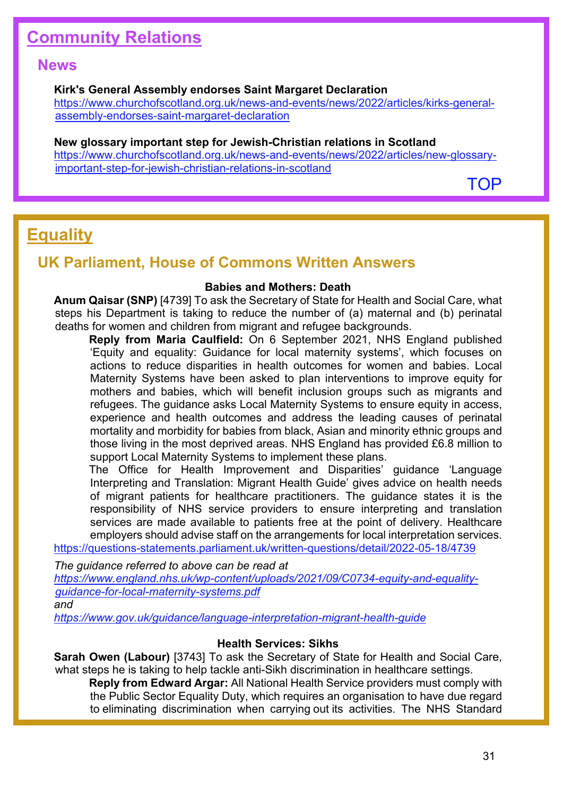# <span id="page-30-0"></span>**Community Relations**

## **News**

#### **Kirk's General Assembly endorses Saint Margaret Declaration**

[https://www.churchofscotland.org.uk/news-and-events/news/2022/articles/kirks-general](https://www.churchofscotland.org.uk/news-and-events/news/2022/articles/kirks-general-assembly-endorses-saint-margaret-declaration)[assembly-endorses-saint-margaret-declaration](https://www.churchofscotland.org.uk/news-and-events/news/2022/articles/kirks-general-assembly-endorses-saint-margaret-declaration) 

#### **New glossary important step for Jewish-Christian relations in Scotland**

[https://www.churchofscotland.org.uk/news-and-events/news/2022/articles/new-glossary](https://www.churchofscotland.org.uk/news-and-events/news/2022/articles/new-glossary-important-step-for-jewish-christian-relations-in-scotland)[important-step-for-jewish-christian-relations-in-scotland](https://www.churchofscotland.org.uk/news-and-events/news/2022/articles/new-glossary-important-step-for-jewish-christian-relations-in-scotland) 

[TOP](#page-0-1)

# <span id="page-30-1"></span>**Equality**

## **UK Parliament, House of Commons Written Answers**

#### **Babies and Mothers: Death**

**Anum Qaisar (SNP)** [4739] To ask the Secretary of State for Health and Social Care, what steps his Department is taking to reduce the number of (a) maternal and (b) perinatal deaths for women and children from migrant and refugee backgrounds.

**Reply from Maria Caulfield:** On 6 September 2021, NHS England published 'Equity and equality: Guidance for local maternity systems', which focuses on actions to reduce disparities in health outcomes for women and babies. Local Maternity Systems have been asked to plan interventions to improve equity for mothers and babies, which will benefit inclusion groups such as migrants and refugees. The guidance asks Local Maternity Systems to ensure equity in access, experience and health outcomes and address the leading causes of perinatal mortality and morbidity for babies from black, Asian and minority ethnic groups and those living in the most deprived areas. NHS England has provided £6.8 million to support Local Maternity Systems to implement these plans.

The Office for Health Improvement and Disparities' guidance 'Language Interpreting and Translation: Migrant Health Guide' gives advice on health needs of migrant patients for healthcare practitioners. The guidance states it is the responsibility of NHS service providers to ensure interpreting and translation services are made available to patients free at the point of delivery. Healthcare employers should advise staff on the arrangements for local interpretation services.

<https://questions-statements.parliament.uk/written-questions/detail/2022-05-18/4739>

*The guidance referred to above can be read at [https://www.england.nhs.uk/wp-content/uploads/2021/09/C0734-equity-and-equality](https://www.england.nhs.uk/wp-content/uploads/2021/09/C0734-equity-and-equality-guidance-for-local-maternity-systems.pdf)[guidance-for-local-maternity-systems.pdf](https://www.england.nhs.uk/wp-content/uploads/2021/09/C0734-equity-and-equality-guidance-for-local-maternity-systems.pdf)* 

*and*

*<https://www.gov.uk/guidance/language-interpretation-migrant-health-guide>*

#### **Health Services: Sikhs**

**Sarah Owen (Labour)** [3743] To ask the Secretary of State for Health and Social Care, what steps he is taking to help tackle anti-Sikh discrimination in healthcare settings.

**Reply from Edward Argar:** All National Health Service providers must comply with the Public Sector Equality Duty, which requires an organisation to have due regard to eliminating discrimination when carrying out its activities. The NHS Standard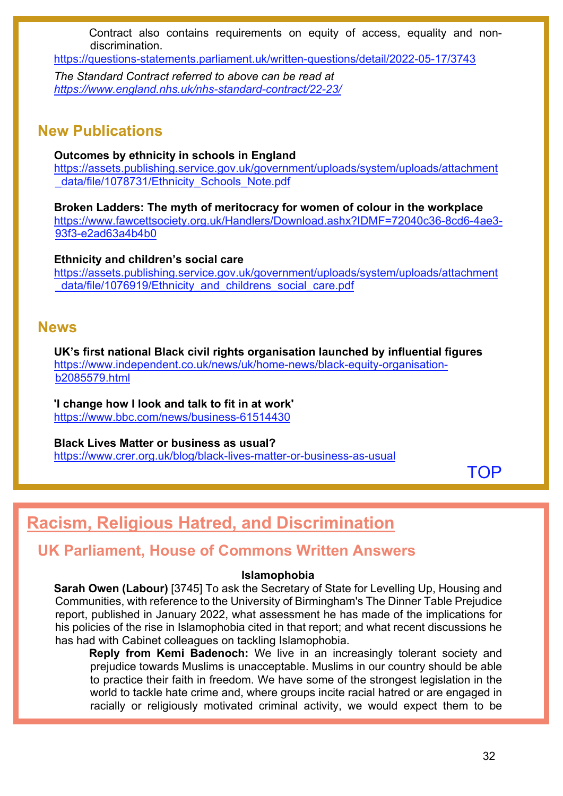Contract also contains requirements on equity of access, equality and nondiscrimination.

<https://questions-statements.parliament.uk/written-questions/detail/2022-05-17/3743>

*The Standard Contract referred to above can be read at <https://www.england.nhs.uk/nhs-standard-contract/22-23/>*

## **New Publications**

**Outcomes by ethnicity in schools in England**

[https://assets.publishing.service.gov.uk/government/uploads/system/uploads/attachment](https://assets.publishing.service.gov.uk/government/uploads/system/uploads/attachment_data/file/1078731/Ethnicity_Schools_Note.pdf) data/file/1078731/Ethnicity\_Schools\_Note.pdf

**Broken Ladders: The myth of meritocracy for women of colour in the workplace** [https://www.fawcettsociety.org.uk/Handlers/Download.ashx?IDMF=72040c36-8cd6-4ae3-](https://www.fawcettsociety.org.uk/Handlers/Download.ashx?IDMF=72040c36-8cd6-4ae3-93f3-e2ad63a4b4b0) [93f3-e2ad63a4b4b0](https://www.fawcettsociety.org.uk/Handlers/Download.ashx?IDMF=72040c36-8cd6-4ae3-93f3-e2ad63a4b4b0) 

**Ethnicity and children's social care** [https://assets.publishing.service.gov.uk/government/uploads/system/uploads/attachment](https://assets.publishing.service.gov.uk/government/uploads/system/uploads/attachment_data/file/1076919/Ethnicity_and_childrens_social_care.pdf) [\\_data/file/1076919/Ethnicity\\_and\\_childrens\\_social\\_care.pdf](https://assets.publishing.service.gov.uk/government/uploads/system/uploads/attachment_data/file/1076919/Ethnicity_and_childrens_social_care.pdf)

## **News**

**UK's first national Black civil rights organisation launched by influential figures**  [https://www.independent.co.uk/news/uk/home-news/black-equity-organisation](https://www.independent.co.uk/news/uk/home-news/black-equity-organisation-b2085579.html)[b2085579.html](https://www.independent.co.uk/news/uk/home-news/black-equity-organisation-b2085579.html)

**'I change how I look and talk to fit in at work'** <https://www.bbc.com/news/business-61514430>

**Black Lives Matter or business as usual?** <https://www.crer.org.uk/blog/black-lives-matter-or-business-as-usual>

**[TOP](#page-0-1)** 

# <span id="page-31-0"></span>**Racism, Religious Hatred, and Discrimination**

## **UK Parliament, House of Commons Written Answers**

### **Islamophobia**

**Sarah Owen (Labour)** [3745] To ask the Secretary of State for Levelling Up, Housing and Communities, with reference to the University of Birmingham's The Dinner Table Prejudice report, published in January 2022, what assessment he has made of the implications for his policies of the rise in Islamophobia cited in that report; and what recent discussions he has had with Cabinet colleagues on tackling Islamophobia.

**Reply from Kemi Badenoch:** We live in an increasingly tolerant society and prejudice towards Muslims is unacceptable. Muslims in our country should be able to practice their faith in freedom. We have some of the strongest legislation in the world to tackle hate crime and, where groups incite racial hatred or are engaged in racially or religiously motivated criminal activity, we would expect them to be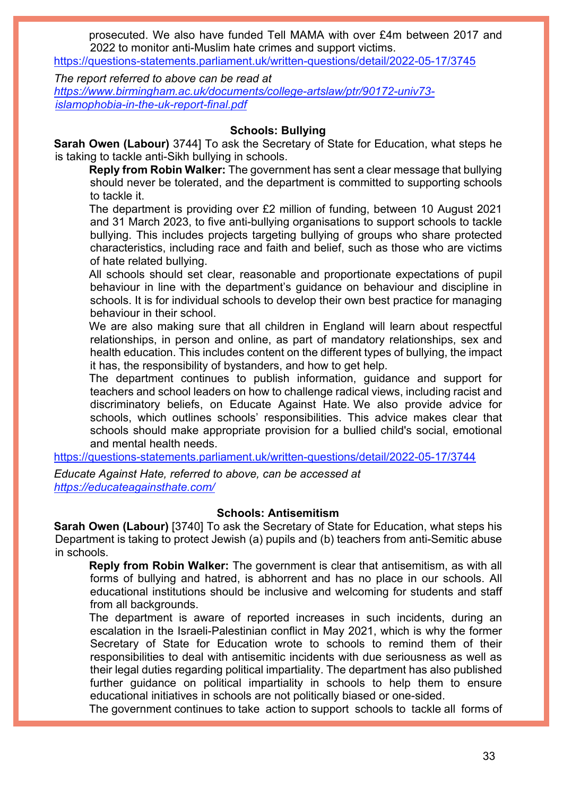prosecuted. We also have funded Tell MAMA with over £4m between 2017 and 2022 to monitor anti-Muslim hate crimes and support victims.

<https://questions-statements.parliament.uk/written-questions/detail/2022-05-17/3745>

*The report referred to above can be read at [https://www.birmingham.ac.uk/documents/college-artslaw/ptr/90172-univ73](https://www.birmingham.ac.uk/documents/college-artslaw/ptr/90172-univ73-islamophobia-in-the-uk-report-final.pdf) [islamophobia-in-the-uk-report-final.pdf](https://www.birmingham.ac.uk/documents/college-artslaw/ptr/90172-univ73-islamophobia-in-the-uk-report-final.pdf)*

#### **Schools: Bullying**

**Sarah Owen (Labour)** 3744] To ask the Secretary of State for Education, what steps he is taking to tackle anti-Sikh bullying in schools.

**Reply from Robin Walker:** The government has sent a clear message that bullying should never be tolerated, and the department is committed to supporting schools to tackle it.

The department is providing over £2 million of funding, between 10 August 2021 and 31 March 2023, to five anti-bullying organisations to support schools to tackle bullying. This includes projects targeting bullying of groups who share protected characteristics, including race and faith and belief, such as those who are victims of hate related bullying.

All schools should set clear, reasonable and proportionate expectations of pupil behaviour in line with the department's guidance on behaviour and discipline in schools. It is for individual schools to develop their own best practice for managing behaviour in their school.

We are also making sure that all children in England will learn about respectful relationships, in person and online, as part of mandatory relationships, sex and health education. This includes content on the different types of bullying, the impact it has, the responsibility of bystanders, and how to get help.

The department continues to publish information, guidance and support for teachers and school leaders on how to challenge radical views, including racist and discriminatory beliefs, on Educate Against Hate*.* We also provide advice for schools, which outlines schools' responsibilities. This advice makes clear that schools should make appropriate provision for a bullied child's social, emotional and mental health needs.

<https://questions-statements.parliament.uk/written-questions/detail/2022-05-17/3744>

*Educate Against Hate, referred to above, can be accessed at <https://educateagainsthate.com/>*

#### **Schools: Antisemitism**

**Sarah Owen (Labour)** [3740] To ask the Secretary of State for Education, what steps his Department is taking to protect Jewish (a) pupils and (b) teachers from anti-Semitic abuse in schools.

**Reply from Robin Walker:** The government is clear that antisemitism, as with all forms of bullying and hatred, is abhorrent and has no place in our schools. All educational institutions should be inclusive and welcoming for students and staff from all backgrounds.

The department is aware of reported increases in such incidents, during an escalation in the Israeli-Palestinian conflict in May 2021, which is why the former Secretary of State for Education wrote to schools to remind them of their responsibilities to deal with antisemitic incidents with due seriousness as well as their legal duties regarding political impartiality. The department has also published further guidance on political impartiality in schools to help them to ensure educational initiatives in schools are not politically biased or one-sided.

The government continues to take action to support schools to tackle all forms of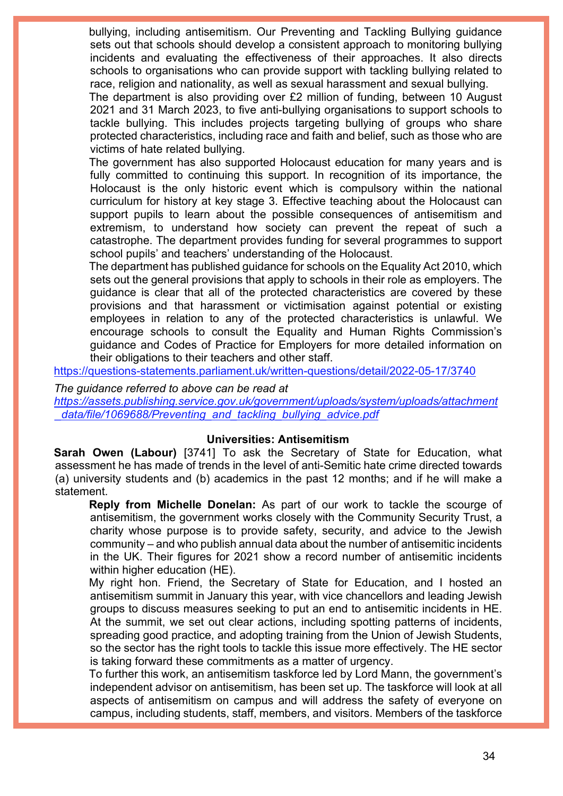bullying, including antisemitism. Our Preventing and Tackling Bullying guidance sets out that schools should develop a consistent approach to monitoring bullying incidents and evaluating the effectiveness of their approaches. It also directs schools to organisations who can provide support with tackling bullying related to race, religion and nationality, as well as sexual harassment and sexual bullying.

The department is also providing over £2 million of funding, between 10 August 2021 and 31 March 2023, to five anti-bullying organisations to support schools to tackle bullying. This includes projects targeting bullying of groups who share protected characteristics, including race and faith and belief, such as those who are victims of hate related bullying.

The government has also supported Holocaust education for many years and is fully committed to continuing this support. In recognition of its importance, the Holocaust is the only historic event which is compulsory within the national curriculum for history at key stage 3. Effective teaching about the Holocaust can support pupils to learn about the possible consequences of antisemitism and extremism, to understand how society can prevent the repeat of such a catastrophe. The department provides funding for several programmes to support school pupils' and teachers' understanding of the Holocaust.

The department has published guidance for schools on the Equality Act 2010, which sets out the general provisions that apply to schools in their role as employers. The guidance is clear that all of the protected characteristics are covered by these provisions and that harassment or victimisation against potential or existing employees in relation to any of the protected characteristics is unlawful. We encourage schools to consult the Equality and Human Rights Commission's guidance and Codes of Practice for Employers for more detailed information on their obligations to their teachers and other staff.

<https://questions-statements.parliament.uk/written-questions/detail/2022-05-17/3740>

*The guidance referred to above can be read at [https://assets.publishing.service.gov.uk/government/uploads/system/uploads/attachment](https://assets.publishing.service.gov.uk/government/uploads/system/uploads/attachment_data/file/1069688/Preventing_and_tackling_bullying_advice.pdf) [\\_data/file/1069688/Preventing\\_and\\_tackling\\_bullying\\_advice.pdf](https://assets.publishing.service.gov.uk/government/uploads/system/uploads/attachment_data/file/1069688/Preventing_and_tackling_bullying_advice.pdf)* 

#### **Universities: Antisemitism**

**Sarah Owen (Labour)** [3741] To ask the Secretary of State for Education, what assessment he has made of trends in the level of anti-Semitic hate crime directed towards (a) university students and (b) academics in the past 12 months; and if he will make a statement.

**Reply from Michelle Donelan:** As part of our work to tackle the scourge of antisemitism, the government works closely with the Community Security Trust, a charity whose purpose is to provide safety, security, and advice to the Jewish community – and who publish annual data about the number of antisemitic incidents in the UK. Their figures for 2021 show a record number of antisemitic incidents within higher education (HE).

My right hon. Friend, the Secretary of State for Education, and I hosted an antisemitism summit in January this year, with vice chancellors and leading Jewish groups to discuss measures seeking to put an end to antisemitic incidents in HE. At the summit, we set out clear actions, including spotting patterns of incidents, spreading good practice, and adopting training from the Union of Jewish Students, so the sector has the right tools to tackle this issue more effectively. The HE sector is taking forward these commitments as a matter of urgency.

To further this work, an antisemitism taskforce led by Lord Mann, the government's independent advisor on antisemitism, has been set up. The taskforce will look at all aspects of antisemitism on campus and will address the safety of everyone on campus, including students, staff, members, and visitors. Members of the taskforce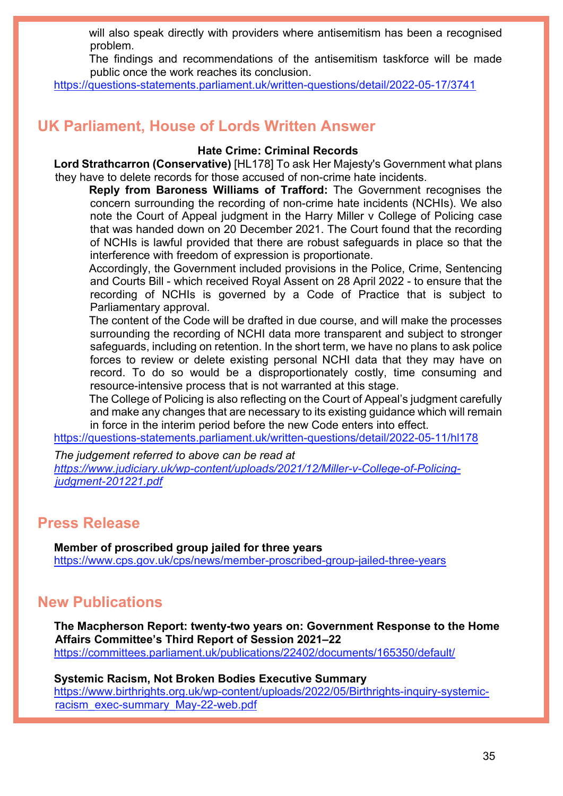will also speak directly with providers where antisemitism has been a recognised problem.

The findings and recommendations of the antisemitism taskforce will be made public once the work reaches its conclusion.

<https://questions-statements.parliament.uk/written-questions/detail/2022-05-17/3741>

## **UK Parliament, House of Lords Written Answer**

#### **Hate Crime: Criminal Records**

**Lord Strathcarron (Conservative)** [HL178] To ask Her Majesty's Government what plans they have to delete records for those accused of non-crime hate incidents.

**Reply from Baroness Williams of Trafford:** The Government recognises the concern surrounding the recording of non-crime hate incidents (NCHIs). We also note the Court of Appeal judgment in the Harry Miller v College of Policing case that was handed down on 20 December 2021. The Court found that the recording of NCHIs is lawful provided that there are robust safeguards in place so that the interference with freedom of expression is proportionate.

Accordingly, the Government included provisions in the Police, Crime, Sentencing and Courts Bill - which received Royal Assent on 28 April 2022 - to ensure that the recording of NCHIs is governed by a Code of Practice that is subject to Parliamentary approval.

The content of the Code will be drafted in due course, and will make the processes surrounding the recording of NCHI data more transparent and subject to stronger safeguards, including on retention. In the short term, we have no plans to ask police forces to review or delete existing personal NCHI data that they may have on record. To do so would be a disproportionately costly, time consuming and resource-intensive process that is not warranted at this stage.

The College of Policing is also reflecting on the Court of Appeal's judgment carefully and make any changes that are necessary to its existing guidance which will remain in force in the interim period before the new Code enters into effect.

<https://questions-statements.parliament.uk/written-questions/detail/2022-05-11/hl178>

*The judgement referred to above can be read at [https://www.judiciary.uk/wp-content/uploads/2021/12/Miller-v-College-of-Policing](https://www.judiciary.uk/wp-content/uploads/2021/12/Miller-v-College-of-Policing-judgment-201221.pdf)[judgment-201221.pdf](https://www.judiciary.uk/wp-content/uploads/2021/12/Miller-v-College-of-Policing-judgment-201221.pdf)*

## **Press Release**

**Member of proscribed group jailed for three years** <https://www.cps.gov.uk/cps/news/member-proscribed-group-jailed-three-years>

## **New Publications**

**The Macpherson Report: twenty-two years on: Government Response to the Home Affairs Committee's Third Report of Session 2021–22** <https://committees.parliament.uk/publications/22402/documents/165350/default/>

**Systemic Racism, Not Broken Bodies Executive Summary** [https://www.birthrights.org.uk/wp-content/uploads/2022/05/Birthrights-inquiry-systemic](https://www.birthrights.org.uk/wp-content/uploads/2022/05/Birthrights-inquiry-systemic-racism_exec-summary_May-22-web.pdf)[racism\\_exec-summary\\_May-22-web.pdf](https://www.birthrights.org.uk/wp-content/uploads/2022/05/Birthrights-inquiry-systemic-racism_exec-summary_May-22-web.pdf)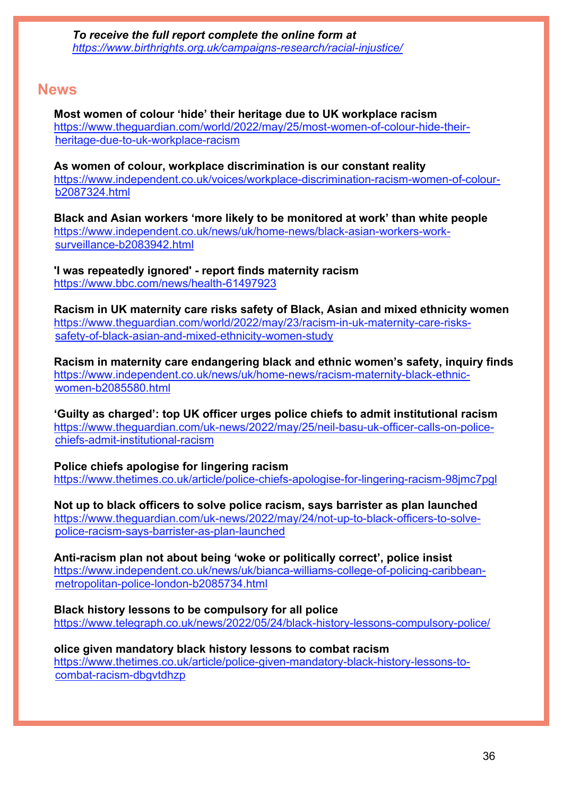## **News**

**Most women of colour 'hide' their heritage due to UK workplace racism**  [https://www.theguardian.com/world/2022/may/25/most-women-of-colour-hide-their](https://www.theguardian.com/world/2022/may/25/most-women-of-colour-hide-their-heritage-due-to-uk-workplace-racism)[heritage-due-to-uk-workplace-racism](https://www.theguardian.com/world/2022/may/25/most-women-of-colour-hide-their-heritage-due-to-uk-workplace-racism)

**As women of colour, workplace discrimination is our constant reality**  [https://www.independent.co.uk/voices/workplace-discrimination-racism-women-of-colour](https://www.independent.co.uk/voices/workplace-discrimination-racism-women-of-colour-b2087324.html)[b2087324.html](https://www.independent.co.uk/voices/workplace-discrimination-racism-women-of-colour-b2087324.html)

**Black and Asian workers 'more likely to be monitored at work' than white people**  [https://www.independent.co.uk/news/uk/home-news/black-asian-workers-work](https://www.independent.co.uk/news/uk/home-news/black-asian-workers-work-surveillance-b2083942.html)[surveillance-b2083942.html](https://www.independent.co.uk/news/uk/home-news/black-asian-workers-work-surveillance-b2083942.html)

**'I was repeatedly ignored' - report finds maternity racism** <https://www.bbc.com/news/health-61497923>

**Racism in UK maternity care risks safety of Black, Asian and mixed ethnicity women**  [https://www.theguardian.com/world/2022/may/23/racism-in-uk-maternity-care-risks](https://www.theguardian.com/world/2022/may/23/racism-in-uk-maternity-care-risks-safety-of-black-asian-and-mixed-ethnicity-women-study)[safety-of-black-asian-and-mixed-ethnicity-women-study](https://www.theguardian.com/world/2022/may/23/racism-in-uk-maternity-care-risks-safety-of-black-asian-and-mixed-ethnicity-women-study)

**Racism in maternity care endangering black and ethnic women's safety, inquiry finds**  [https://www.independent.co.uk/news/uk/home-news/racism-maternity-black-ethnic](https://www.independent.co.uk/news/uk/home-news/racism-maternity-black-ethnic-women-b2085580.html)[women-b2085580.html](https://www.independent.co.uk/news/uk/home-news/racism-maternity-black-ethnic-women-b2085580.html)

**'Guilty as charged': top UK officer urges police chiefs to admit institutional racism**  [https://www.theguardian.com/uk-news/2022/may/25/neil-basu-uk-officer-calls-on-police](https://www.theguardian.com/uk-news/2022/may/25/neil-basu-uk-officer-calls-on-police-chiefs-admit-institutional-racism)[chiefs-admit-institutional-racism](https://www.theguardian.com/uk-news/2022/may/25/neil-basu-uk-officer-calls-on-police-chiefs-admit-institutional-racism)

**Police chiefs apologise for lingering racism**  <https://www.thetimes.co.uk/article/police-chiefs-apologise-for-lingering-racism-98jmc7pgl>

**Not up to black officers to solve police racism, says barrister as plan launched**  [https://www.theguardian.com/uk-news/2022/may/24/not-up-to-black-officers-to-solve](https://www.theguardian.com/uk-news/2022/may/24/not-up-to-black-officers-to-solve-police-racism-says-barrister-as-plan-launched)[police-racism-says-barrister-as-plan-launched](https://www.theguardian.com/uk-news/2022/may/24/not-up-to-black-officers-to-solve-police-racism-says-barrister-as-plan-launched)

**Anti-racism plan not about being 'woke or politically correct', police insist**  [https://www.independent.co.uk/news/uk/bianca-williams-college-of-policing-caribbean](https://www.independent.co.uk/news/uk/bianca-williams-college-of-policing-caribbean-metropolitan-police-london-b2085734.html)[metropolitan-police-london-b2085734.html](https://www.independent.co.uk/news/uk/bianca-williams-college-of-policing-caribbean-metropolitan-police-london-b2085734.html)

**Black history lessons to be compulsory for all police** <https://www.telegraph.co.uk/news/2022/05/24/black-history-lessons-compulsory-police/>

**olice given mandatory black history lessons to combat racism**  [https://www.thetimes.co.uk/article/police-given-mandatory-black-history-lessons-to](https://www.thetimes.co.uk/article/police-given-mandatory-black-history-lessons-to-combat-racism-dbgvtdhzp)[combat-racism-dbgvtdhzp](https://www.thetimes.co.uk/article/police-given-mandatory-black-history-lessons-to-combat-racism-dbgvtdhzp)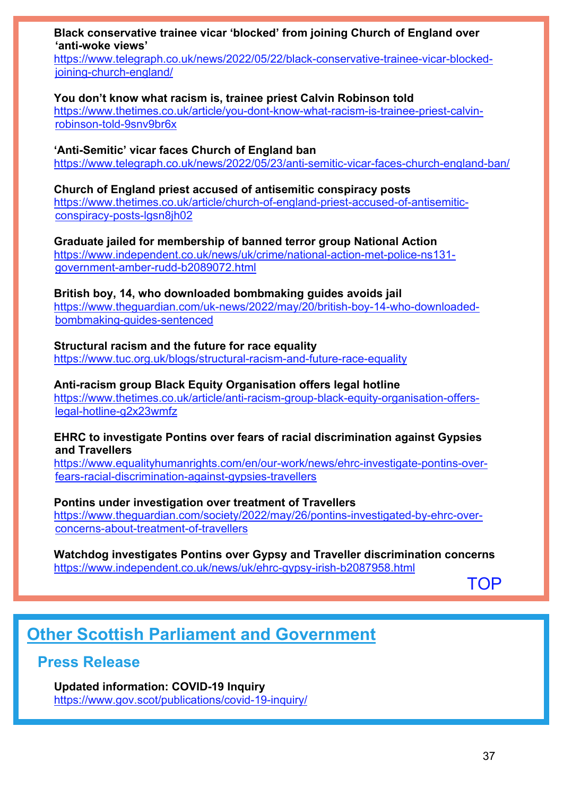**Black conservative trainee vicar 'blocked' from joining Church of England over 'anti-woke views'**

[https://www.telegraph.co.uk/news/2022/05/22/black-conservative-trainee-vicar-blocked](https://www.telegraph.co.uk/news/2022/05/22/black-conservative-trainee-vicar-blocked-joining-church-england/)[joining-church-england/](https://www.telegraph.co.uk/news/2022/05/22/black-conservative-trainee-vicar-blocked-joining-church-england/)

### **You don't know what racism is, trainee priest Calvin Robinson told**

[https://www.thetimes.co.uk/article/you-dont-know-what-racism-is-trainee-priest-calvin](https://www.thetimes.co.uk/article/you-dont-know-what-racism-is-trainee-priest-calvin-robinson-told-9snv9br6x)[robinson-told-9snv9br6x](https://www.thetimes.co.uk/article/you-dont-know-what-racism-is-trainee-priest-calvin-robinson-told-9snv9br6x)

**'Anti-Semitic' vicar faces Church of England ban** <https://www.telegraph.co.uk/news/2022/05/23/anti-semitic-vicar-faces-church-england-ban/>

**Church of England priest accused of antisemitic conspiracy posts**  [https://www.thetimes.co.uk/article/church-of-england-priest-accused-of-antisemitic](https://www.thetimes.co.uk/article/church-of-england-priest-accused-of-antisemitic-conspiracy-posts-lgsn8jh02)[conspiracy-posts-lgsn8jh02](https://www.thetimes.co.uk/article/church-of-england-priest-accused-of-antisemitic-conspiracy-posts-lgsn8jh02)

**Graduate jailed for membership of banned terror group National Action**  [https://www.independent.co.uk/news/uk/crime/national-action-met-police-ns131](https://www.independent.co.uk/news/uk/crime/national-action-met-police-ns131-government-amber-rudd-b2089072.html) [government-amber-rudd-b2089072.html](https://www.independent.co.uk/news/uk/crime/national-action-met-police-ns131-government-amber-rudd-b2089072.html)

**British boy, 14, who downloaded bombmaking guides avoids jail** [https://www.theguardian.com/uk-news/2022/may/20/british-boy-14-who-downloaded](https://www.theguardian.com/uk-news/2022/may/20/british-boy-14-who-downloaded-bombmaking-guides-sentenced)[bombmaking-guides-sentenced](https://www.theguardian.com/uk-news/2022/may/20/british-boy-14-who-downloaded-bombmaking-guides-sentenced)

**Structural racism and the future for race equality** <https://www.tuc.org.uk/blogs/structural-racism-and-future-race-equality>

**Anti-racism group Black Equity Organisation offers legal hotline**  [https://www.thetimes.co.uk/article/anti-racism-group-black-equity-organisation-offers](https://www.thetimes.co.uk/article/anti-racism-group-black-equity-organisation-offers-legal-hotline-g2x23wmfz)[legal-hotline-g2x23wmfz](https://www.thetimes.co.uk/article/anti-racism-group-black-equity-organisation-offers-legal-hotline-g2x23wmfz)

### **EHRC to investigate Pontins over fears of racial discrimination against Gypsies and Travellers**

[https://www.equalityhumanrights.com/en/our-work/news/ehrc-investigate-pontins-over](https://www.equalityhumanrights.com/en/our-work/news/ehrc-investigate-pontins-over-fears-racial-discrimination-against-gypsies-travellers)[fears-racial-discrimination-against-gypsies-travellers](https://www.equalityhumanrights.com/en/our-work/news/ehrc-investigate-pontins-over-fears-racial-discrimination-against-gypsies-travellers) 

**Pontins under investigation over treatment of Travellers**  [https://www.theguardian.com/society/2022/may/26/pontins-investigated-by-ehrc-over](https://www.theguardian.com/society/2022/may/26/pontins-investigated-by-ehrc-over-concerns-about-treatment-of-travellers)[concerns-about-treatment-of-travellers](https://www.theguardian.com/society/2022/may/26/pontins-investigated-by-ehrc-over-concerns-about-treatment-of-travellers)

### **Watchdog investigates Pontins over Gypsy and Traveller discrimination concerns**  <https://www.independent.co.uk/news/uk/ehrc-gypsy-irish-b2087958.html>

[TOP](#page-0-1)

# <span id="page-36-0"></span>**Other Scottish Parliament and Government**

## **Press Release**

**Updated information: COVID-19 Inquiry** <https://www.gov.scot/publications/covid-19-inquiry/>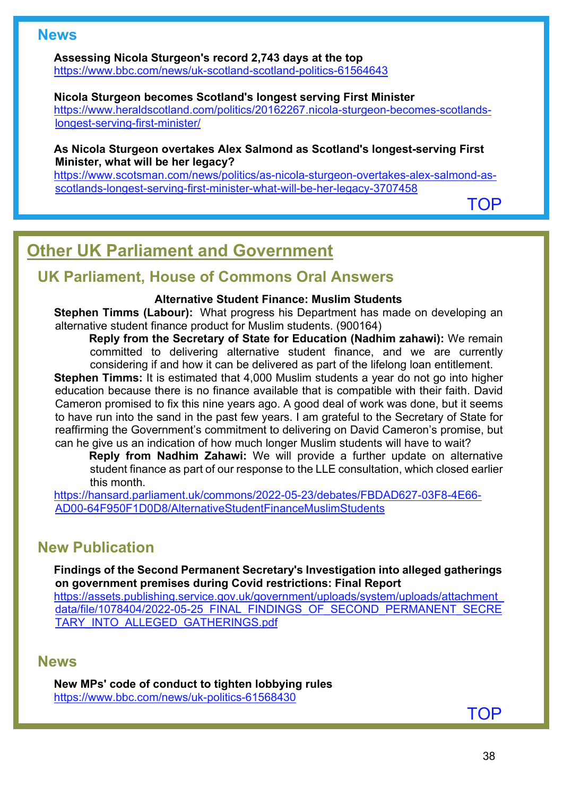## **News**

**Assessing Nicola Sturgeon's record 2,743 days at the top**

<https://www.bbc.com/news/uk-scotland-scotland-politics-61564643>

#### **Nicola Sturgeon becomes Scotland's longest serving First Minister**

[https://www.heraldscotland.com/politics/20162267.nicola-sturgeon-becomes-scotlands](https://www.heraldscotland.com/politics/20162267.nicola-sturgeon-becomes-scotlands-longest-serving-first-minister/)[longest-serving-first-minister/](https://www.heraldscotland.com/politics/20162267.nicola-sturgeon-becomes-scotlands-longest-serving-first-minister/)

#### **As Nicola Sturgeon overtakes Alex Salmond as Scotland's longest-serving First Minister, what will be her legacy?**

[https://www.scotsman.com/news/politics/as-nicola-sturgeon-overtakes-alex-salmond-as](https://www.scotsman.com/news/politics/as-nicola-sturgeon-overtakes-alex-salmond-as-scotlands-longest-serving-first-minister-what-will-be-her-legacy-3707458)[scotlands-longest-serving-first-minister-what-will-be-her-legacy-3707458](https://www.scotsman.com/news/politics/as-nicola-sturgeon-overtakes-alex-salmond-as-scotlands-longest-serving-first-minister-what-will-be-her-legacy-3707458) 

[TOP](#page-0-1)

# <span id="page-37-0"></span>**Other UK Parliament and Government**

## **UK Parliament, House of Commons Oral Answers**

### **Alternative Student Finance: Muslim Students**

**Stephen Timms (Labour):** What progress his Department has made on developing an alternative student finance product for Muslim students. (900164)

**Reply from the Secretary of State for Education (Nadhim zahawi):** We remain committed to delivering alternative student finance, and we are currently considering if and how it can be delivered as part of the lifelong loan entitlement.

**Stephen Timms:** It is estimated that 4,000 Muslim students a vear do not go into higher education because there is no finance available that is compatible with their faith. David Cameron promised to fix this nine years ago. A good deal of work was done, but it seems to have run into the sand in the past few years. I am grateful to the Secretary of State for reaffirming the Government's commitment to delivering on David Cameron's promise, but can he give us an indication of how much longer Muslim students will have to wait?

**Reply from Nadhim Zahawi:** We will provide a further update on alternative student finance as part of our response to the LLE consultation, which closed earlier this month.

[https://hansard.parliament.uk/commons/2022-05-23/debates/FBDAD627-03F8-4E66-](https://hansard.parliament.uk/commons/2022-05-23/debates/FBDAD627-03F8-4E66-AD00-64F950F1D0D8/AlternativeStudentFinanceMuslimStudents) [AD00-64F950F1D0D8/AlternativeStudentFinanceMuslimStudents](https://hansard.parliament.uk/commons/2022-05-23/debates/FBDAD627-03F8-4E66-AD00-64F950F1D0D8/AlternativeStudentFinanceMuslimStudents) 

## **New Publication**

**Findings of the Second Permanent Secretary's Investigation into alleged gatherings on government premises during Covid restrictions: Final Report**

[https://assets.publishing.service.gov.uk/government/uploads/system/uploads/attachment\\_](https://assets.publishing.service.gov.uk/government/uploads/system/uploads/attachment_data/file/1078404/2022-05-25_FINAL_FINDINGS_OF_SECOND_PERMANENT_SECRETARY_INTO_ALLEGED_GATHERINGS.pdf) [data/file/1078404/2022-05-25\\_FINAL\\_FINDINGS\\_OF\\_SECOND\\_PERMANENT\\_SECRE](https://assets.publishing.service.gov.uk/government/uploads/system/uploads/attachment_data/file/1078404/2022-05-25_FINAL_FINDINGS_OF_SECOND_PERMANENT_SECRETARY_INTO_ALLEGED_GATHERINGS.pdf) [TARY\\_INTO\\_ALLEGED\\_GATHERINGS.pdf](https://assets.publishing.service.gov.uk/government/uploads/system/uploads/attachment_data/file/1078404/2022-05-25_FINAL_FINDINGS_OF_SECOND_PERMANENT_SECRETARY_INTO_ALLEGED_GATHERINGS.pdf)

### **News**

**New MPs' code of conduct to tighten lobbying rules** <https://www.bbc.com/news/uk-politics-61568430>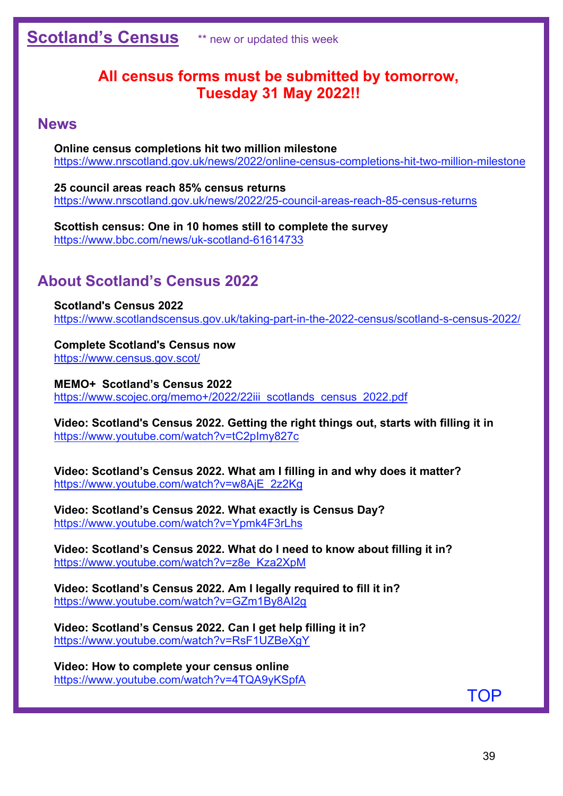## <span id="page-38-0"></span>**All census forms must be submitted by tomorrow, Tuesday 31 May 2022!!**

## **News**

**Online census completions hit two million milestone** <https://www.nrscotland.gov.uk/news/2022/online-census-completions-hit-two-million-milestone>

**25 council areas reach 85% census returns** <https://www.nrscotland.gov.uk/news/2022/25-council-areas-reach-85-census-returns>

**Scottish census: One in 10 homes still to complete the survey** <https://www.bbc.com/news/uk-scotland-61614733>

## **About Scotland's Census 2022**

**Scotland's Census 2022** <https://www.scotlandscensus.gov.uk/taking-part-in-the-2022-census/scotland-s-census-2022/>

**Complete Scotland's Census now** <https://www.census.gov.scot/>

**MEMO+ Scotland's Census 2022** https://www.scojec.org/memo+/2022/22iii\_scotlands\_census\_2022.pdf

**Video: Scotland's Census 2022. Getting the right things out, starts with filling it in** <https://www.youtube.com/watch?v=tC2pImy827c>

**Video: Scotland's Census 2022. What am I filling in and why does it matter?** [https://www.youtube.com/watch?v=w8AjE\\_2z2Kg](https://www.youtube.com/watch?v=w8AjE_2z2Kg) 

**Video: Scotland's Census 2022. What exactly is Census Day?** <https://www.youtube.com/watch?v=Ypmk4F3rLhs>

**Video: Scotland's Census 2022. What do I need to know about filling it in?** [https://www.youtube.com/watch?v=z8e\\_Kza2XpM](https://www.youtube.com/watch?v=z8e_Kza2XpM)

**Video: Scotland's Census 2022. Am I legally required to fill it in?** <https://www.youtube.com/watch?v=GZm1By8AI2g>

**Video: Scotland's Census 2022. Can I get help filling it in?** <https://www.youtube.com/watch?v=RsF1UZBeXgY>

**Video: How to complete your census online** <https://www.youtube.com/watch?v=4TQA9yKSpfA>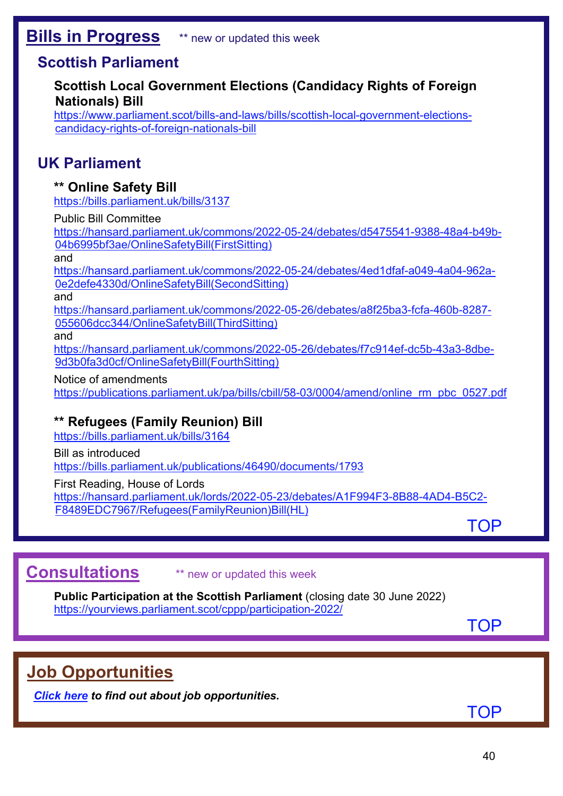## <span id="page-39-0"></span>**Scottish Parliament**

## **Scottish Local Government Elections (Candidacy Rights of Foreign Nationals) Bill**

[https://www.parliament.scot/bills-and-laws/bills/scottish-local-government-elections](https://www.parliament.scot/bills-and-laws/bills/scottish-local-government-elections-candidacy-rights-of-foreign-nationals-bill)[candidacy-rights-of-foreign-nationals-bill](https://www.parliament.scot/bills-and-laws/bills/scottish-local-government-elections-candidacy-rights-of-foreign-nationals-bill) 

## **UK Parliament**

## **\*\* Online Safety Bill**

<https://bills.parliament.uk/bills/3137>

### Public Bill Committee

[https://hansard.parliament.uk/commons/2022-05-24/debates/d5475541-9388-48a4-b49b-](https://hansard.parliament.uk/commons/2022-05-24/debates/d5475541-9388-48a4-b49b-04b6995bf3ae/OnlineSafetyBill(FirstSitting))[04b6995bf3ae/OnlineSafetyBill\(FirstSitting\)](https://hansard.parliament.uk/commons/2022-05-24/debates/d5475541-9388-48a4-b49b-04b6995bf3ae/OnlineSafetyBill(FirstSitting))

and

[https://hansard.parliament.uk/commons/2022-05-24/debates/4ed1dfaf-a049-4a04-962a-](https://hansard.parliament.uk/commons/2022-05-24/debates/4ed1dfaf-a049-4a04-962a-0e2defe4330d/OnlineSafetyBill(SecondSitting))[0e2defe4330d/OnlineSafetyBill\(SecondSitting\)](https://hansard.parliament.uk/commons/2022-05-24/debates/4ed1dfaf-a049-4a04-962a-0e2defe4330d/OnlineSafetyBill(SecondSitting)) 

and

[https://hansard.parliament.uk/commons/2022-05-26/debates/a8f25ba3-fcfa-460b-8287-](https://hansard.parliament.uk/commons/2022-05-26/debates/a8f25ba3-fcfa-460b-8287-055606dcc344/OnlineSafetyBill(ThirdSitting)) [055606dcc344/OnlineSafetyBill\(ThirdSitting\)](https://hansard.parliament.uk/commons/2022-05-26/debates/a8f25ba3-fcfa-460b-8287-055606dcc344/OnlineSafetyBill(ThirdSitting)) 

and

[https://hansard.parliament.uk/commons/2022-05-26/debates/f7c914ef-dc5b-43a3-8dbe-](https://hansard.parliament.uk/commons/2022-05-26/debates/f7c914ef-dc5b-43a3-8dbe-9d3b0fa3d0cf/OnlineSafetyBill(FourthSitting))[9d3b0fa3d0cf/OnlineSafetyBill\(FourthSitting\)](https://hansard.parliament.uk/commons/2022-05-26/debates/f7c914ef-dc5b-43a3-8dbe-9d3b0fa3d0cf/OnlineSafetyBill(FourthSitting))

Notice of amendments

[https://publications.parliament.uk/pa/bills/cbill/58-03/0004/amend/online\\_rm\\_pbc\\_0527.pdf](https://publications.parliament.uk/pa/bills/cbill/58-03/0004/amend/online_rm_pbc_0527.pdf)

## **\*\* Refugees (Family Reunion) Bill**

<https://bills.parliament.uk/bills/3164>

Bill as introduced

<https://bills.parliament.uk/publications/46490/documents/1793>

First Reading, House of Lords

[https://hansard.parliament.uk/lords/2022-05-23/debates/A1F994F3-8B88-4AD4-B5C2-](https://hansard.parliament.uk/lords/2022-05-23/debates/A1F994F3-8B88-4AD4-B5C2-F8489EDC7967/Refugees(FamilyReunion)Bill(HL)) [F8489EDC7967/Refugees\(FamilyReunion\)Bill\(HL\)](https://hansard.parliament.uk/lords/2022-05-23/debates/A1F994F3-8B88-4AD4-B5C2-F8489EDC7967/Refugees(FamilyReunion)Bill(HL)) 

[TOP](#page-0-1)

# <span id="page-39-1"></span>**Consultations** \*\* new or updated this week

**Public Participation at the Scottish Parliament** (closing date 30 June 2022) <https://yourviews.parliament.scot/cppp/participation-2022/>

**[TOP](#page-0-1)** 

# <span id="page-39-2"></span>**Job Opportunities**

*[Click here](https://www.scojec.org/memo/jobs.html) to find out about job opportunities.*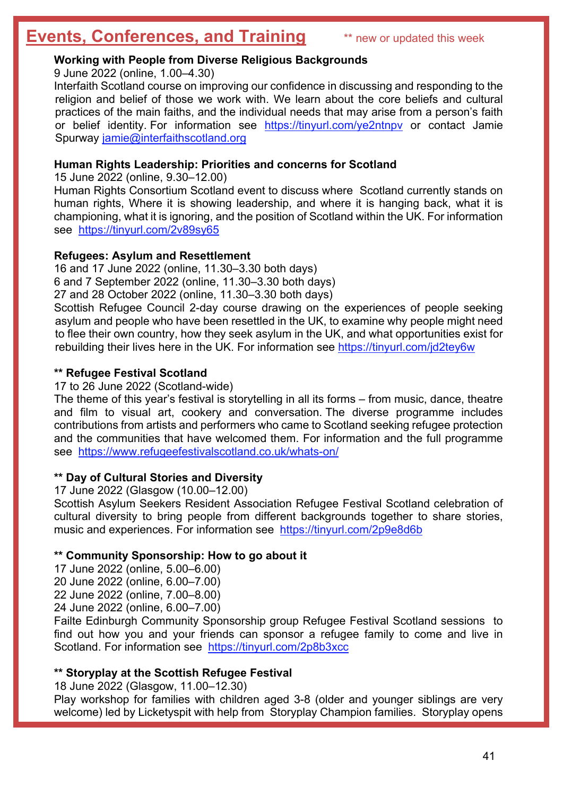# <span id="page-40-0"></span>**Events, Conferences, and Training** \*\* new or updated this week

### **Working with People from Diverse Religious Backgrounds**

9 June 2022 (online, 1.00–4.30)

Interfaith Scotland course on improving our confidence in discussing and responding to the religion and belief of those we work with. We learn about the core beliefs and cultural practices of the main faiths, and the individual needs that may arise from a person's faith or belief identity. For information see <https://tinyurl.com/ye2ntnpv> or contact Jamie Spurway [jamie@interfaithscotland.org](mailto:jamie@interfaithscotland.org)

### **Human Rights Leadership: Priorities and concerns for Scotland**

15 June 2022 (online, 9.30–12.00)

Human Rights Consortium Scotland event to discuss where Scotland currently stands on human rights, Where it is showing leadership, and where it is hanging back, what it is championing, what it is ignoring, and the position of Scotland within the UK. For information see <https://tinyurl.com/2v89sy65>

#### **Refugees: Asylum and Resettlement**

16 and 17 June 2022 (online, 11.30–3.30 both days) 6 and 7 September 2022 (online, 11.30–3.30 both days) 27 and 28 October 2022 (online, 11.30–3.30 both days)

Scottish Refugee Council 2-day course drawing on the experiences of people seeking asylum and people who have been resettled in the UK, to examine why people might need to flee their own country, how they seek asylum in the UK, and what opportunities exist for rebuilding their lives here in the UK. For information see<https://tinyurl.com/jd2tey6w>

#### **\*\* Refugee Festival Scotland**

17 to 26 June 2022 (Scotland-wide)

The theme of this year's festival is storytelling in all its forms – from music, dance, theatre and film to visual art, cookery and conversation. The diverse programme includes contributions from artists and performers who came to Scotland seeking refugee protection and the communities that have welcomed them. For information and the full programme see <https://www.refugeefestivalscotland.co.uk/whats-on/>

#### **\*\* Day of Cultural Stories and Diversity**

17 June 2022 (Glasgow (10.00–12.00)

Scottish Asylum Seekers Resident Association Refugee Festival Scotland celebration of cultural diversity to bring people from different backgrounds together to share stories, music and experiences. For information see <https://tinyurl.com/2p9e8d6b>

#### **\*\* Community Sponsorship: How to go about it**

17 June 2022 (online, 5.00–6.00) 20 June 2022 (online, 6.00–7.00) 22 June 2022 (online, 7.00–8.00)

24 June 2022 (online, 6.00–7.00)

Failte Edinburgh Community Sponsorship group Refugee Festival Scotland sessions to find out how you and your friends can sponsor a refugee family to come and live in Scotland. For information see <https://tinyurl.com/2p8b3xcc>

#### **\*\* Storyplay at the Scottish Refugee Festival**

18 June 2022 (Glasgow, 11.00–12.30)

Play workshop for families with children aged 3-8 (older and younger siblings are very welcome) led by Licketyspit with help from Storyplay Champion families. Storyplay opens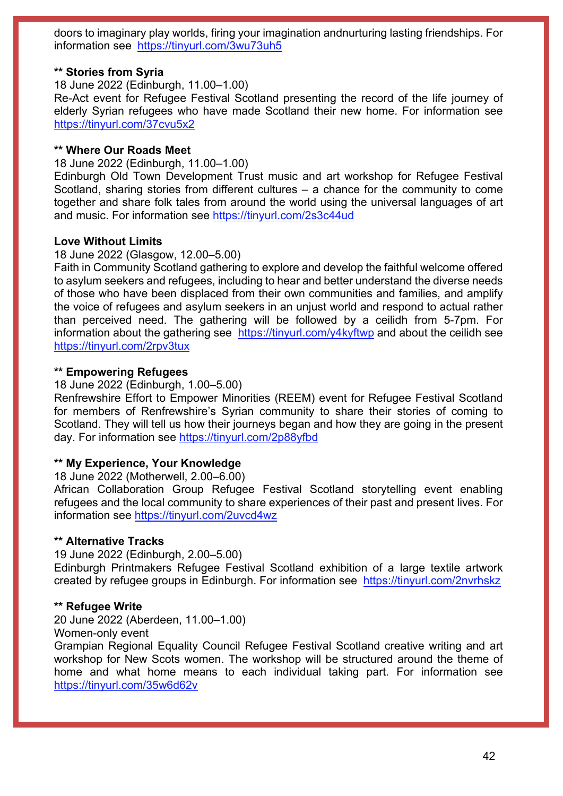doors to imaginary play worlds, firing your imagination andnurturing lasting friendships. For information see <https://tinyurl.com/3wu73uh5>

#### **\*\* Stories from Syria**

18 June 2022 (Edinburgh, 11.00–1.00)

Re-Act event for Refugee Festival Scotland presenting the record of the life journey of elderly Syrian refugees who have made Scotland their new home. For information see <https://tinyurl.com/37cvu5x2>

#### **\*\* Where Our Roads Meet**

18 June 2022 (Edinburgh, 11.00–1.00)

Edinburgh Old Town Development Trust music and art workshop for Refugee Festival Scotland, sharing stories from different cultures – a chance for the community to come together and share folk tales from around the world using the universal languages of art and music. For information see<https://tinyurl.com/2s3c44ud>

#### **Love Without Limits**

#### 18 June 2022 (Glasgow, 12.00–5.00)

Faith in Community Scotland gathering to explore and develop the faithful welcome offered to asylum seekers and refugees, including to hear and better understand the diverse needs of those who have been displaced from their own communities and families, and amplify the voice of refugees and asylum seekers in an unjust world and respond to actual rather than perceived need. The gathering will be followed by a ceilidh from 5-7pm. For information about the gathering see <https://tinyurl.com/y4kyftwp> and about the ceilidh see <https://tinyurl.com/2rpv3tux>

#### **\*\* Empowering Refugees**

18 June 2022 (Edinburgh, 1.00–5.00)

Renfrewshire Effort to Empower Minorities (REEM) event for Refugee Festival Scotland for members of Renfrewshire's Syrian community to share their stories of coming to Scotland. They will tell us how their journeys began and how they are going in the present day. For information see<https://tinyurl.com/2p88yfbd>

#### **\*\* My Experience, Your Knowledge**

18 June 2022 (Motherwell, 2.00–6.00)

African Collaboration Group Refugee Festival Scotland storytelling event enabling refugees and the local community to share experiences of their past and present lives. For information see<https://tinyurl.com/2uvcd4wz>

#### **\*\* Alternative Tracks**

19 June 2022 (Edinburgh, 2.00–5.00)

Edinburgh Printmakers Refugee Festival Scotland exhibition of a large textile artwork created by refugee groups in Edinburgh. For information see <https://tinyurl.com/2nvrhskz>

#### **\*\* Refugee Write**

20 June 2022 (Aberdeen, 11.00–1.00)

Women-only event

Grampian Regional Equality Council Refugee Festival Scotland creative writing and art workshop for New Scots women. The workshop will be structured around the theme of home and what home means to each individual taking part. For information see <https://tinyurl.com/35w6d62v>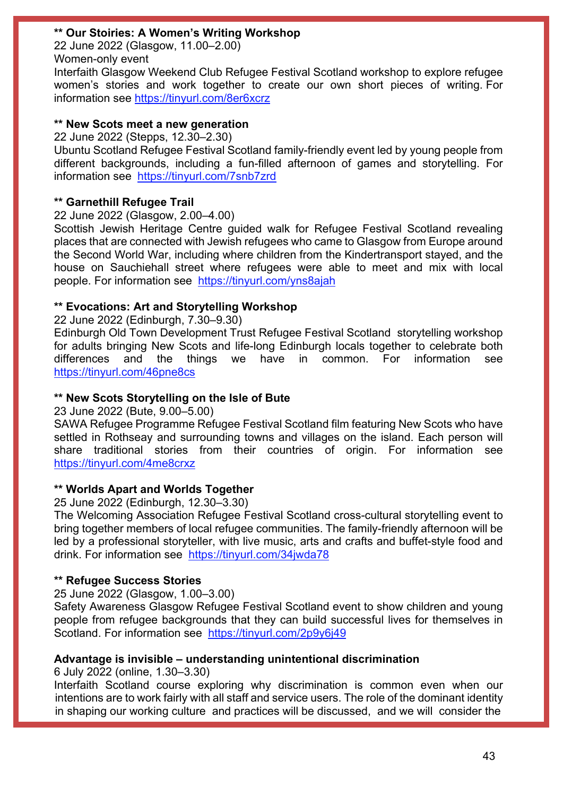### **\*\* Our Stoiries: A Women's Writing Workshop**

22 June 2022 (Glasgow, 11.00–2.00) Women-only event

Interfaith Glasgow Weekend Club Refugee Festival Scotland workshop to explore refugee women's stories and work together to create our own short pieces of writing. For information see<https://tinyurl.com/8er6xcrz>

#### **\*\* New Scots meet a new generation**

22 June 2022 (Stepps, 12.30–2.30)

Ubuntu Scotland Refugee Festival Scotland family-friendly event led by young people from different backgrounds, including a fun-filled afternoon of games and storytelling. For information see <https://tinyurl.com/7snb7zrd>

### **\*\* Garnethill Refugee Trail**

22 June 2022 (Glasgow, 2.00–4.00)

Scottish Jewish Heritage Centre guided walk for Refugee Festival Scotland revealing places that are connected with Jewish refugees who came to Glasgow from Europe around the Second World War, including where children from the Kindertransport stayed, and the house on Sauchiehall street where refugees were able to meet and mix with local people. For information see <https://tinyurl.com/yns8ajah>

### **\*\* Evocations: Art and Storytelling Workshop**

22 June 2022 (Edinburgh, 7.30–9.30)

Edinburgh Old Town Development Trust Refugee Festival Scotland storytelling workshop for adults bringing New Scots and life-long Edinburgh locals together to celebrate both differences and the things we have in common. For information see <https://tinyurl.com/46pne8cs>

### **\*\* New Scots Storytelling on the Isle of Bute**

23 June 2022 (Bute, 9.00–5.00)

SAWA Refugee Programme Refugee Festival Scotland film featuring New Scots who have settled in Rothseay and surrounding towns and villages on the island. Each person will share traditional stories from their countries of origin. For information see <https://tinyurl.com/4me8crxz>

### **\*\* Worlds Apart and Worlds Together**

25 June 2022 (Edinburgh, 12.30–3.30)

The Welcoming Association Refugee Festival Scotland cross-cultural storytelling event to bring together members of local refugee communities. The family-friendly afternoon will be led by a professional storyteller, with live music, arts and crafts and buffet-style food and drink. For information see <https://tinyurl.com/34jwda78>

#### **\*\* Refugee Success Stories**

25 June 2022 (Glasgow, 1.00–3.00)

Safety Awareness Glasgow Refugee Festival Scotland event to show children and young people from refugee backgrounds that they can build successful lives for themselves in Scotland. For information see <https://tinyurl.com/2p9y6j49>

#### **Advantage is invisible – understanding unintentional discrimination**

6 July 2022 (online, 1.30–3.30)

Interfaith Scotland course exploring why discrimination is common even when our intentions are to work fairly with all staff and service users. The role of the dominant identity in shaping our working culture and practices will be discussed, and we will consider the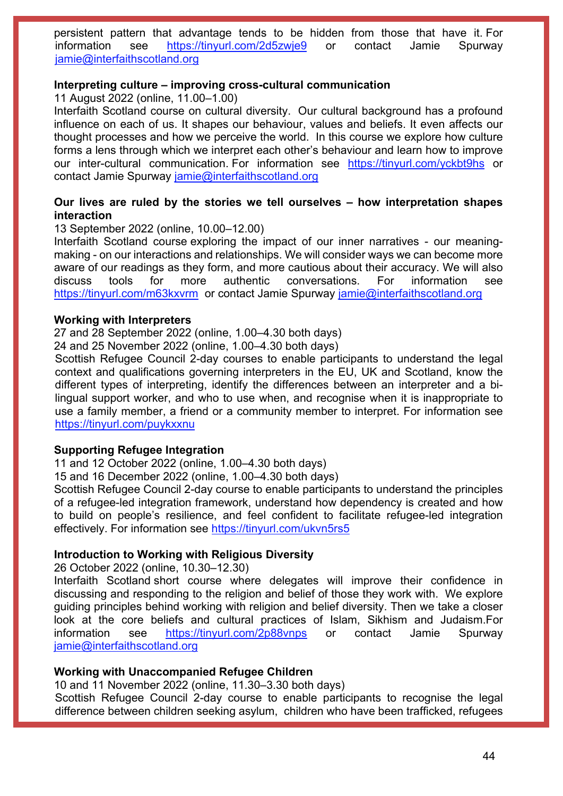persistent pattern that advantage tends to be hidden from those that have it. For information see <https://tinyurl.com/2d5zwje9> or contact Jamie Spurway [jamie@interfaithscotland.org](mailto:jamie@interfaithscotland.org)

#### **Interpreting culture – improving cross-cultural communication**

11 August 2022 (online, 11.00–1.00)

Interfaith Scotland course on cultural diversity. Our cultural background has a profound influence on each of us. It shapes our behaviour, values and beliefs. It even affects our thought processes and how we perceive the world. In this course we explore how culture forms a lens through which we interpret each other's behaviour and learn how to improve our inter-cultural communication. For information see <https://tinyurl.com/yckbt9hs> or contact Jamie Spurway [jamie@interfaithscotland.org](mailto:jamie@interfaithscotland.org)

#### **Our lives are ruled by the stories we tell ourselves – how interpretation shapes interaction**

13 September 2022 (online, 10.00–12.00)

Interfaith Scotland course exploring the impact of our inner narratives - our meaningmaking - on our interactions and relationships. We will consider ways we can become more aware of our readings as they form, and more cautious about their accuracy. We will also discuss tools for more authentic conversations. For information see <https://tinyurl.com/m63kxvrm>or contact Jamie Spurway [jamie@interfaithscotland.org](mailto:jamie@interfaithscotland.org)

#### **Working with Interpreters**

27 and 28 September 2022 (online, 1.00–4.30 both days)

24 and 25 November 2022 (online, 1.00–4.30 both days)

Scottish Refugee Council 2-day courses to enable participants to understand the legal context and qualifications governing interpreters in the EU, UK and Scotland, know the different types of interpreting, identify the differences between an interpreter and a bilingual support worker, and who to use when, and recognise when it is inappropriate to use a family member, a friend or a community member to interpret. For information see <https://tinyurl.com/puykxxnu>

#### **Supporting Refugee Integration**

11 and 12 October 2022 (online, 1.00–4.30 both days)

15 and 16 December 2022 (online, 1.00–4.30 both days)

Scottish Refugee Council 2-day course to enable participants to understand the principles of a refugee-led integration framework, understand how dependency is created and how to build on people's resilience, and feel confident to facilitate refugee-led integration effectively. For information see<https://tinyurl.com/ukvn5rs5>

#### **Introduction to Working with Religious Diversity**

26 October 2022 (online, 10.30–12.30)

Interfaith Scotland short course where delegates will improve their confidence in discussing and responding to the religion and belief of those they work with. We explore guiding principles behind working with religion and belief diversity. Then we take a closer look at the core beliefs and cultural practices of Islam, Sikhism and Judaism.For information see <https://tinyurl.com/2p88vnps> or contact Jamie Spurway [jamie@interfaithscotland.org](mailto:jamie@interfaithscotland.org)

#### **Working with Unaccompanied Refugee Children**

10 and 11 November 2022 (online, 11.30–3.30 both days)

Scottish Refugee Council 2-day course to enable participants to recognise the legal difference between children seeking asylum, children who have been trafficked, refugees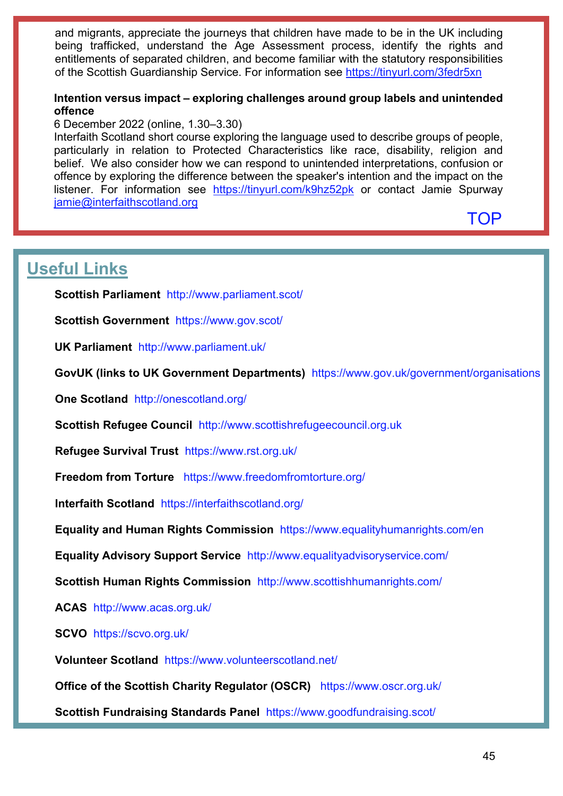and migrants, appreciate the journeys that children have made to be in the UK including being trafficked, understand the Age Assessment process, identify the rights and entitlements of separated children, and become familiar with the statutory responsibilities of the Scottish Guardianship Service. For information see<https://tinyurl.com/3fedr5xn>

### **Intention versus impact – exploring challenges around group labels and unintended offence**

6 December 2022 (online, 1.30–3.30)

Interfaith Scotland short course exploring the language used to describe groups of people, particularly in relation to Protected Characteristics like race, disability, religion and belief. We also consider how we can respond to unintended interpretations, confusion or offence by exploring the difference between the speaker's intention and the impact on the listener. For information see <https://tinyurl.com/k9hz52pk> or contact Jamie Spurway [jamie@interfaithscotland.org](mailto:jamie@interfaithscotland.org)

[TOP](#page-0-1)

# <span id="page-44-0"></span>**Useful Links**

**Scottish Parliament** <http://www.parliament.scot/>

**Scottish Government** <https://www.gov.scot/>

**UK Parliament** <http://www.parliament.uk/>

**GovUK (links to UK Government Departments)** <https://www.gov.uk/government/organisations>

**One Scotland** <http://onescotland.org/>

**Scottish Refugee Council** [http://www.scottishrefugeecouncil.org.uk](http://www.scottishrefugeecouncil.org.uk/) 

**Refugee Survival Trust** <https://www.rst.org.uk/>

**Freedom from Torture** <https://www.freedomfromtorture.org/>

**Interfaith Scotland** <https://interfaithscotland.org/>

**Equality and Human Rights Commission** <https://www.equalityhumanrights.com/en>

**Equality Advisory Support Service** <http://www.equalityadvisoryservice.com/>

**Scottish Human Rights Commission** <http://www.scottishhumanrights.com/>

**ACAS** <http://www.acas.org.uk/>

**SCVO** <https://scvo.org.uk/>

**Volunteer Scotland** <https://www.volunteerscotland.net/>

**Office of the Scottish Charity Regulator (OSCR)** <https://www.oscr.org.uk/>

**Scottish Fundraising Standards Panel** <https://www.goodfundraising.scot/>